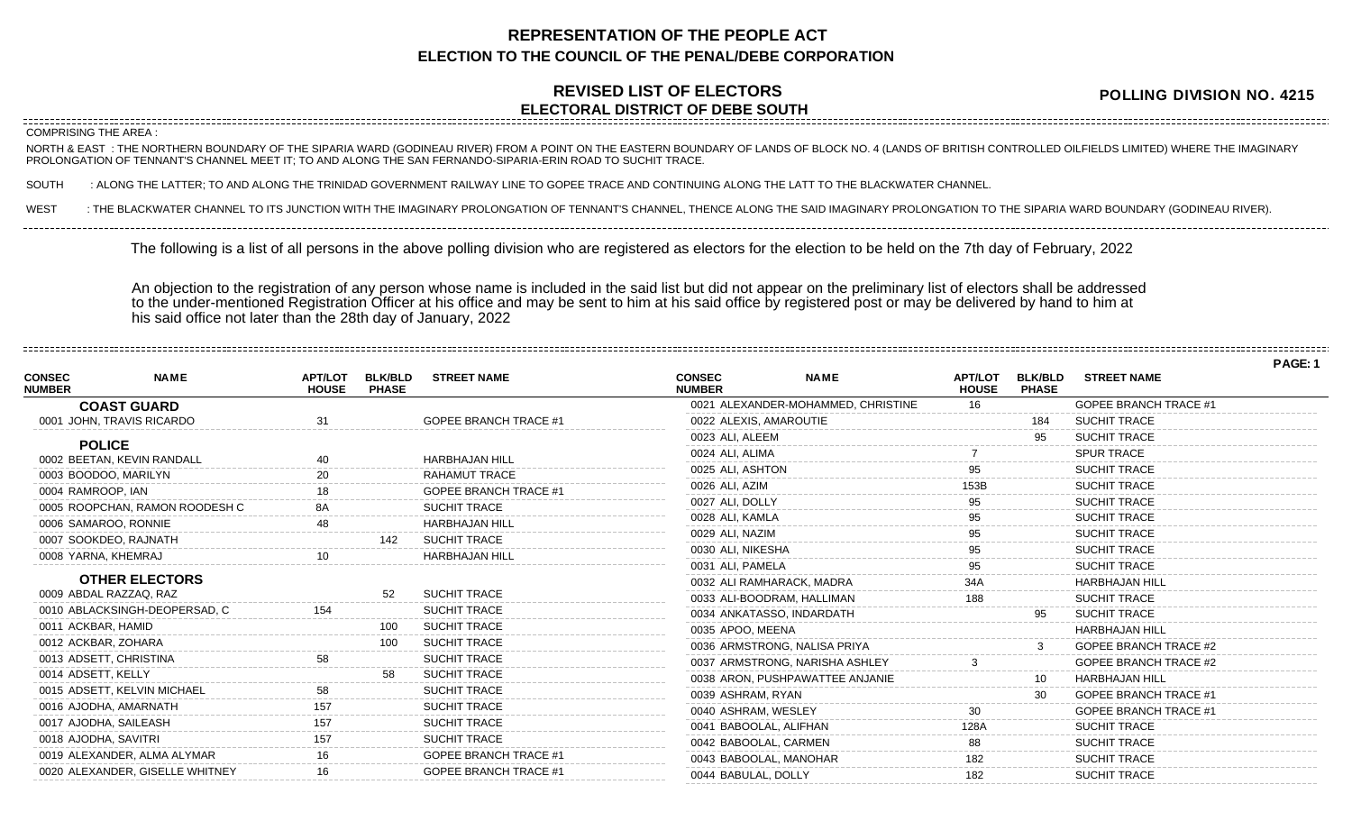## **REPRESENTATION OF THE PEOPLE ACT ELECTION TO THE COUNCIL OF THE PENAL/DEBE CORPORATION**

## **REVISED LIST OF ELECTORS ELECTORAL DISTRICT OF DEBE SOUTH**

**POLLING DIVISION NO. 4215**

## NORTH & EAST : THE NORTHERN BOUNDARY OF THE SIPARIA WARD (GODINEAU RIVER) FROM A POINT ON THE EASTERN BOUNDARY OF LANDS OF BLOCK NO. 4 (LANDS OF BRITISH CONTROLLED OILFIELDS LIMITED) WHERE THE IMAGINARY PROLONGATION OF TENNANT'S CHANNEL MEET IT; TO AND ALONG THE SAN FERNANDO-SIPARIA-ERIN ROAD TO SUCHIT TRACE. SOUTH : ALONG THE LATTER; TO AND ALONG THE TRINIDAD GOVERNMENT RAILWAY LINE TO GOPEE TRACE AND CONTINUING ALONG THE LATT TO THE BLACKWATER CHANNEL. WEST : THE BLACKWATER CHANNEL TO ITS JUNCTION WITH THE IMAGINARY PROLONGATION OF TENNANT'S CHANNEL, THENCE ALONG THE SAID IMAGINARY PROLONGATION TO THE SIPARIA WARD BOUNDARY (GODINEAU RIVER). COMPRISING THE AREA : The following is a list of all persons in the above polling division who are registered as electors for the election to be held on the 7th day of February, 2022

An objection to the registration of any person whose name is included in the said list but did not appear on the preliminary list of electors shall be addressed to the under-mentioned Registration Officer at his office and may be sent to him at his said office by registered post or may be delivered by hand to him at his said office not later than the 28th day of January, 2022

|                                |                                 |                                |                                |                              |                                |                                    |                                |                                |                              | PAGE: 1 |
|--------------------------------|---------------------------------|--------------------------------|--------------------------------|------------------------------|--------------------------------|------------------------------------|--------------------------------|--------------------------------|------------------------------|---------|
| <b>CONSEC</b><br><b>NUMBER</b> | <b>NAME</b>                     | <b>APT/LOT</b><br><b>HOUSE</b> | <b>BLK/BLD</b><br><b>PHASE</b> | <b>STREET NAME</b>           | <b>CONSEC</b><br><b>NUMBER</b> | <b>NAME</b>                        | <b>APT/LOT</b><br><b>HOUSE</b> | <b>BLK/BLD</b><br><b>PHASE</b> | <b>STREET NAME</b>           |         |
|                                | <b>COAST GUARD</b>              |                                |                                |                              |                                | 0021 ALEXANDER-MOHAMMED, CHRISTINE | 16                             |                                | <b>GOPEE BRANCH TRACE #1</b> |         |
|                                | 0001 JOHN, TRAVIS RICARDO       |                                |                                | <b>GOPEE BRANCH TRACE #1</b> | 0022 ALEXIS, AMAROUTIE         |                                    |                                | 184                            | <b>SUCHIT TRACE</b>          |         |
|                                | <b>POLICE</b>                   |                                |                                |                              | 0023 ALI, ALEEM                |                                    |                                | 95                             | <b>SUCHIT TRACE</b>          |         |
|                                | 0002 BEETAN, KEVIN RANDALL      | 40                             |                                | <b>HARBHAJAN HILL</b>        | 0024 ALI, ALIMA                |                                    |                                |                                | <b>SPUR TRACE</b>            |         |
|                                | 0003 BOODOO, MARILYN            |                                |                                | <b>RAHAMUT TRACE</b>         | 0025 ALI. ASHTON               |                                    |                                |                                | <b>SUCHIT TRACE</b>          |         |
| 0004 RAMROOP. IAN              |                                 |                                |                                | <b>GOPEE BRANCH TRACE #1</b> | 0026 ALI, AZIM                 |                                    |                                |                                | <b>SUCHIT TRACE</b>          |         |
|                                | 0005 ROOPCHAN, RAMON ROODESH C  |                                |                                | <b>SUCHIT TRACE</b>          | 0027 ALI, DOLLY                |                                    |                                |                                | <b>SUCHIT TRACE</b>          |         |
|                                | 0006 SAMAROO, RONNIE            |                                |                                | <b>HARBHAJAN HILL</b>        | 0028 ALI, KAMLA                |                                    |                                |                                | <b>SUCHIT TRACE</b>          |         |
|                                | 0007 SOOKDEO, RAJNATH           |                                |                                | SUCHIT TRACE                 | 0029 ALI, NAZIM                |                                    |                                |                                | <b>SUCHIT TRACE</b>          |         |
|                                | 0008 YARNA, KHEMRAJ             |                                |                                | <b>HARBHAJAN HILL</b>        | 0030 ALI, NIKESHA              |                                    |                                |                                | <b>SUCHIT TRACE</b>          |         |
|                                |                                 |                                |                                |                              | 0031 ALI, PAMELA               |                                    |                                |                                | <b>SUCHIT TRACE</b>          |         |
|                                | <b>OTHER ELECTORS</b>           |                                |                                |                              |                                | 0032 ALI RAMHARACK, MADRA          |                                |                                | <b>HARBHAJAN HILL</b>        |         |
|                                | 0009 ABDAL RAZZAQ, RAZ          |                                |                                | <b>SUCHIT TRACE</b>          |                                | 0033 ALI-BOODRAM, HALLIMAN         | 188                            |                                | <b>SUCHIT TRACE</b>          |         |
|                                | 0010 ABLACKSINGH-DEOPERSAD, C   | 154                            |                                | <b>SUCHIT TRACE</b>          |                                | 0034 ANKATASSO, INDARDATH          |                                |                                | <b>SUCHIT TRACE</b>          |         |
|                                | 0011 ACKBAR, HAMID              |                                | 100                            | <b>SUCHIT TRACE</b>          | 0035 APOO, MEENA               |                                    |                                |                                | <b>HARBHAJAN HILL</b>        |         |
|                                | 0012 ACKBAR, ZOHARA             |                                | 100                            | <b>SUCHIT TRACE</b>          |                                | 0036 ARMSTRONG, NALISA PRIYA       |                                |                                | <b>GOPEE BRANCH TRACE #2</b> |         |
|                                | 0013 ADSETT, CHRISTINA          |                                |                                | <b>SUCHIT TRACE</b>          |                                | 0037 ARMSTRONG, NARISHA ASHLEY     |                                |                                | <b>GOPEE BRANCH TRACE #2</b> |         |
| 0014 ADSETT, KELLY             |                                 |                                |                                | <b>SUCHIT TRACE</b>          |                                | 0038 ARON, PUSHPAWATTEE ANJANIE    |                                | 10                             | <b>HARBHAJAN HILL</b>        |         |
|                                | 0015 ADSETT, KELVIN MICHAEL     |                                |                                | <b>SUCHIT TRACE</b>          | 0039 ASHRAM, RYAN              |                                    |                                |                                | <b>GOPEE BRANCH TRACE #1</b> |         |
|                                | 0016 AJODHA, AMARNATH           |                                |                                | <b>SUCHIT TRACE</b>          | 0040 ASHRAM, WESLEY            |                                    | 30                             |                                | <b>GOPEE BRANCH TRACE #1</b> |         |
|                                | 0017 AJODHA, SAILEASH           | 157                            |                                | <b>SUCHIT TRACE</b>          | 0041 BABOOLAL, ALIFHAN         |                                    | 128A                           |                                | <b>SUCHIT TRACE</b>          |         |
|                                | 0018 AJODHA, SAVITRI            |                                |                                | <b>SUCHIT TRACE</b>          | 0042 BABOOLAL, CARMEN          |                                    | 88                             |                                | <b>SUCHIT TRACE</b>          |         |
|                                | 0019 ALEXANDER, ALMA ALYMAR     |                                |                                | <b>GOPEE BRANCH TRACE #1</b> | 0043 BABOOLAL, MANOHAR         |                                    | 182                            |                                | <b>SUCHIT TRACE</b>          |         |
|                                | 0020 ALEXANDER, GISELLE WHITNEY |                                |                                | <b>GOPEE BRANCH TRACE #1</b> | 0044 BABULAL, DOLLY            |                                    |                                |                                | <b>SUCHIT TRACE</b>          |         |
|                                |                                 |                                |                                |                              |                                |                                    |                                |                                |                              |         |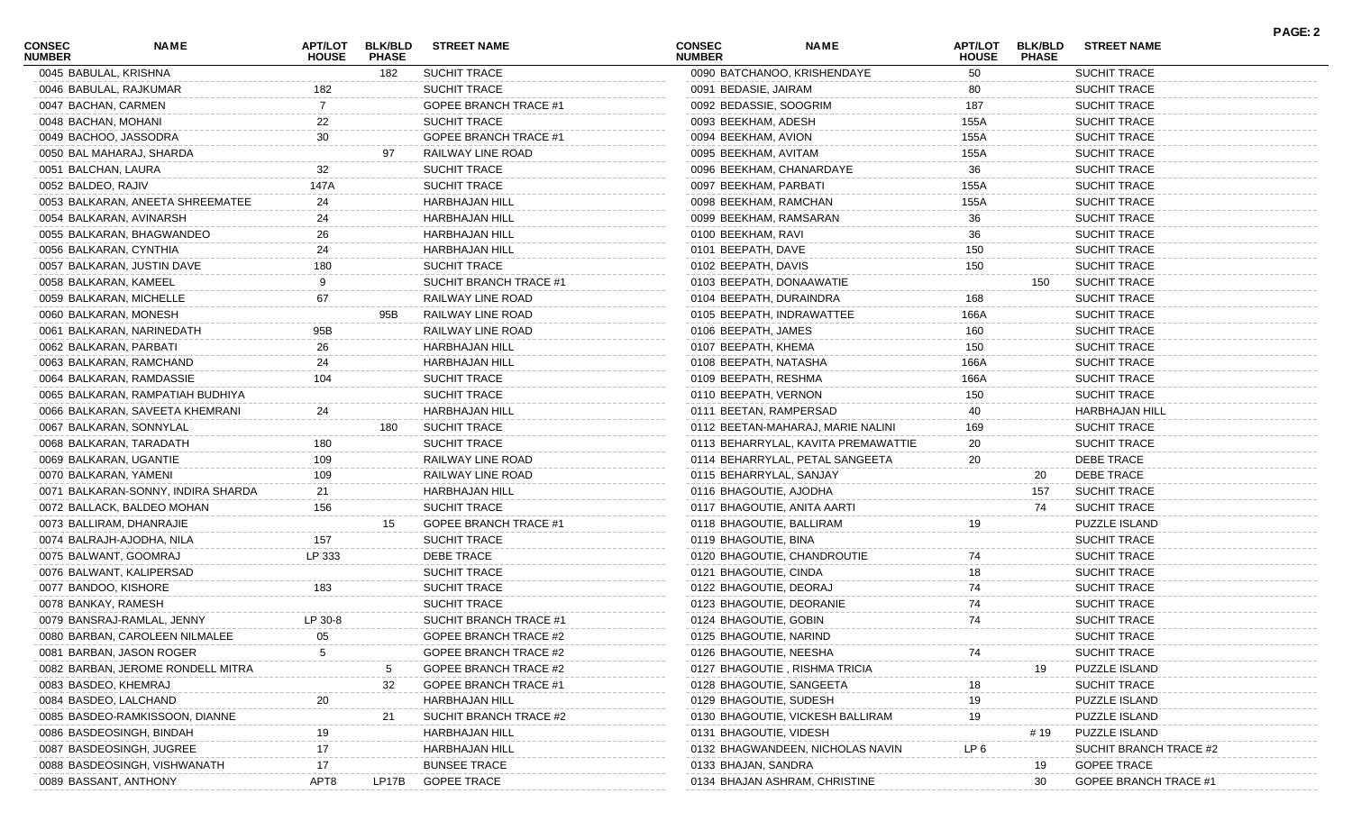| <b>CONSEC</b><br><b>NUMBER</b> | <b>NAME</b>                        | <b>APT/LOT</b><br><b>HOUSE</b> | <b>BLK/BLD</b><br><b>PHASE</b> | <b>STREET NAME</b>           | <b>CONSEC</b><br><b>NUMBER</b> | <b>NAME</b>                         | APT/LOT<br><b>HOUSE</b> | <b>BLK/BLD</b><br><b>PHASE</b> | <b>STREET NAME</b>           | <b>PAGE: 2</b> |
|--------------------------------|------------------------------------|--------------------------------|--------------------------------|------------------------------|--------------------------------|-------------------------------------|-------------------------|--------------------------------|------------------------------|----------------|
| 0045 BABULAL, KRISHNA          |                                    |                                | 182                            | <b>SUCHIT TRACE</b>          |                                | 0090 BATCHANOO, KRISHENDAYE         | 50                      |                                | <b>SUCHIT TRACE</b>          |                |
|                                | 0046 BABULAL, RAJKUMAR             | 182                            |                                | <b>SUCHIT TRACE</b>          | 0091 BEDASIE, JAIRAM           |                                     | 80                      |                                | <b>SUCHIT TRACE</b>          |                |
| 0047 BACHAN, CARMEN            |                                    |                                |                                | <b>GOPEE BRANCH TRACE #1</b> | 0092 BEDASSIE, SOOGRIM         |                                     | 187                     |                                | <b>SUCHIT TRACE</b>          |                |
| 0048 BACHAN, MOHANI            |                                    | 22                             |                                | <b>SUCHIT TRACE</b>          | 0093 BEEKHAM, ADESH            |                                     | 155A                    |                                | <b>SUCHIT TRACE</b>          |                |
| 0049 BACHOO, JASSODRA          |                                    | 30                             |                                | GOPEE BRANCH TRACE #1        | 0094 BEEKHAM, AVION            |                                     | 155A                    |                                | <b>SUCHIT TRACE</b>          |                |
|                                | 0050 BAL MAHARAJ, SHARDA           |                                | 97                             | RAILWAY LINE ROAD            | 0095 BEEKHAM, AVITAM           |                                     | 155A                    |                                | <b>SUCHIT TRACE</b>          |                |
| 0051 BALCHAN, LAURA            |                                    | 32                             |                                | SUCHIT TRACE                 | 0096 BEEKHAM, CHANARDAYE       |                                     | 36                      |                                | <b>SUCHIT TRACE</b>          |                |
| 0052 BALDEO, RAJIV             |                                    | 147A                           |                                | SUCHIT TRACE                 | 0097 BEEKHAM, PARBATI          |                                     | 155A                    |                                | <b>SUCHIT TRACE</b>          |                |
|                                | 0053 BALKARAN, ANEETA SHREEMATEE   | 24                             |                                | <b>HARBHAJAN HILL</b>        | 0098 BEEKHAM, RAMCHAN          |                                     | 155A                    |                                | <b>SUCHIT TRACE</b>          |                |
|                                | 0054 BALKARAN, AVINARSH            | 24                             |                                | <b>HARBHAJAN HILL</b>        | 0099 BEEKHAM, RAMSARAN         |                                     | 36                      |                                | <b>SUCHIT TRACE</b>          |                |
|                                | 0055 BALKARAN, BHAGWANDEO          | 26                             |                                | <b>HARBHAJAN HILL</b>        | 0100 BEEKHAM, RAVI             |                                     | 36                      |                                | <b>SUCHIT TRACE</b>          |                |
| 0056 BALKARAN, CYNTHIA         |                                    | 24                             |                                | <b>HARBHAJAN HILL</b>        | 0101 BEEPATH, DAVE             |                                     | 150                     |                                | <b>SUCHIT TRACE</b>          |                |
|                                | 0057 BALKARAN, JUSTIN DAVE         | 180                            |                                | SUCHIT TRACE                 | 0102 BEEPATH, DAVIS            |                                     | 150                     |                                | <b>SUCHIT TRACE</b>          |                |
| 0058 BALKARAN, KAMEEL          |                                    |                                |                                | SUCHIT BRANCH TRACE #1       | 0103 BEEPATH, DONAAWATIE       |                                     |                         | 150                            | <b>SUCHIT TRACE</b>          |                |
|                                | 0059 BALKARAN, MICHELLE            | 67                             |                                | RAILWAY LINE ROAD            | 0104 BEEPATH, DURAINDRA        |                                     | 168                     |                                | <b>SUCHIT TRACE</b>          |                |
| 0060 BALKARAN, MONESH          |                                    |                                | 95B                            | RAILWAY LINE ROAD            | 0105 BEEPATH, INDRAWATTEE      |                                     | 166A                    |                                | <b>SUCHIT TRACE</b>          |                |
|                                | 0061 BALKARAN, NARINEDATH          | 95B                            |                                | RAILWAY LINE ROAD            | 0106 BEEPATH, JAMES            |                                     | 160                     |                                | <b>SUCHIT TRACE</b>          |                |
| 0062 BALKARAN, PARBATI         |                                    | 26                             |                                | <b>HARBHAJAN HILL</b>        | 0107 BEEPATH, KHEMA            |                                     | 150                     |                                | <b>SUCHIT TRACE</b>          |                |
|                                | 0063 BALKARAN, RAMCHAND            | 24                             |                                | <b>HARBHAJAN HILL</b>        | 0108 BEEPATH, NATASHA          |                                     | 166A                    |                                | <b>SUCHIT TRACE</b>          |                |
|                                | 0064 BALKARAN, RAMDASSIE           | 104                            |                                | SUCHIT TRACE                 | 0109 BEEPATH, RESHMA           |                                     | 166A                    |                                | <b>SUCHIT TRACE</b>          |                |
|                                | 0065 BALKARAN, RAMPATIAH BUDHIYA   |                                |                                | SUCHIT TRACE                 | 0110 BEEPATH, VERNON           |                                     | 150                     |                                | <b>SUCHIT TRACE</b>          |                |
|                                | 0066 BALKARAN, SAVEETA KHEMRANI    | 24                             |                                | <b>HARBHAJAN HILL</b>        | 0111 BEETAN, RAMPERSAD         |                                     | 40                      |                                | <b>HARBHAJAN HILL</b>        |                |
|                                | 0067 BALKARAN, SONNYLAL            |                                | 180                            | <b>SUCHIT TRACE</b>          |                                | 0112 BEETAN-MAHARAJ, MARIE NALINI   | 169                     |                                | <b>SUCHIT TRACE</b>          |                |
|                                | 0068 BALKARAN, TARADATH            | 180                            |                                | SUCHIT TRACE                 |                                | 0113 BEHARRYLAL, KAVITA PREMAWATTIE | 20                      |                                | <b>SUCHIT TRACE</b>          |                |
| 0069 BALKARAN, UGANTIE         |                                    | 109                            |                                | RAILWAY LINE ROAD            |                                | 0114 BEHARRYLAL, PETAL SANGEETA     | 20                      |                                | DEBE TRACE                   |                |
| 0070 BALKARAN, YAMENI          |                                    | 109                            |                                | RAILWAY LINE ROAD            | 0115 BEHARRYLAL, SANJAY        |                                     |                         | 20                             | DEBE TRACE                   |                |
|                                | 0071 BALKARAN-SONNY, INDIRA SHARDA | 21                             |                                | <b>HARBHAJAN HILL</b>        | 0116 BHAGOUTIE, AJODHA         |                                     |                         | 157                            | <b>SUCHIT TRACE</b>          |                |
|                                | 0072 BALLACK, BALDEO MOHAN         | 156                            |                                | <b>SUCHIT TRACE</b>          | 0117 BHAGOUTIE, ANITA AARTI    |                                     |                         | 74                             | <b>SUCHIT TRACE</b>          |                |
|                                | 0073 BALLIRAM, DHANRAJIE           |                                | 15                             | GOPEE BRANCH TRACE #1        | 0118 BHAGOUTIE, BALLIRAM       |                                     | 19                      |                                | PUZZLE ISLAND                |                |
|                                | 0074 BALRAJH-AJODHA, NILA          | 157                            |                                | <b>SUCHIT TRACE</b>          | 0119 BHAGOUTIE, BINA           |                                     |                         |                                | <b>SUCHIT TRACE</b>          |                |
| 0075 BALWANT, GOOMRAJ          |                                    | LP 333                         |                                | DEBE TRACE                   |                                | 0120 BHAGOUTIE, CHANDROUTIE         | 74                      |                                | <b>SUCHIT TRACE</b>          |                |
|                                | 0076 BALWANT, KALIPERSAD           |                                |                                | SUCHIT TRACE                 | 0121 BHAGOUTIE, CINDA          |                                     | 18                      |                                | <b>SUCHIT TRACE</b>          |                |
| 0077 BANDOO, KISHORE           |                                    | 183                            |                                | <b>SUCHIT TRACE</b>          | 0122 BHAGOUTIE, DEORAJ         |                                     | 74                      |                                | <b>SUCHIT TRACE</b>          |                |
| 0078 BANKAY, RAMESH            |                                    |                                |                                | SUCHIT TRACE                 | 0123 BHAGOUTIE, DEORANIE       |                                     | 74                      |                                | <b>SUCHIT TRACE</b>          |                |
|                                | 0079 BANSRAJ-RAMLAL, JENNY         | LP 30-8                        |                                | SUCHIT BRANCH TRACE #1       | 0124 BHAGOUTIE, GOBIN          |                                     | 74                      |                                | <b>SUCHIT TRACE</b>          |                |
|                                | 0080 BARBAN, CAROLEEN NILMALEE     | 05                             |                                | GOPEE BRANCH TRACE #2        | 0125 BHAGOUTIE, NARIND         |                                     |                         |                                | <b>SUCHIT TRACE</b>          |                |
|                                | 0081 BARBAN, JASON ROGER           |                                |                                | GOPEE BRANCH TRACE #2        | 0126 BHAGOUTIE, NEESHA         |                                     |                         |                                | <b>SUCHIT TRACE</b>          |                |
|                                | 0082 BARBAN, JEROME RONDELL MITRA  |                                |                                | GOPEE BRANCH TRACE #2        |                                | 0127 BHAGOUTIE, RISHMA TRICIA       |                         | 19                             | <b>PUZZLE ISLAND</b>         |                |
| 0083 BASDEO, KHEMRAJ           |                                    |                                | 32                             | GOPEE BRANCH TRACE #1        | 0128 BHAGOUTIE, SANGEETA       |                                     | 18                      |                                | <b>SUCHIT TRACE</b>          |                |
| 0084 BASDEO, LALCHAND          |                                    |                                |                                | <b>HARBHAJAN HILL</b>        | 0129 BHAGOUTIE, SUDESH         |                                     | 19                      |                                | <b>PUZZLE ISLAND</b>         |                |
|                                | 0085 BASDEO-RAMKISSOON, DIANNE     |                                | 21                             | SUCHIT BRANCH TRACE #2       |                                | 0130 BHAGOUTIE, VICKESH BALLIRAM    | 19                      |                                | <b>PUZZLE ISLAND</b>         |                |
|                                | 0086 BASDEOSINGH, BINDAH           |                                |                                | <b>HARBHAJAN HILL</b>        | 0131 BHAGOUTIE, VIDESH         |                                     |                         | # 19                           | PUZZLE ISLAND                |                |
|                                | 0087 BASDEOSINGH, JUGREE           | 17                             |                                | <b>HARBHAJAN HILL</b>        |                                | 0132 BHAGWANDEEN, NICHOLAS NAVIN    | LP 6                    |                                | SUCHIT BRANCH TRACE #2       |                |
|                                | 0088 BASDEOSINGH, VISHWANATH       | 17                             |                                | <b>BUNSEE TRACE</b>          | 0133 BHAJAN, SANDRA            |                                     |                         | 19                             | <b>GOPEE TRACE</b>           |                |
| 0089 BASSANT, ANTHONY          |                                    | APT8                           | LP17B                          | <b>GOPEE TRACE</b>           |                                | 0134 BHAJAN ASHRAM, CHRISTINE       |                         | 30                             | <b>GOPEE BRANCH TRACE #1</b> |                |
|                                |                                    |                                |                                |                              |                                |                                     |                         |                                |                              |                |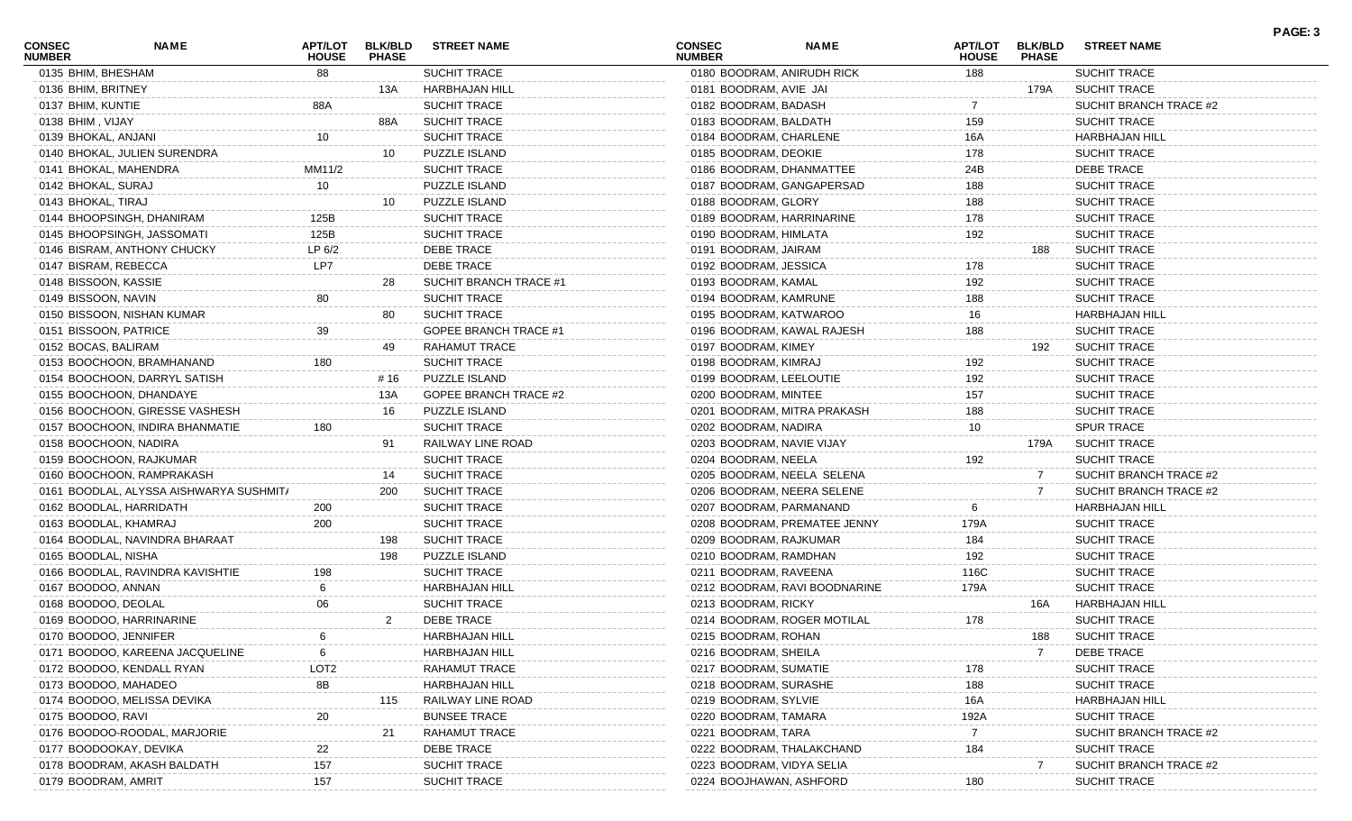| <b>CONSEC</b><br><b>NUMBER</b> | NAME                                    | APT/LOT<br><b>HOUSE</b> | <b>BLK/BLD</b><br><b>PHASE</b> | <b>STREET NAME</b>           | <b>CONSEC</b><br><b>NUMBER</b> | <b>NAME</b>                   | <b>APT/LOT</b><br><b>HOUSE</b> | <b>BLK/BLD</b><br><b>PHASE</b> | <b>STREET NAME</b>     | PAGE: 3 |
|--------------------------------|-----------------------------------------|-------------------------|--------------------------------|------------------------------|--------------------------------|-------------------------------|--------------------------------|--------------------------------|------------------------|---------|
| 0135 BHIM, BHESHAM             |                                         | 88                      |                                | <b>SUCHIT TRACE</b>          | 0180 BOODRAM, ANIRUDH RICK     |                               | 188                            |                                | SUCHIT TRACE           |         |
| 0136 BHIM, BRITNEY             |                                         |                         | 13A                            | HARBHAJAN HILL               | 0181 BOODRAM, AVIE JAI         |                               |                                | 179A                           | <b>SUCHIT TRACE</b>    |         |
| 0137 BHIM, KUNTIE              |                                         | 88A                     |                                | <b>SUCHIT TRACE</b>          | 0182 BOODRAM, BADASH           |                               |                                |                                | SUCHIT BRANCH TRACE #2 |         |
| 0138 BHIM, VIJAY               |                                         |                         | 88A                            | <b>SUCHIT TRACE</b>          | 0183 BOODRAM, BALDATH          |                               | 159                            |                                | SUCHIT TRACE           |         |
| 0139 BHOKAL, ANJANI            |                                         | 10                      |                                | <b>SUCHIT TRACE</b>          | 0184 BOODRAM, CHARLENE         |                               | 16A                            |                                | <b>HARBHAJAN HILL</b>  |         |
|                                | 0140 BHOKAL, JULIEN SURENDRA            |                         | 10                             | PUZZLE ISLAND                | 0185 BOODRAM, DEOKIE           |                               | 178                            |                                | SUCHIT TRACE           |         |
|                                | 0141 BHOKAL, MAHENDRA                   | MM11/2                  |                                | <b>SUCHIT TRACE</b>          | 0186 BOODRAM, DHANMATTEE       |                               | 24B                            |                                | DEBE TRACE             |         |
| 0142 BHOKAL, SURAJ             |                                         | 10                      |                                | PUZZLE ISLAND                | 0187 BOODRAM, GANGAPERSAD      |                               | 188                            |                                | SUCHIT TRACE           |         |
| 0143 BHOKAL, TIRAJ             |                                         |                         | 10                             | PUZZLE ISLAND                | 0188 BOODRAM, GLORY            |                               | 188                            |                                | <b>SUCHIT TRACE</b>    |         |
|                                | 0144 BHOOPSINGH, DHANIRAM               | 125B                    |                                | <b>SUCHIT TRACE</b>          | 0189 BOODRAM, HARRINARINE      |                               | 178                            |                                | SUCHIT TRACE           |         |
|                                | 0145 BHOOPSINGH, JASSOMATI              | 125B                    |                                | <b>SUCHIT TRACE</b>          | 0190 BOODRAM, HIMLATA          |                               | 192                            |                                | SUCHIT TRACE           |         |
|                                | 0146 BISRAM, ANTHONY CHUCKY             | LP 6/2                  |                                | <b>DEBE TRACE</b>            | 0191 BOODRAM, JAIRAM           |                               |                                | 188                            | <b>SUCHIT TRACE</b>    |         |
| 0147 BISRAM, REBECCA           |                                         | LP7                     |                                | <b>DEBE TRACE</b>            | 0192 BOODRAM, JESSICA          |                               | 178                            |                                | <b>SUCHIT TRACE</b>    |         |
| 0148 BISSOON, KASSIE           |                                         |                         | 28                             | SUCHIT BRANCH TRACE #1       | 0193 BOODRAM, KAMAL            |                               | 192                            |                                | SUCHIT TRACE           |         |
| 0149 BISSOON, NAVIN            |                                         | 80                      |                                | <b>SUCHIT TRACE</b>          | 0194 BOODRAM, KAMRUNE          |                               | 188                            |                                | SUCHIT TRACE           |         |
|                                | 0150 BISSOON, NISHAN KUMAR              |                         | 80                             | <b>SUCHIT TRACE</b>          | 0195 BOODRAM, KATWAROO         |                               | 16                             |                                | <b>HARBHAJAN HILL</b>  |         |
| 0151 BISSOON, PATRICE          |                                         | 39                      |                                | <b>GOPEE BRANCH TRACE #1</b> | 0196 BOODRAM, KAWAL RAJESH     |                               | 188                            |                                | <b>SUCHIT TRACE</b>    |         |
| 0152 BOCAS, BALIRAM            |                                         |                         | 49                             | RAHAMUT TRACE                | 0197 BOODRAM, KIMEY            |                               |                                | 192                            | <b>SUCHIT TRACE</b>    |         |
|                                | 0153 BOOCHOON, BRAMHANAND               | 180                     |                                | <b>SUCHIT TRACE</b>          | 0198 BOODRAM, KIMRAJ           |                               | 192                            |                                | <b>SUCHIT TRACE</b>    |         |
|                                | 0154 BOOCHOON, DARRYL SATISH            |                         | # 16                           | PUZZLE ISLAND                | 0199 BOODRAM, LEELOUTIE        |                               | 192                            |                                | <b>SUCHIT TRACE</b>    |         |
|                                | 0155 BOOCHOON, DHANDAYE                 |                         | 13A                            | <b>GOPEE BRANCH TRACE #2</b> | 0200 BOODRAM, MINTEE           |                               | 157                            |                                | <b>SUCHIT TRACE</b>    |         |
|                                | 0156 BOOCHOON, GIRESSE VASHESH          |                         | 16                             | PUZZLE ISLAND                |                                | 0201 BOODRAM, MITRA PRAKASH   | 188                            |                                | SUCHIT TRACE           |         |
|                                | 0157 BOOCHOON, INDIRA BHANMATIE         | 180                     |                                | <b>SUCHIT TRACE</b>          | 0202 BOODRAM, NADIRA           |                               | 10                             |                                | <b>SPUR TRACE</b>      |         |
|                                | 0158 BOOCHOON, NADIRA                   |                         | 91                             | RAILWAY LINE ROAD            | 0203 BOODRAM, NAVIE VIJAY      |                               |                                | 179A                           | <b>SUCHIT TRACE</b>    |         |
|                                |                                         |                         |                                | <b>SUCHIT TRACE</b>          | 0204 BOODRAM, NEELA            |                               |                                |                                | <b>SUCHIT TRACE</b>    |         |
|                                | 0159 BOOCHOON, RAJKUMAR                 |                         |                                |                              |                                |                               | 192                            |                                |                        |         |
|                                | 0160 BOOCHOON, RAMPRAKASH               |                         | 14                             | <b>SUCHIT TRACE</b>          | 0205 BOODRAM, NEELA SELENA     |                               |                                | $\mathbf{7}$                   | SUCHIT BRANCH TRACE #2 |         |
|                                | 0161 BOODLAL, ALYSSA AISHWARYA SUSHMIT/ |                         | 200                            | <b>SUCHIT TRACE</b>          | 0206 BOODRAM, NEERA SELENE     |                               |                                | $\mathbf{7}$                   | SUCHIT BRANCH TRACE #2 |         |
|                                | 0162 BOODLAL, HARRIDATH                 | 200                     |                                | <b>SUCHIT TRACE</b>          | 0207 BOODRAM, PARMANAND        |                               |                                |                                | <b>HARBHAJAN HILL</b>  |         |
|                                | 0163 BOODLAL, KHAMRAJ                   | 200                     |                                | <b>SUCHIT TRACE</b>          |                                | 0208 BOODRAM, PREMATEE JENNY  | 179A                           |                                | <b>SUCHIT TRACE</b>    |         |
|                                | 0164 BOODLAL, NAVINDRA BHARAAT          |                         | 198                            | <b>SUCHIT TRACE</b>          | 0209 BOODRAM, RAJKUMAR         |                               | 184                            |                                | SUCHIT TRACE           |         |
| 0165 BOODLAL, NISHA            |                                         |                         | 198                            | PUZZLE ISLAND                | 0210 BOODRAM, RAMDHAN          |                               | 192                            |                                | SUCHIT TRACE           |         |
|                                | 0166 BOODLAL, RAVINDRA KAVISHTIE        | 198                     |                                | <b>SUCHIT TRACE</b>          | 0211 BOODRAM, RAVEENA          |                               | 116C                           |                                | SUCHIT TRACE           |         |
| 0167 BOODOO, ANNAN             |                                         | 6                       |                                | <b>HARBHAJAN HILL</b>        |                                | 0212 BOODRAM, RAVI BOODNARINE | 179A                           |                                | <b>SUCHIT TRACE</b>    |         |
| 0168 BOODOO, DEOLAL            |                                         | 06                      |                                | <b>SUCHIT TRACE</b>          | 0213 BOODRAM, RICKY            |                               |                                | 16A                            | HARBHAJAN HILL         |         |
|                                | 0169 BOODOO, HARRINARINE                |                         | 2                              | <b>DEBE TRACE</b>            |                                | 0214 BOODRAM, ROGER MOTILAL   | 178                            |                                | <b>SUCHIT TRACE</b>    |         |
|                                | 0170 BOODOO, JENNIFER                   |                         |                                | HARBHAJAN HILL               | 0215 BOODRAM, ROHAN            |                               |                                | 188                            | SUCHIT TRACE           |         |
|                                | 0171 BOODOO, KAREENA JACQUELINE         |                         |                                | HARBHAJAN HILL               | 0216 BOODRAM, SHEILA           |                               |                                |                                | DEBE TRACE             |         |
|                                | 0172 BOODOO, KENDALL RYAN               | LOT <sub>2</sub>        |                                | <b>RAHAMUT TRACE</b>         | 0217 BOODRAM, SUMATIE          |                               | 178                            |                                | SUCHIT TRACE           |         |
|                                | 0173 BOODOO, MAHADEO                    | 8B                      |                                | HARBHAJAN HILL               | 0218 BOODRAM, SURASHE          |                               | 188                            |                                | SUCHIT TRACE           |         |
|                                | 0174 BOODOO, MELISSA DEVIKA             |                         | 115                            | RAILWAY LINE ROAD            | 0219 BOODRAM, SYLVIE           |                               | 16A                            |                                | HARBHAJAN HILL         |         |
| 0175 BOODOO, RAVI              |                                         | 20                      |                                | <b>BUNSEE TRACE</b>          | 0220 BOODRAM, TAMARA           |                               | 192A                           |                                | SUCHIT TRACE           |         |
|                                | 0176 BOODOO-ROODAL, MARJORIE            |                         | 21                             | <b>RAHAMUT TRACE</b>         | 0221 BOODRAM, TARA             |                               | 7                              |                                | SUCHIT BRANCH TRACE #2 |         |
|                                | 0177 BOODOOKAY, DEVIKA                  | 22                      |                                | DEBE TRACE                   | 0222 BOODRAM, THALAKCHAND      |                               | 184                            |                                | SUCHIT TRACE           |         |
|                                | 0178 BOODRAM, AKASH BALDATH             | 157                     |                                | SUCHIT TRACE                 | 0223 BOODRAM, VIDYA SELIA      |                               |                                |                                | SUCHIT BRANCH TRACE #2 |         |
| 0179 BOODRAM, AMRIT            |                                         | 157                     |                                | <b>SUCHIT TRACE</b>          | 0224 BOOJHAWAN, ASHFORD        |                               | 180                            |                                | SUCHIT TRACE           |         |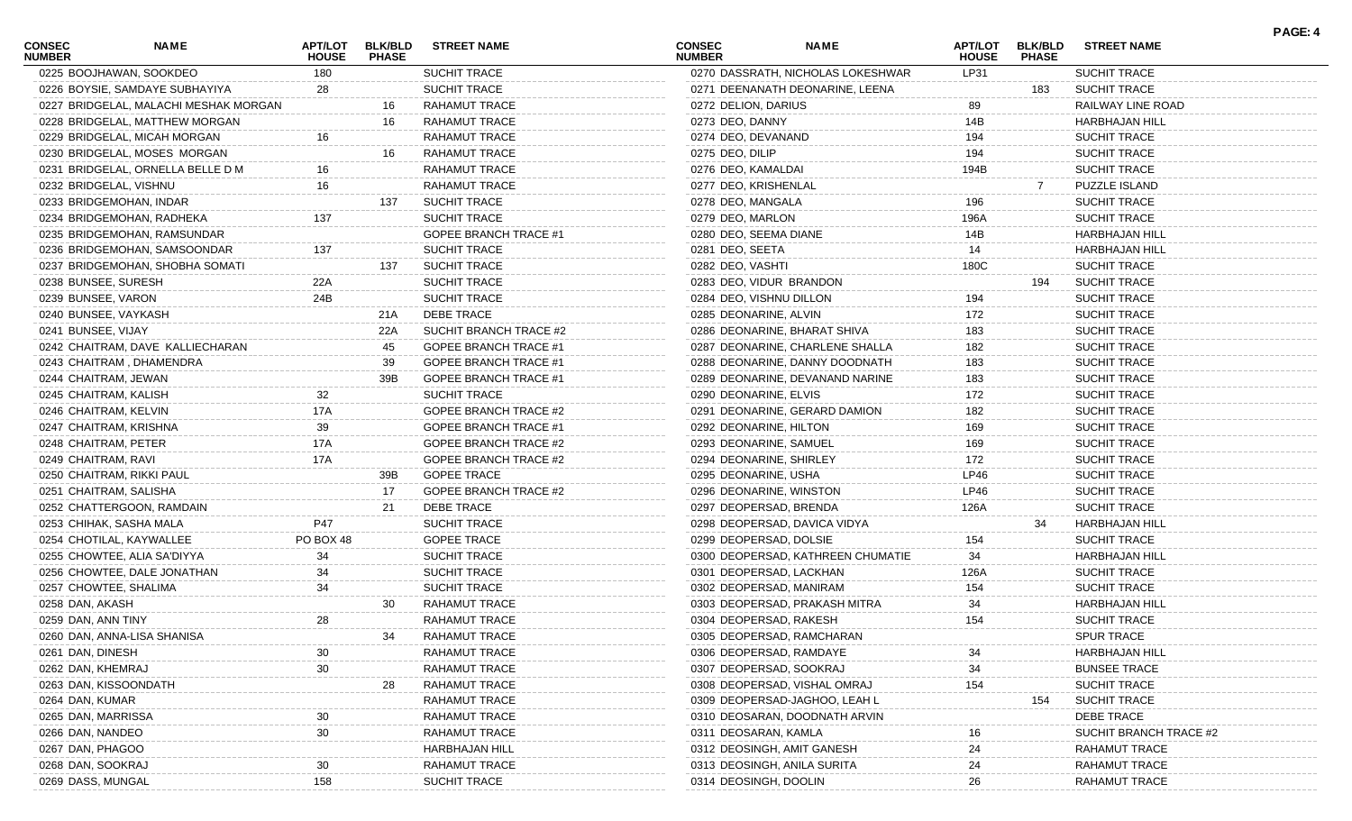| <b>CONSEC</b><br><b>NUMBER</b> | <b>NAME</b>                           | <b>HOUSE</b> | <b>PHASE</b> | APT/LOT BLK/BLD STREET NAME  | <b>CONSEC</b><br><b>NUMBER</b> | <b>NAME</b>                       | <b>HOUSE</b> | APT/LOT BLK/BLD<br><b>PHASE</b> | <b>STREET NAME</b>     | . AVL. 7 |
|--------------------------------|---------------------------------------|--------------|--------------|------------------------------|--------------------------------|-----------------------------------|--------------|---------------------------------|------------------------|----------|
|                                | 0225 BOOJHAWAN, SOOKDEO               | 180          |              | SUCHIT TRACE                 |                                | 0270 DASSRATH, NICHOLAS LOKESHWAR | LP31         |                                 | SUCHIT TRACE           |          |
|                                | 0226 BOYSIE, SAMDAYE SUBHAYIYA        | 28           |              | SUCHIT TRACE                 |                                | 0271 DEENANATH DEONARINE, LEENA   |              | 183                             | <b>SUCHIT TRACE</b>    |          |
|                                | 0227 BRIDGELAL, MALACHI MESHAK MORGAN |              | 16           | RAHAMUT TRACE                | 0272 DELION, DARIUS            |                                   | 89           |                                 | RAILWAY LINE ROAD      |          |
|                                | 0228 BRIDGELAL, MATTHEW MORGAN        |              | 16           | RAHAMUT TRACE                | 0273 DEO, DANNY                |                                   | 14B          |                                 | <b>HARBHAJAN HILL</b>  |          |
|                                | 0229 BRIDGELAL, MICAH MORGAN          | 16           |              | RAHAMUT TRACE                | 0274 DEO, DEVANAND             |                                   | 194          |                                 | <b>SUCHIT TRACE</b>    |          |
|                                | 0230 BRIDGELAL, MOSES MORGAN          |              | 16           | RAHAMUT TRACE                | 0275 DEO, DILIP                |                                   | 194          |                                 | <b>SUCHIT TRACE</b>    |          |
|                                | 0231 BRIDGELAL, ORNELLA BELLE D M     | 16.          |              | <b>RAHAMUT TRACE</b>         | 0276 DEO, KAMALDAI             |                                   | 194B         |                                 | SUCHIT TRACE           |          |
|                                | 0232 BRIDGELAL, VISHNU                | 16           |              | RAHAMUT TRACE                | 0277 DEO, KRISHENLAL           |                                   |              |                                 | PUZZLE ISLAND          |          |
|                                | 0233 BRIDGEMOHAN, INDAR               |              | 137          | <b>SUCHIT TRACE</b>          | 0278 DEO, MANGALA              |                                   | 196          |                                 | <b>SUCHIT TRACE</b>    |          |
|                                | 0234 BRIDGEMOHAN, RADHEKA             | 137          |              | SUCHIT TRACE                 | 0279 DEO, MARLON               |                                   | 196A         |                                 | SUCHIT TRACE           |          |
|                                | 0235 BRIDGEMOHAN, RAMSUNDAR           |              |              | <b>GOPEE BRANCH TRACE #1</b> | 0280 DEO, SEEMA DIANE          |                                   | 14B          |                                 | <b>HARBHAJAN HILL</b>  |          |
|                                | 0236 BRIDGEMOHAN, SAMSOONDAR          | 137          |              | SUCHIT TRACE                 | 0281 DEO, SEETA                |                                   | 14           |                                 | <b>HARBHAJAN HILL</b>  |          |
|                                | 0237 BRIDGEMOHAN, SHOBHA SOMATI       |              | 137          | <b>SUCHIT TRACE</b>          | 0282 DEO, VASHTI               |                                   | 180C         |                                 | <b>SUCHIT TRACE</b>    |          |
|                                | 0238 BUNSEE, SURESH                   | 22A          |              | <b>SUCHIT TRACE</b>          |                                | 0283 DEO, VIDUR BRANDON           |              | 194                             | <b>SUCHIT TRACE</b>    |          |
| 0239 BUNSEE, VARON             |                                       | 24B          |              | SUCHIT TRACE                 | 0284 DEO, VISHNU DILLON        |                                   | 194          |                                 | <b>SUCHIT TRACE</b>    |          |
|                                | 0240 BUNSEE, VAYKASH                  |              | 21A          | DEBE TRACE                   | 0285 DEONARINE, ALVIN          |                                   | 172          |                                 | <b>SUCHIT TRACE</b>    |          |
| 0241 BUNSEE, VIJAY             |                                       |              | 22A          | SUCHIT BRANCH TRACE #2       |                                | 0286 DEONARINE, BHARAT SHIVA      | 183          |                                 | <b>SUCHIT TRACE</b>    |          |
|                                | 0242 CHAITRAM, DAVE KALLIECHARAN      |              | 45           | <b>GOPEE BRANCH TRACE #1</b> |                                | 0287 DEONARINE, CHARLENE SHALLA   | 182          |                                 | SUCHIT TRACE           |          |
|                                | 0243 CHAITRAM, DHAMENDRA              |              | 39           | GOPEE BRANCH TRACE #1        |                                | 0288 DEONARINE, DANNY DOODNATH    | 183          |                                 | SUCHIT TRACE           |          |
|                                | 0244 CHAITRAM, JEWAN                  |              | 39B          | <b>GOPEE BRANCH TRACE #1</b> |                                | 0289 DEONARINE, DEVANAND NARINE   | 183          |                                 | <b>SUCHIT TRACE</b>    |          |
|                                | 0245 CHAITRAM, KALISH                 | 32           |              | <b>SUCHIT TRACE</b>          | 0290 DEONARINE, ELVIS          |                                   | 172          |                                 | <b>SUCHIT TRACE</b>    |          |
|                                | 0246 CHAITRAM, KELVIN                 | 17A          |              | <b>GOPEE BRANCH TRACE #2</b> |                                | 0291 DEONARINE, GERARD DAMION     | 182          |                                 | SUCHIT TRACE           |          |
|                                | 0247 CHAITRAM, KRISHNA                | 39           |              | GOPEE BRANCH TRACE #1        | 0292 DEONARINE, HILTON         |                                   | 169          |                                 | <b>SUCHIT TRACE</b>    |          |
|                                | 0248 CHAITRAM, PETER                  | 17A          |              | <b>GOPEE BRANCH TRACE #2</b> | 0293 DEONARINE, SAMUEL         |                                   | 169          |                                 | <b>SUCHIT TRACE</b>    |          |
| 0249 CHAITRAM, RAVI            |                                       | 17A          |              | GOPEE BRANCH TRACE #2        | 0294 DEONARINE, SHIRLEY        |                                   | 172          |                                 | <b>SUCHIT TRACE</b>    |          |
|                                | 0250 CHAITRAM, RIKKI PAUL             |              | 39B          | <b>GOPEE TRACE</b>           | 0295 DEONARINE, USHA           |                                   | LP46         |                                 | SUCHIT TRACE           |          |
|                                | 0251 CHAITRAM, SALISHA                |              | 17           | GOPEE BRANCH TRACE #2        |                                | 0296 DEONARINE, WINSTON           | LP46         |                                 | SUCHIT TRACE           |          |
|                                | 0252 CHATTERGOON, RAMDAIN             |              | 21           | DEBE TRACE                   |                                | 0297 DEOPERSAD, BRENDA            | 126A         |                                 | SUCHIT TRACE           |          |
|                                | 0253 CHIHAK, SASHA MALA               | P47          |              | SUCHIT TRACE                 |                                | 0298 DEOPERSAD, DAVICA VIDYA      |              | 34                              | HARBHAJAN HILL         |          |
|                                | 0254 CHOTILAL, KAYWALLEE              | PO BOX 48    |              | <b>GOPEE TRACE</b>           | 0299 DEOPERSAD, DOLSIE         |                                   | 154          |                                 | SUCHIT TRACE           |          |
|                                | 0255 CHOWTEE, ALIA SA'DIYYA           | 34           |              | SUCHIT TRACE                 |                                | 0300 DEOPERSAD, KATHREEN CHUMATIE | 34           |                                 | <b>HARBHAJAN HILL</b>  |          |
|                                | 0256 CHOWTEE, DALE JONATHAN           | 34           |              | SUCHIT TRACE                 |                                | 0301 DEOPERSAD, LACKHAN           | 126A         |                                 | <b>SUCHIT TRACE</b>    |          |
|                                | 0257 CHOWTEE, SHALIMA                 | 34           |              | SUCHIT TRACE                 |                                | 0302 DEOPERSAD, MANIRAM           | 154          |                                 | SUCHIT TRACE           |          |
| 0258 DAN, AKASH                |                                       |              | 30           | RAHAMUT TRACE                |                                | 0303 DEOPERSAD, PRAKASH MITRA     | 34           |                                 | HARBHAJAN HILL         |          |
| 0259 DAN, ANN TINY             |                                       | 28           |              | <b>RAHAMUT TRACE</b>         |                                | 0304 DEOPERSAD, RAKESH            | 154          |                                 | SUCHIT TRACE           |          |
|                                | 0260 DAN, ANNA-LISA SHANISA           |              |              | RAHAMUT TRACE                |                                | 0305 DEOPERSAD, RAMCHARAN         |              |                                 | SPUR TRACE             |          |
| 0261 DAN, DINESH               |                                       | 30           |              | RAHAMUT TRACE                |                                | 0306 DEOPERSAD, RAMDAYE           |              |                                 | HARBHAJAN HILL         |          |
| 0262 DAN, KHEMRAJ              |                                       |              |              | <b>RAHAMUT TRACE</b>         |                                | 0307 DEOPERSAD, SOOKRAJ           |              |                                 | <b>BUNSEE TRACE</b>    |          |
|                                | 0263 DAN, KISSOONDATH                 |              |              | RAHAMUT TRACE                |                                | 0308 DEOPERSAD, VISHAL OMRAJ      | 154          |                                 | <b>SUCHIT TRACE</b>    |          |
| 0264 DAN, KUMAR                |                                       |              |              | <b>RAHAMUT TRACE</b>         |                                | 0309 DEOPERSAD-JAGHOO, LEAH L     |              | 154                             | <b>SUCHIT TRACE</b>    |          |
| 0265 DAN, MARRISSA             |                                       |              |              | <b>RAHAMUT TRACE</b>         |                                | 0310 DEOSARAN, DOODNATH ARVIN     |              |                                 | DEBE TRACE             |          |
| 0266 DAN, NANDEO               |                                       |              |              | <b>RAHAMUT TRACE</b>         | 0311 DEOSARAN, KAMLA           |                                   |              |                                 | SUCHIT BRANCH TRACE #2 |          |
| 0267 DAN, PHAGOO               |                                       |              |              | <b>HARBHAJAN HILL</b>        |                                | 0312 DEOSINGH, AMIT GANESH        | 24           |                                 | RAHAMUT TRACE          |          |
| 0268 DAN, SOOKRAJ              |                                       |              |              | <b>RAHAMUT TRACE</b>         |                                | 0313 DEOSINGH, ANILA SURITA       | 24           |                                 | RAHAMUT TRACE          |          |
| 0269 DASS, MUNGAL              |                                       | 158          |              | SUCHIT TRACE                 | 0314 DEOSINGH, DOOLIN          |                                   | 26           |                                 | RAHAMUT TRACE          |          |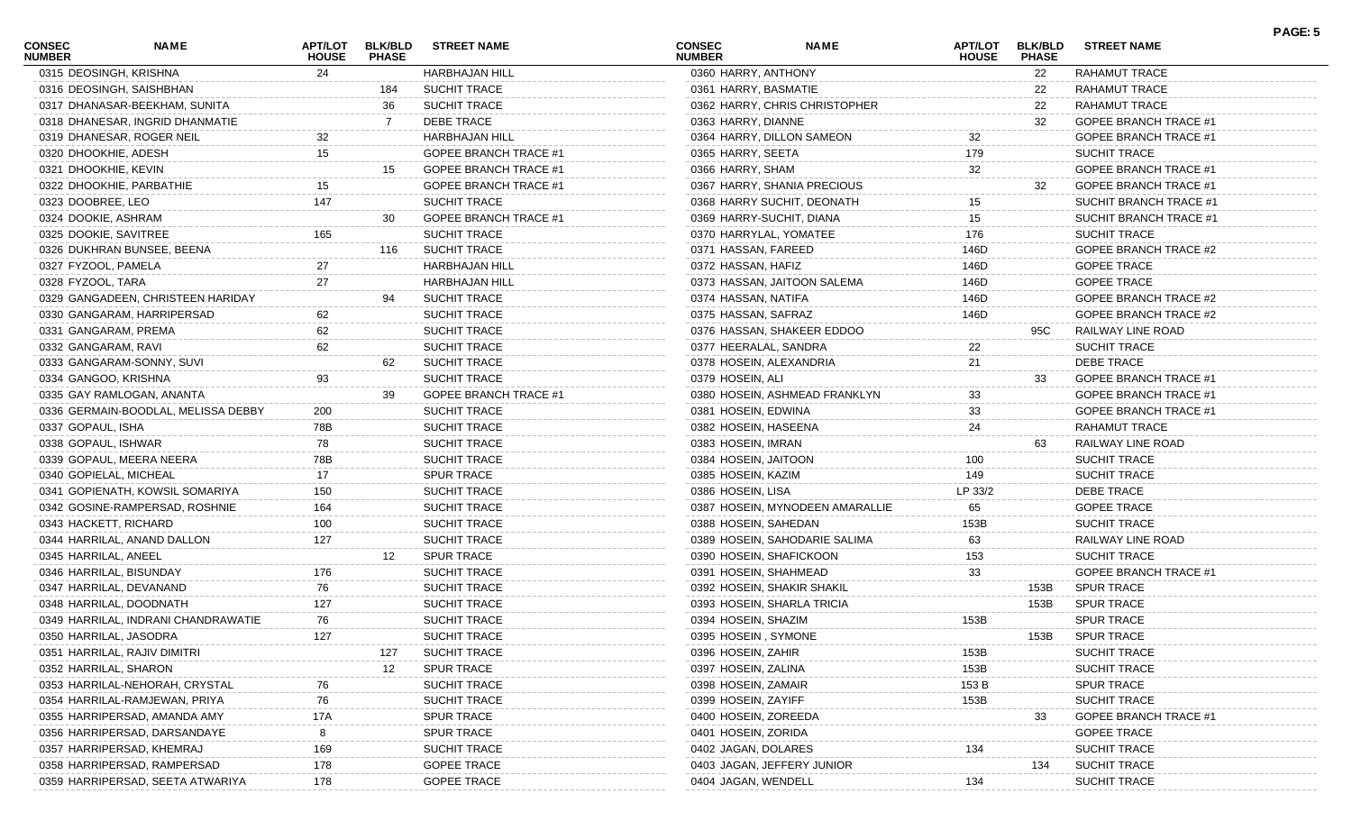| <b>CONSEC</b><br><b>NUMBER</b> | <b>NAME</b>                         | APT/LOT<br><b>HOUSE</b> | <b>BLK/BLD</b><br><b>PHASE</b> | <b>STREET NAME</b>                     | <b>CONSEC</b><br><b>NUMBER</b>             | <b>NAME</b>                     | <b>APT/LOT</b><br><b>HOUSE</b> | <b>BLK/BLD</b><br><b>PHASE</b> | <b>STREET NAME</b>                         | PAGE: 5 |
|--------------------------------|-------------------------------------|-------------------------|--------------------------------|----------------------------------------|--------------------------------------------|---------------------------------|--------------------------------|--------------------------------|--------------------------------------------|---------|
| 0315 DEOSINGH, KRISHNA         |                                     | 24                      |                                | <b>HARBHAJAN HILL</b>                  | 0360 HARRY, ANTHONY                        |                                 |                                | 22                             | <b>RAHAMUT TRACE</b>                       |         |
|                                | 0316 DEOSINGH, SAISHBHAN            |                         | 184                            | <b>SUCHIT TRACE</b>                    | 0361 HARRY, BASMATIE                       |                                 |                                | 22                             | RAHAMUT TRACE                              |         |
|                                | 0317 DHANASAR-BEEKHAM, SUNITA       |                         | 36                             | <b>SUCHIT TRACE</b>                    |                                            | 0362 HARRY, CHRIS CHRISTOPHER   |                                | 22                             | RAHAMUT TRACE                              |         |
|                                | 0318 DHANESAR, INGRID DHANMATIE     |                         |                                | DEBE TRACE                             | 0363 HARRY, DIANNE                         |                                 |                                | 32                             | <b>GOPEE BRANCH TRACE #1</b>               |         |
|                                | 0319 DHANESAR, ROGER NEIL           | 32                      |                                | <b>HARBHAJAN HILL</b>                  |                                            | 0364 HARRY, DILLON SAMEON       | 32                             |                                | <b>GOPEE BRANCH TRACE #1</b>               |         |
| 0320 DHOOKHIE, ADESH           |                                     | 15                      |                                | <b>GOPEE BRANCH TRACE #1</b>           | 0365 HARRY, SEETA                          |                                 | 179                            |                                | <b>SUCHIT TRACE</b>                        |         |
| 0321 DHOOKHIE, KEVIN           |                                     |                         |                                | GOPEE BRANCH TRACE #1                  | 0366 HARRY, SHAM                           |                                 | 32                             |                                | <b>GOPEE BRANCH TRACE #1</b>               |         |
|                                | 0322 DHOOKHIE, PARBATHIE            | 15                      |                                | <b>GOPEE BRANCH TRACE #1</b>           |                                            | 0367 HARRY, SHANIA PRECIOUS     |                                | 32                             | <b>GOPEE BRANCH TRACE #1</b>               |         |
| 0323 DOOBREE, LEO              |                                     | 147                     |                                | SUCHIT TRACE                           |                                            | 0368 HARRY SUCHIT, DEONATH      | 15                             |                                | SUCHIT BRANCH TRACE #1                     |         |
| 0324 DOOKIE, ASHRAM            |                                     |                         | 30                             | <b>GOPEE BRANCH TRACE #1</b>           | 0369 HARRY-SUCHIT, DIANA                   |                                 | 15                             |                                | SUCHIT BRANCH TRACE #1                     |         |
| 0325 DOOKIE, SAVITREE          |                                     | 165                     |                                | <b>SUCHIT TRACE</b>                    | 0370 HARRYLAL, YOMATEE                     |                                 | 176                            |                                | SUCHIT TRACE                               |         |
|                                | 0326 DUKHRAN BUNSEE, BEENA          |                         | 116                            | <b>SUCHIT TRACE</b>                    | 0371 HASSAN, FAREED                        |                                 | 146D                           |                                | GOPEE BRANCH TRACE #2                      |         |
| 0327 FYZOOL, PAMELA            |                                     |                         |                                | <b>HARBHAJAN HILL</b>                  | 0372 HASSAN, HAFIZ                         |                                 | 146D                           |                                | <b>GOPEE TRACE</b>                         |         |
| 0328 FYZOOL, TARA              |                                     | 27                      |                                | <b>HARBHAJAN HILL</b>                  |                                            | 0373 HASSAN, JAITOON SALEMA     | 146D                           |                                | <b>GOPEE TRACE</b>                         |         |
|                                | 0329 GANGADEEN, CHRISTEEN HARIDAY   |                         |                                | <b>SUCHIT TRACE</b>                    | 0374 HASSAN, NATIFA                        |                                 | 146D                           |                                | GOPEE BRANCH TRACE #2                      |         |
|                                | 0330 GANGARAM, HARRIPERSAD          | 62                      |                                | <b>SUCHIT TRACE</b>                    | 0375 HASSAN, SAFRAZ                        |                                 | 146D                           |                                | GOPEE BRANCH TRACE #2                      |         |
| 0331 GANGARAM, PREMA           |                                     | 62                      |                                | <b>SUCHIT TRACE</b>                    |                                            | 0376 HASSAN, SHAKEER EDDOO      |                                | 95C                            | RAILWAY LINE ROAD                          |         |
| 0332 GANGARAM, RAVI            |                                     | 62                      |                                | <b>SUCHIT TRACE</b>                    | 0377 HEERALAL, SANDRA                      |                                 | 22                             |                                | <b>SUCHIT TRACE</b>                        |         |
|                                | 0333 GANGARAM-SONNY, SUVI           |                         | 62                             | <b>SUCHIT TRACE</b>                    | 0378 HOSEIN, ALEXANDRIA                    |                                 | 21                             |                                | <b>DEBE TRACE</b>                          |         |
| 0334 GANGOO, KRISHNA           |                                     | 93                      |                                | <b>SUCHIT TRACE</b>                    | 0379 HOSEIN, ALI                           |                                 |                                | 33                             | <b>GOPEE BRANCH TRACE #1</b>               |         |
|                                | 0335 GAY RAMLOGAN, ANANTA           |                         | 39                             | <b>GOPEE BRANCH TRACE #1</b>           |                                            | 0380 HOSEIN, ASHMEAD FRANKLYN   | 33                             |                                | <b>GOPEE BRANCH TRACE #1</b>               |         |
|                                | 0336 GERMAIN-BOODLAL, MELISSA DEBBY | 200                     |                                | <b>SUCHIT TRACE</b>                    | 0381 HOSEIN, EDWINA                        |                                 | 33                             |                                | <b>GOPEE BRANCH TRACE #1</b>               |         |
| 0337 GOPAUL, ISHA              |                                     | 78B                     |                                | <b>SUCHIT TRACE</b>                    | 0382 HOSEIN, HASEENA                       |                                 | 24                             |                                | RAHAMUT TRACE                              |         |
| 0338 GOPAUL, ISHWAR            |                                     | 78                      |                                | <b>SUCHIT TRACE</b>                    | 0383 HOSEIN, IMRAN                         |                                 |                                | 63                             | RAILWAY LINE ROAD                          |         |
|                                | 0339 GOPAUL, MEERA NEERA            | 78B                     |                                | <b>SUCHIT TRACE</b>                    | 0384 HOSEIN, JAITOON                       |                                 | 100                            |                                | <b>SUCHIT TRACE</b>                        |         |
| 0340 GOPIELAL, MICHEAL         |                                     |                         |                                | <b>SPUR TRACE</b>                      | 0385 HOSEIN, KAZIM                         |                                 | 149                            |                                | <b>SUCHIT TRACE</b>                        |         |
|                                | 0341 GOPIENATH, KOWSIL SOMARIYA     | 150                     |                                | <b>SUCHIT TRACE</b>                    | 0386 HOSEIN, LISA                          |                                 | LP 33/2                        |                                | <b>DEBE TRACE</b>                          |         |
|                                | 0342 GOSINE-RAMPERSAD, ROSHNIE      | 164                     |                                | SUCHIT TRACE                           |                                            | 0387 HOSEIN, MYNODEEN AMARALLIE | 65                             |                                | <b>GOPEE TRACE</b>                         |         |
| 0343 HACKETT, RICHARD          |                                     | 100                     |                                | <b>SUCHIT TRACE</b>                    | 0388 HOSEIN, SAHEDAN                       |                                 | 153B                           |                                | <b>SUCHIT TRACE</b>                        |         |
|                                | 0344 HARRILAL, ANAND DALLON         | 127                     |                                | <b>SUCHIT TRACE</b>                    |                                            | 0389 HOSEIN, SAHODARIE SALIMA   | 63                             |                                | RAILWAY LINE ROAD                          |         |
| 0345 HARRILAL, ANEEL           |                                     |                         | 12 <sup>12</sup>               | <b>SPUR TRACE</b>                      | 0390 HOSEIN, SHAFICKOON                    |                                 | 153                            |                                | <b>SUCHIT TRACE</b>                        |         |
| 0346 HARRILAL, BISUNDAY        |                                     | 176                     |                                | <b>SUCHIT TRACE</b>                    | 0391 HOSEIN, SHAHMEAD                      |                                 | 33                             |                                | <b>GOPEE BRANCH TRACE #1</b>               |         |
|                                | 0347 HARRILAL, DEVANAND             | 76                      |                                | <b>SUCHIT TRACE</b>                    |                                            | 0392 HOSEIN, SHAKIR SHAKIL      |                                | 153B                           | <b>SPUR TRACE</b>                          |         |
|                                | 0348 HARRILAL, DOODNATH             | 127                     |                                | <b>SUCHIT TRACE</b>                    |                                            | 0393 HOSEIN, SHARLA TRICIA      |                                | 153B                           | <b>SPUR TRACE</b>                          |         |
|                                | 0349 HARRILAL, INDRANI CHANDRAWATIE | 76                      |                                | <b>SUCHIT TRACE</b>                    | 0394 HOSEIN, SHAZIM                        |                                 | 153B                           |                                | <b>SPUR TRACE</b>                          |         |
| 0350 HARRILAL, JASODRA         |                                     | 127                     |                                | SUCHIT TRACE                           | 0395 HOSEIN, SYMONE                        |                                 |                                | 153B                           | <b>SPUR TRACE</b>                          |         |
|                                | 0351 HARRILAL, RAJIV DIMITR         |                         | 127                            | <b>SUCHIT TRACE</b>                    | 0396 HOSEIN, ZAHIR                         |                                 | 153B                           |                                | <b>SUCHIT TRACE</b>                        |         |
| 0352 HARRILAL, SHARON          |                                     |                         | $12 \overline{ }$              | <b>SPUR TRACE</b>                      | 0397 HOSEIN, ZALINA                        |                                 | 153B                           |                                | <b>SUCHIT TRACE</b>                        |         |
|                                | 0353 HARRILAL-NEHORAH, CRYSTAL      |                         |                                | <b>SUCHIT TRACE</b>                    | 0398 HOSEIN, ZAMAIR                        |                                 | 153 B                          |                                | <b>SPUR TRACE</b>                          |         |
|                                | 0354 HARRILAL-RAMJEWAN, PRIYA       | 76                      |                                | <b>SUCHIT TRACE</b>                    | 0399 HOSEIN, ZAYIFF                        |                                 |                                |                                | <b>SUCHIT TRACE</b>                        |         |
|                                | 0355 HARRIPERSAD, AMANDA AMY        |                         |                                |                                        |                                            |                                 | 153B                           |                                |                                            |         |
|                                | 0356 HARRIPERSAD, DARSANDAYE        | 17A                     |                                | <b>SPUR TRACE</b><br><b>SPUR TRACE</b> | 0400 HOSEIN, ZOREEDA                       |                                 |                                | 33                             | GOPEE BRANCH TRACE #<br><b>GOPEE TRACE</b> |         |
|                                | 0357 HARRIPERSAD, KHEMRAJ           |                         |                                | <b>SUCHIT TRACE</b>                    | 0401 HOSEIN, ZORIDA<br>0402 JAGAN, DOLARES |                                 |                                |                                | <b>SUCHIT TRACE</b>                        |         |
|                                | 0358 HARRIPERSAD, RAMPERSAD         | 169                     |                                |                                        |                                            |                                 | 134                            |                                |                                            |         |
|                                |                                     | 178                     |                                | <b>GOPEE TRACE</b>                     |                                            | 0403 JAGAN, JEFFERY JUNIOR      |                                | 134                            | <b>SUCHIT TRACE</b>                        |         |
|                                | 0359 HARRIPERSAD, SEETA ATWARIYA    | 178                     |                                | <b>GOPEE TRACE</b>                     | 0404 JAGAN, WENDELL                        |                                 | 134                            |                                | SUCHIT TRACE                               |         |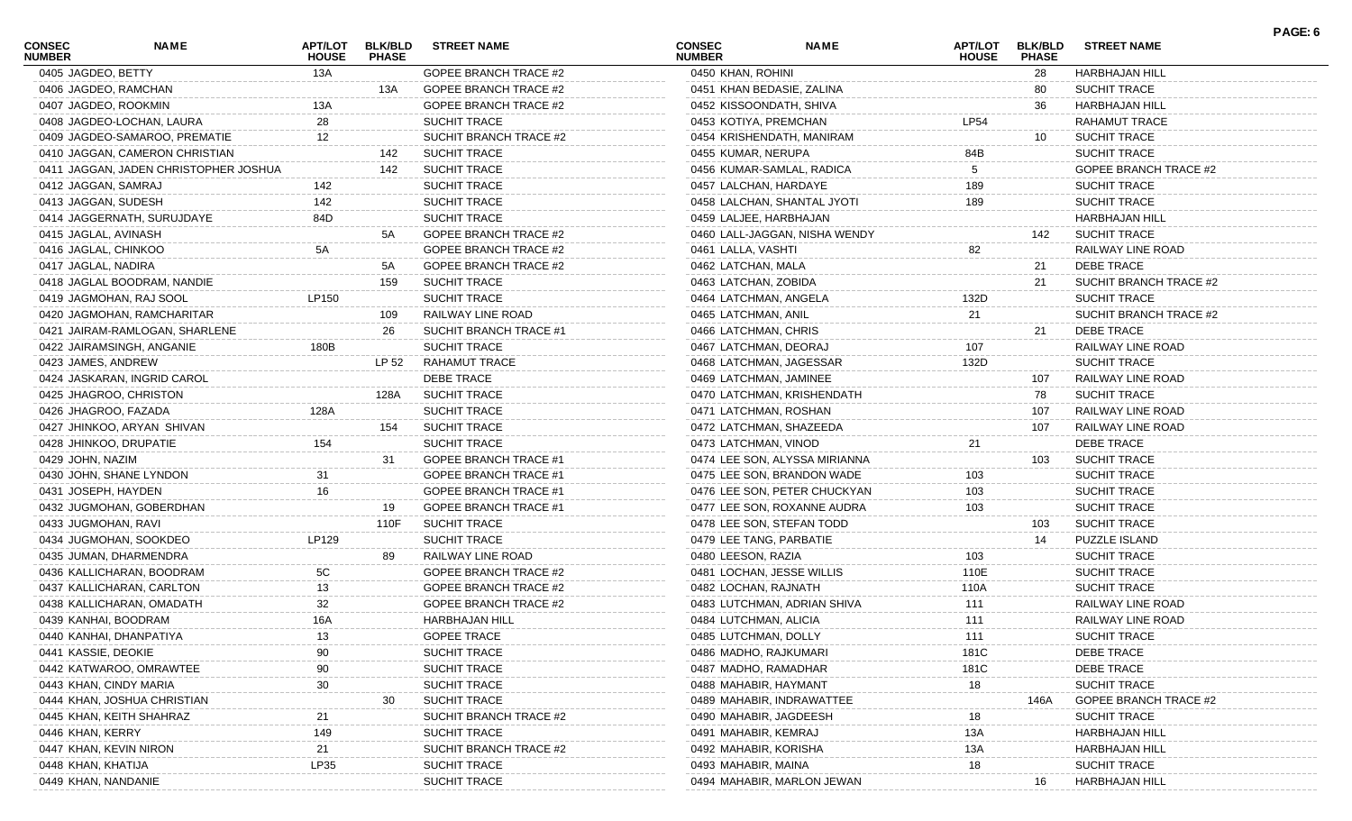| <b>CONSEC</b><br><b>NUMBER</b> | <b>NAME</b>                                             | APT/LOT<br><b>HOUSE</b> | <b>BLK/BLD</b><br><b>PHASE</b> | <b>STREET NAME</b>                            | <b>CONSEC</b><br><b>NUMBER</b> | <b>NAME</b>                   | APT/LOT<br><b>HOUSE</b> | <b>BLK/BLD</b><br><b>PHASE</b> | <b>STREET NAME</b>                                  | PAGE: 6 |
|--------------------------------|---------------------------------------------------------|-------------------------|--------------------------------|-----------------------------------------------|--------------------------------|-------------------------------|-------------------------|--------------------------------|-----------------------------------------------------|---------|
| 0405 JAGDEO, BETTY             |                                                         | 13A                     |                                | <b>GOPEE BRANCH TRACE #2</b>                  | 0450 KHAN, ROHINI              |                               |                         | 28                             | HARBHAJAN HILL                                      |         |
|                                | 0406 JAGDEO, RAMCHAN                                    |                         | 13A                            | GOPEE BRANCH TRACE #2                         | 0451 KHAN BEDASIE, ZALINA      |                               |                         | 80                             | <b>SUCHIT TRACE</b>                                 |         |
|                                | 0407 JAGDEO, ROOKMIN                                    | 13A                     |                                | GOPEE BRANCH TRACE #2                         | 0452 KISSOONDATH, SHIVA        |                               |                         | 36                             | HARBHAJAN HILL                                      |         |
|                                | 0408 JAGDEO-LOCHAN, LAURA                               | 28                      |                                | <b>SUCHIT TRACE</b>                           | 0453 KOTIYA, PREMCHAN          |                               | <b>LP54</b>             |                                | <b>RAHAMUT TRACE</b>                                |         |
|                                | 0409 JAGDEO-SAMAROO, PREMATIE                           | 12                      |                                | SUCHIT BRANCH TRACE #2                        |                                | 0454 KRISHENDATH, MANIRAM     |                         | 10                             | <b>SUCHIT TRACE</b>                                 |         |
|                                | 0410 JAGGAN, CAMERON CHRISTIAN                          |                         | 142                            | <b>SUCHIT TRACE</b>                           | 0455 KUMAR, NERUPA             |                               | 84B                     |                                | <b>SUCHIT TRACE</b>                                 |         |
|                                | 0411 JAGGAN, JADEN CHRISTOPHER JOSHUA                   |                         | 142                            | <b>SUCHIT TRACE</b>                           |                                | 0456 KUMAR-SAMLAL, RADICA     | 5                       |                                | <b>GOPEE BRANCH TRACE #2</b>                        |         |
| 0412 JAGGAN, SAMRAJ            |                                                         | 142                     |                                | <b>SUCHIT TRACE</b>                           | 0457 LALCHAN, HARDAYE          |                               | 189                     |                                | <b>SUCHIT TRACE</b>                                 |         |
| 0413 JAGGAN, SUDESH            |                                                         | 142                     |                                | <b>SUCHIT TRACE</b>                           |                                | 0458 LALCHAN, SHANTAL JYOTI   | 189                     |                                | <b>SUCHIT TRACE</b>                                 |         |
|                                | 0414 JAGGERNATH, SURUJDAYE                              | 84D                     |                                | SUCHIT TRACE                                  | 0459 LALJEE, HARBHAJAN         |                               |                         |                                | <b>HARBHAJAN HILL</b>                               |         |
| 0415 JAGLAL, AVINASH           |                                                         |                         | 5A                             | <b>GOPEE BRANCH TRACE #2</b>                  |                                | 0460 LALL-JAGGAN, NISHA WENDY |                         | 142                            | <b>SUCHIT TRACE</b>                                 |         |
| 0416 JAGLAL, CHINKOO           |                                                         | 5A                      |                                | <b>GOPEE BRANCH TRACE #2</b>                  | 0461 LALLA, VASHTI             |                               | 82                      |                                | RAILWAY LINE ROAD                                   |         |
| 0417 JAGLAL, NADIRA            |                                                         |                         | 5A                             | GOPEE BRANCH TRACE #2                         | 0462 LATCHAN, MALA             |                               |                         | 21                             | DEBE TRACE                                          |         |
|                                | 0418 JAGLAL BOODRAM, NANDIE                             |                         | 159                            | <b>SUCHIT TRACE</b>                           | 0463 LATCHAN, ZOBIDA           |                               |                         | 21                             | SUCHIT BRANCH TRACE #2                              |         |
|                                | 0419 JAGMOHAN, RAJ SOOL                                 | LP150                   |                                | <b>SUCHIT TRACE</b>                           | 0464 LATCHMAN, ANGELA          |                               | 132D                    |                                | <b>SUCHIT TRACE</b>                                 |         |
|                                | 0420 JAGMOHAN, RAMCHARITAR                              |                         | 109                            | RAILWAY LINE ROAD                             | 0465 LATCHMAN, ANIL            |                               | 21                      |                                | SUCHIT BRANCH TRACE #2                              |         |
|                                | 0421 JAIRAM-RAMLOGAN, SHARLENE                          |                         | 26                             | SUCHIT BRANCH TRACE #1                        | 0466 LATCHMAN, CHRIS           |                               |                         | 21                             | <b>DEBE TRACE</b>                                   |         |
|                                | 0422 JAIRAMSINGH, ANGANIE                               | 180B                    |                                | <b>SUCHIT TRACE</b>                           | 0467 LATCHMAN, DEORAJ          |                               | 107                     |                                | RAILWAY LINE ROAD                                   |         |
| 0423 JAMES, ANDREW             |                                                         |                         | LP 52                          | RAHAMUT TRACE                                 | 0468 LATCHMAN, JAGESSAR        |                               | 132D                    |                                | <b>SUCHIT TRACE</b>                                 |         |
|                                | 0424 JASKARAN, INGRID CAROL                             |                         |                                | <b>DEBE TRACE</b>                             | 0469 LATCHMAN, JAMINEE         |                               |                         | 107                            | RAILWAY LINE ROAD                                   |         |
|                                | 0425 JHAGROO, CHRISTON                                  |                         | 128A                           | <b>SUCHIT TRACE</b>                           |                                | 0470 LATCHMAN, KRISHENDATH    |                         | 78                             | <b>SUCHIT TRACE</b>                                 |         |
|                                | 0426 JHAGROO, FAZADA                                    | 128A                    |                                | <b>SUCHIT TRACE</b>                           | 0471 LATCHMAN, ROSHAN          |                               |                         | 107                            | RAILWAY LINE ROAD                                   |         |
|                                | 0427 JHINKOO, ARYAN SHIVAN                              |                         | 154                            | <b>SUCHIT TRACE</b>                           | 0472 LATCHMAN, SHAZEEDA        |                               |                         | 107                            | RAILWAY LINE ROAD                                   |         |
|                                | 0428 JHINKOO, DRUPATIE                                  | 154                     |                                | <b>SUCHIT TRACE</b>                           | 0473 LATCHMAN, VINOD           |                               | 21                      |                                | DEBE TRACE                                          |         |
| 0429 JOHN, NAZIM               |                                                         |                         | 31                             | <b>GOPEE BRANCH TRACE #1</b>                  |                                | 0474 LEE SON, ALYSSA MIRIANNA |                         | 103                            | <b>SUCHIT TRACE</b>                                 |         |
|                                | 0430 JOHN, SHANE LYNDON                                 | 31                      |                                | <b>GOPEE BRANCH TRACE #1</b>                  |                                | 0475 LEE SON, BRANDON WADE    | 103                     |                                | <b>SUCHIT TRACE</b>                                 |         |
| 0431 JOSEPH, HAYDEN            |                                                         | 16                      |                                | GOPEE BRANCH TRACE #1                         |                                | 0476 LEE SON, PETER CHUCKYAN  | 103                     |                                | <b>SUCHIT TRACE</b>                                 |         |
|                                | 0432 JUGMOHAN, GOBERDHAN                                |                         | 19                             | GOPEE BRANCH TRACE #1                         |                                | 0477 LEE SON, ROXANNE AUDRA   | 103                     |                                | <b>SUCHIT TRACE</b>                                 |         |
| 0433 JUGMOHAN, RAVI            |                                                         |                         | 110F                           | <b>SUCHIT TRACE</b>                           |                                | 0478 LEE SON, STEFAN TODD     |                         | 103                            | <b>SUCHIT TRACE</b>                                 |         |
|                                | 0434 JUGMOHAN, SOOKDEO                                  | LP129                   |                                | <b>SUCHIT TRACE</b>                           | 0479 LEE TANG, PARBATIE        |                               |                         | 14                             | PUZZLE ISLAND                                       |         |
|                                | 0435 JUMAN, DHARMENDRA                                  |                         | 89                             | RAILWAY LINE ROAD                             | 0480 LEESON, RAZIA             |                               | 103                     |                                | <b>SUCHIT TRACE</b>                                 |         |
|                                | 0436 KALLICHARAN, BOODRAM                               | 5C                      |                                | <b>GOPEE BRANCH TRACE #2</b>                  | 0481 LOCHAN, JESSE WILLIS      |                               | 110E                    |                                | <b>SUCHIT TRACE</b>                                 |         |
|                                | 0437 KALLICHARAN, CARLTON                               | 13                      |                                | <b>GOPEE BRANCH TRACE #2</b>                  | 0482 LOCHAN, RAJNATH           |                               | 110A                    |                                | <b>SUCHIT TRACE</b>                                 |         |
|                                | 0438 KALLICHARAN, OMADATH                               | 32                      |                                | GOPEE BRANCH TRACE #2                         |                                | 0483 LUTCHMAN, ADRIAN SHIVA   | 111                     |                                | RAILWAY LINE ROAD                                   |         |
|                                | 0439 KANHAI, BOODRAM                                    | 16A                     |                                | <b>HARBHAJAN HILL</b>                         | 0484 LUTCHMAN, ALICIA          |                               | 111                     |                                | RAILWAY LINE ROAD                                   |         |
|                                | 0440 KANHAI, DHANPATIYA                                 | 13                      |                                | <b>GOPEE TRACE</b>                            | 0485 LUTCHMAN, DOLLY           |                               | 111                     |                                | <b>SUCHIT TRACE</b>                                 |         |
| 0441 KASSIE, DEOKIE            |                                                         |                         |                                | SUCHIT TRACE                                  | 0486 MADHO, RAJKUMARI          |                               | 181C                    |                                | <b>DEBE TRACE</b>                                   |         |
|                                | 0442 KATWAROO, OMRAWTEE                                 | 90                      |                                | SUCHIT TRACE                                  | 0487 MADHO, RAMADHAR           |                               | 181C                    |                                | DEBE TRACE                                          |         |
|                                | 0443 KHAN, CINDY MARIA                                  | 30                      |                                | SUCHIT TRACE                                  | 0488 MAHABIR, HAYMANT          |                               |                         |                                | <b>SUCHIT TRACE</b>                                 |         |
|                                |                                                         |                         | 30                             |                                               |                                |                               | 18                      |                                |                                                     |         |
|                                | 0444 KHAN, JOSHUA CHRISTIAN<br>0445 KHAN, KEITH SHAHRAZ |                         |                                | <b>SUCHIT TRACE</b><br>SUCHIT BRANCH TRACE #2 | 0490 MAHABIR, JAGDEESH         | 0489 MAHABIR, INDRAWATTEE     | 18                      | 146A                           | <b>GOPEE BRANCH TRACE #2</b><br><b>SUCHIT TRACE</b> |         |
| 0446 KHAN, KERRY               |                                                         |                         |                                | <b>SUCHIT TRACE</b>                           |                                |                               |                         |                                | <b>HARBHAJAN HILL</b>                               |         |
|                                |                                                         | 149                     |                                |                                               | 0491 MAHABIR, KEMRAJ           |                               | 13A                     |                                |                                                     |         |
|                                | 0447 KHAN, KEVIN NIRON                                  | 21                      |                                | SUCHIT BRANCH TRACE #2<br>SUCHIT TRACE        | 0492 MAHABIR, KORISHA          |                               | 13A                     |                                | <b>HARBHAJAN HILL</b><br><b>SUCHIT TRACE</b>        |         |
| 0448 KHAN, KHATIJA             |                                                         | LP35                    |                                |                                               | 0493 MAHABIR, MAINA            |                               | 18                      |                                |                                                     |         |
| 0449 KHAN, NANDANIE            |                                                         |                         |                                | SUCHIT TRACE                                  |                                | 0494 MAHABIR, MARLON JEWAN    |                         | 16                             | <b>HARBHAJAN HILL</b>                               |         |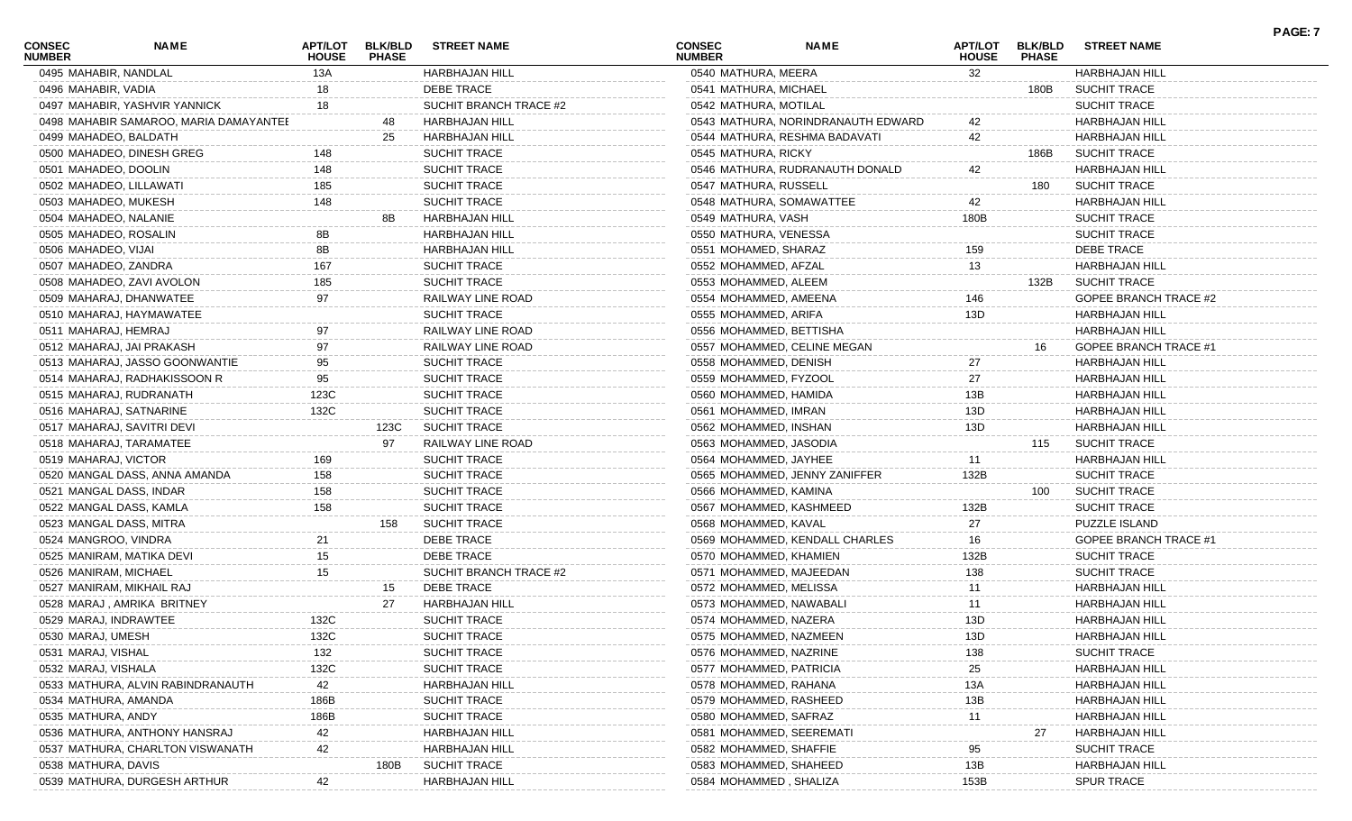| <b>CONSEC</b><br><b>NUMBER</b> | NAME                                   | APT/LOT<br><b>HOUSE</b> | <b>BLK/BLD</b><br><b>PHASE</b> | <b>STREET NAME</b>     | <b>CONSEC</b><br><b>NUMBER</b> | <b>NAME</b>                        | APT/LOT<br><b>HOUSE</b> | <b>BLK/BLD</b><br><b>PHASE</b> | <b>STREET NAME</b>           | <b>PAGE: 7</b> |
|--------------------------------|----------------------------------------|-------------------------|--------------------------------|------------------------|--------------------------------|------------------------------------|-------------------------|--------------------------------|------------------------------|----------------|
| 0495 MAHABIR, NANDLAL          |                                        | 13A                     |                                | HARBHAJAN HILL         | 0540 MATHURA, MEERA            |                                    | 32                      |                                | <b>HARBHAJAN HILL</b>        |                |
| 0496 MAHABIR, VADIA            |                                        | 18                      |                                | DEBE TRACE             | 0541 MATHURA, MICHAEL          |                                    |                         | 180B                           | <b>SUCHIT TRACE</b>          |                |
|                                | 0497 MAHABIR, YASHVIR YANNICK          | 18                      |                                | SUCHIT BRANCH TRACE #2 | 0542 MATHURA, MOTILAL          |                                    |                         |                                | <b>SUCHIT TRACE</b>          |                |
|                                | 0498 MAHABIR SAMAROO, MARIA DAMAYANTEE |                         |                                | <b>HARBHAJAN HILL</b>  |                                | 0543 MATHURA, NORINDRANAUTH EDWARD | 42                      |                                | HARBHAJAN HILL               |                |
|                                | 0499 MAHADEO, BALDATH                  |                         | 25                             | <b>HARBHAJAN HILL</b>  |                                | 0544 MATHURA, RESHMA BADAVATI      | 42                      |                                | <b>HARBHAJAN HILL</b>        |                |
|                                | 0500 MAHADEO, DINESH GREG              | 148                     |                                | SUCHIT TRACE           | 0545 MATHURA, RICKY            |                                    |                         | 186B                           | <b>SUCHIT TRACE</b>          |                |
| 0501 MAHADEO, DOOLIN           |                                        | 148                     |                                | SUCHIT TRACE           |                                | 0546 MATHURA, RUDRANAUTH DONALD    | 42                      |                                | <b>HARBHAJAN HILL</b>        |                |
|                                | 0502 MAHADEO, LILLAWATI                | 185                     |                                | <b>SUCHIT TRACE</b>    | 0547 MATHURA, RUSSELL          |                                    |                         | 180                            | <b>SUCHIT TRACE</b>          |                |
| 0503 MAHADEO, MUKESH           |                                        | 148                     |                                | SUCHIT TRACE           | 0548 MATHURA, SOMAWATTEE       |                                    | 42                      |                                | <b>HARBHAJAN HILL</b>        |                |
|                                | 0504 MAHADEO, NALANIE                  |                         | 8B                             | <b>HARBHAJAN HILL</b>  | 0549 MATHURA, VASH             |                                    | 180B                    |                                | <b>SUCHIT TRACE</b>          |                |
|                                | 0505 MAHADEO, ROSALIN                  | 8Β                      |                                | <b>HARBHAJAN HILL</b>  | 0550 MATHURA, VENESSA          |                                    |                         |                                | <b>SUCHIT TRACE</b>          |                |
| 0506 MAHADEO, VIJAI            |                                        | 8B                      |                                | <b>HARBHAJAN HILL</b>  | 0551 MOHAMED, SHARAZ           |                                    | 159                     |                                | DEBE TRACE                   |                |
| 0507 MAHADEO, ZANDRA           |                                        | 167                     |                                | SUCHIT TRACE           | 0552 MOHAMMED, AFZAL           |                                    | 13                      |                                | <b>HARBHAJAN HILL</b>        |                |
|                                | 0508 MAHADEO, ZAVI AVOLON              | 185                     |                                | SUCHIT TRACE           | 0553 MOHAMMED, ALEEM           |                                    |                         | 132B                           | <b>SUCHIT TRACE</b>          |                |
|                                | 0509 MAHARAJ, DHANWATEE                | 97                      |                                | RAILWAY LINE ROAD      | 0554 MOHAMMED, AMEENA          |                                    | 146                     |                                | <b>GOPEE BRANCH TRACE #2</b> |                |
|                                | 0510 MAHARAJ, HAYMAWATEE               |                         |                                | SUCHIT TRACE           | 0555 MOHAMMED, ARIFA           |                                    | 13D                     |                                | <b>HARBHAJAN HILL</b>        |                |
| 0511 MAHARAJ, HEMRAJ           |                                        | 97                      |                                | RAILWAY LINE ROAD      | 0556 MOHAMMED, BETTISHA        |                                    |                         |                                | <b>HARBHAJAN HILL</b>        |                |
|                                | 0512 MAHARAJ, JAI PRAKASH              | 97                      |                                | RAILWAY LINE ROAD      |                                | 0557 MOHAMMED, CELINE MEGAN        |                         | 16                             | GOPEE BRANCH TRACE #1        |                |
|                                | 0513 MAHARAJ, JASSO GOONWANTIE         | 95                      |                                | SUCHIT TRACE           | 0558 MOHAMMED, DENISH          |                                    | 27                      |                                | <b>HARBHAJAN HILL</b>        |                |
|                                | 0514 MAHARAJ, RADHAKISSOON R           | 95                      |                                | SUCHIT TRACE           | 0559 MOHAMMED, FYZOOL          |                                    | 27                      |                                | <b>HARBHAJAN HILL</b>        |                |
|                                | 0515 MAHARAJ, RUDRANATH                | 123C                    |                                | SUCHIT TRACE           | 0560 MOHAMMED, HAMIDA          |                                    | 13B                     |                                | <b>HARBHAJAN HILL</b>        |                |
|                                | 0516 MAHARAJ, SATNARINE                | 132C                    |                                | SUCHIT TRACE           | 0561 MOHAMMED, IMRAN           |                                    | 13D                     |                                | <b>HARBHAJAN HILL</b>        |                |
|                                | 0517 MAHARAJ, SAVITRI DEVI             |                         | 123C                           | <b>SUCHIT TRACE</b>    | 0562 MOHAMMED, INSHAN          |                                    | 13D                     |                                | <b>HARBHAJAN HILL</b>        |                |
|                                | 0518 MAHARAJ, TARAMATEE                |                         | 97                             | RAILWAY LINE ROAD      | 0563 MOHAMMED, JASODIA         |                                    |                         | 115                            | <b>SUCHIT TRACE</b>          |                |
| 0519 MAHARAJ, VICTOR           |                                        | 169                     |                                | SUCHIT TRACE           | 0564 MOHAMMED, JAYHEE          |                                    | 11                      |                                | HARBHAJAN HILL               |                |
|                                | 0520 MANGAL DASS, ANNA AMANDA          | 158                     |                                | SUCHIT TRACE           |                                | 0565 MOHAMMED, JENNY ZANIFFER      | 132B                    |                                | <b>SUCHIT TRACE</b>          |                |
|                                | 0521 MANGAL DASS, INDAR                | 158                     |                                | <b>SUCHIT TRACE</b>    | 0566 MOHAMMED, KAMINA          |                                    |                         | 100                            | <b>SUCHIT TRACE</b>          |                |
|                                |                                        | 158                     |                                |                        | 0567 MOHAMMED, KASHMEED        |                                    |                         |                                |                              |                |
|                                | 0522 MANGAL DASS, KAMLA                |                         |                                | <b>SUCHIT TRACE</b>    |                                |                                    | 132B                    |                                | <b>SUCHIT TRACE</b>          |                |
|                                | 0523 MANGAL DASS, MITRA                |                         | 158                            | <b>SUCHIT TRACE</b>    | 0568 MOHAMMED, KAVAL           |                                    | 27                      |                                | PUZZLE ISLAND                |                |
| 0524 MANGROO, VINDRA           |                                        | 21                      |                                | <b>DEBE TRACE</b>      |                                | 0569 MOHAMMED, KENDALL CHARLES     | 16                      |                                | <b>GOPEE BRANCH TRACE #1</b> |                |
|                                | 0525 MANIRAM, MATIKA DEVI              | 15                      |                                | <b>DEBE TRACE</b>      | 0570 MOHAMMED, KHAMIEN         |                                    | 132B                    |                                | <b>SUCHIT TRACE</b>          |                |
| 0526 MANIRAM, MICHAEL          |                                        | 15                      |                                | SUCHIT BRANCH TRACE #2 | 0571 MOHAMMED, MAJEEDAN        |                                    | 138                     |                                | SUCHIT TRACE                 |                |
|                                | 0527 MANIRAM, MIKHAIL RAJ              |                         | 15                             | <b>DEBE TRACE</b>      | 0572 MOHAMMED, MELISSA         |                                    | 11                      |                                | <b>HARBHAJAN HILL</b>        |                |
|                                | 0528 MARAJ, AMRIKA BRITNEY             |                         | 27                             | <b>HARBHAJAN HILL</b>  | 0573 MOHAMMED, NAWABALI        |                                    | 11                      |                                | <b>HARBHAJAN HILL</b>        |                |
|                                | 0529 MARAJ, INDRAWTEE                  | 132C                    |                                | SUCHIT TRACE           | 0574 MOHAMMED, NAZERA          |                                    | 13D                     |                                | HARBHAJAN HILL               |                |
| 0530 MARAJ, UMESH              |                                        | 132C                    |                                | SUCHIT TRACE           | 0575 MOHAMMED, NAZMEEN         |                                    | 13D                     |                                | HARBHAJAN HILL               |                |
| 0531 MARAJ, VISHAL             |                                        | 132                     |                                | SUCHIT TRACE           | 0576 MOHAMMED, NAZRINE         |                                    | 138                     |                                | <b>SUCHIT TRACE</b>          |                |
| 0532 MARAJ, VISHALA            |                                        | 132C                    |                                | SUCHIT TRACE           | 0577 MOHAMMED, PATRICIA        |                                    | 25                      |                                | HARBHAJAN HILL               |                |
|                                | 0533 MATHURA, ALVIN RABINDRANAUTH      | 42                      |                                | HARBHAJAN HILL         | 0578 MOHAMMED, RAHANA          |                                    | 13A                     |                                | HARBHAJAN HILL               |                |
| 0534 MATHURA, AMANDA           |                                        | 186B                    |                                | SUCHIT TRACE           | 0579 MOHAMMED, RASHEED         |                                    | 13B                     |                                | HARBHAJAN HILL               |                |
| 0535 MATHURA, ANDY             |                                        | 186B                    |                                | SUCHIT TRACE           | 0580 MOHAMMED, SAFRAZ          |                                    | 11                      |                                | HARBHAJAN HILL               |                |
|                                | 0536 MATHURA, ANTHONY HANSRAJ          | 42                      |                                | <b>HARBHAJAN HILL</b>  | 0581 MOHAMMED, SEEREMATI       |                                    |                         | 27                             | HARBHAJAN HILL               |                |
|                                | 0537 MATHURA, CHARLTON VISWANATH       | 42                      |                                | <b>HARBHAJAN HILL</b>  | 0582 MOHAMMED, SHAFFIE         |                                    | 95                      |                                | SUCHIT TRACE                 |                |
| 0538 MATHURA, DAVIS            |                                        |                         | 180B                           | <b>SUCHIT TRACE</b>    | 0583 MOHAMMED, SHAHEED         |                                    | 13B                     |                                | HARBHAJAN HILL               |                |
|                                | 0539 MATHURA, DURGESH ARTHUR           | 42                      |                                | <b>HARBHAJAN HILL</b>  | 0584 MOHAMMED, SHALIZA         |                                    | 153B                    |                                | <b>SPUR TRACE</b>            |                |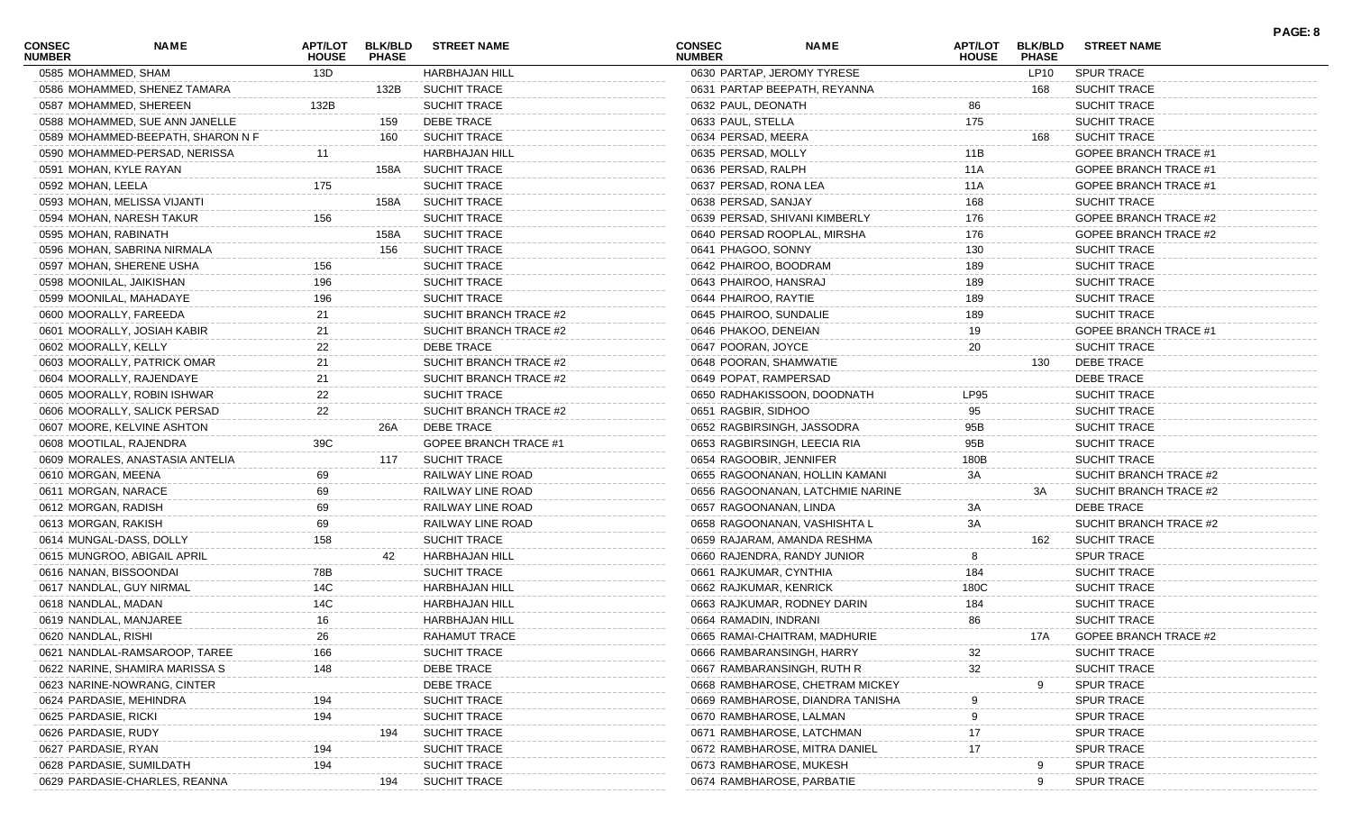| <b>CONSEC</b><br><b>NUMBER</b> | <b>NAME</b>                       | <b>APT/LOT</b><br><b>HOUSE</b> | <b>BLK/BLD</b><br><b>PHASE</b> | <b>STREET NAME</b>           | <b>CONSEC</b><br><b>NUMBER</b> | <b>NAME</b>                      | <b>APT/LOT</b><br><b>HOUSE</b> | <b>BLK/BLD</b><br><b>PHASE</b> | <b>STREET NAME</b>           | PAGE: 8 |
|--------------------------------|-----------------------------------|--------------------------------|--------------------------------|------------------------------|--------------------------------|----------------------------------|--------------------------------|--------------------------------|------------------------------|---------|
| 0585 MOHAMMED, SHAM            |                                   | 13D                            |                                | <b>HARBHAJAN HILL</b>        |                                | 0630 PARTAP, JEROMY TYRESE       |                                | LP10                           | SPUR TRACE                   |         |
|                                | 0586 MOHAMMED, SHENEZ TAMARA      |                                | 132B                           | <b>SUCHIT TRACE</b>          |                                | 0631 PARTAP BEEPATH, REYANNA     |                                | 168                            | <b>SUCHIT TRACE</b>          |         |
|                                | 0587 MOHAMMED, SHEREEN            | 132B                           |                                | <b>SUCHIT TRACE</b>          | 0632 PAUL, DEONATH             |                                  | 86                             |                                | <b>SUCHIT TRACE</b>          |         |
|                                | 0588 MOHAMMED, SUE ANN JANELLE    |                                | 159                            | <b>DEBE TRACE</b>            | 0633 PAUL, STELLA              |                                  | 175                            |                                | <b>SUCHIT TRACE</b>          |         |
|                                | 0589 MOHAMMED-BEEPATH, SHARON N F |                                | 160                            | <b>SUCHIT TRACE</b>          | 0634 PERSAD, MEERA             |                                  |                                | 168                            | <b>SUCHIT TRACE</b>          |         |
|                                | 0590 MOHAMMED-PERSAD, NERISSA     |                                |                                | HARBHAJAN HILL               | 0635 PERSAD, MOLLY             |                                  | 11B                            |                                | GOPEE BRANCH TRACE #1        |         |
|                                | 0591 MOHAN, KYLE RAYAN            |                                | 158A                           | <b>SUCHIT TRACE</b>          | 0636 PERSAD, RALPH             |                                  | 11A                            |                                | GOPEE BRANCH TRACE #1        |         |
| 0592 MOHAN, LEELA              |                                   | 175                            |                                | SUCHIT TRACE                 | 0637 PERSAD, RONA LEA          |                                  | 11A                            |                                | GOPEE BRANCH TRACE #1        |         |
|                                | 0593 MOHAN, MELISSA VIJANTI       |                                | 158A                           | <b>SUCHIT TRACE</b>          | 0638 PERSAD, SANJAY            |                                  | 168                            |                                | <b>SUCHIT TRACE</b>          |         |
|                                | 0594 MOHAN, NARESH TAKUR          | 156                            |                                | <b>SUCHIT TRACE</b>          |                                | 0639 PERSAD, SHIVANI KIMBERLY    | 176                            |                                | GOPEE BRANCH TRACE #2        |         |
| 0595 MOHAN, RABINATH           |                                   |                                | 158A                           | <b>SUCHIT TRACE</b>          |                                | 0640 PERSAD ROOPLAL, MIRSHA      | 176                            |                                | GOPEE BRANCH TRACE #2        |         |
|                                | 0596 MOHAN, SABRINA NIRMALA       |                                | 156                            | <b>SUCHIT TRACE</b>          | 0641 PHAGOO, SONNY             |                                  | 130                            |                                | <b>SUCHIT TRACE</b>          |         |
|                                | 0597 MOHAN, SHERENE USHA          | 156                            |                                | SUCHIT TRACE                 | 0642 PHAIROO, BOODRAM          |                                  | 189                            |                                | <b>SUCHIT TRACE</b>          |         |
|                                | 0598 MOONILAL, JAIKISHAN          | 196                            |                                | <b>SUCHIT TRACE</b>          | 0643 PHAIROO, HANSRAJ          |                                  | 189                            |                                | <b>SUCHIT TRACE</b>          |         |
|                                | 0599 MOONILAL, MAHADAYE           | 196                            |                                | <b>SUCHIT TRACE</b>          | 0644 PHAIROO, RAYTIE           |                                  | 189                            |                                | <b>SUCHIT TRACE</b>          |         |
|                                | 0600 MOORALLY, FAREEDA            | 21                             |                                | SUCHIT BRANCH TRACE #2       | 0645 PHAIROO, SUNDALIE         |                                  | 189                            |                                | <b>SUCHIT TRACE</b>          |         |
|                                | 0601 MOORALLY, JOSIAH KABIR       | 21                             |                                | SUCHIT BRANCH TRACE #2       | 0646 PHAKOO, DENEIAN           |                                  | 19                             |                                | <b>GOPEE BRANCH TRACE #1</b> |         |
| 0602 MOORALLY, KELLY           |                                   | 22                             |                                | <b>DEBE TRACE</b>            | 0647 POORAN, JOYCE             |                                  | 20                             |                                | <b>SUCHIT TRACE</b>          |         |
|                                | 0603 MOORALLY, PATRICK OMAR       | 21                             |                                | SUCHIT BRANCH TRACE #2       | 0648 POORAN, SHAMWATIE         |                                  |                                | 130                            | DEBE TRACE                   |         |
|                                | 0604 MOORALLY, RAJENDAYE          | 21                             |                                | SUCHIT BRANCH TRACE #2       | 0649 POPAT, RAMPERSAD          |                                  |                                |                                | DEBE TRACE                   |         |
|                                | 0605 MOORALLY, ROBIN ISHWAR       | 22                             |                                | SUCHIT TRACE                 |                                | 0650 RADHAKISSOON, DOODNATH      | LP95                           |                                | <b>SUCHIT TRACE</b>          |         |
|                                | 0606 MOORALLY, SALICK PERSAD      | 22                             |                                | SUCHIT BRANCH TRACE #2       | 0651 RAGBIR, SIDHOO            |                                  | 95                             |                                | <b>SUCHIT TRACE</b>          |         |
|                                | 0607 MOORE, KELVINE ASHTON        |                                | 26A                            | <b>DEBE TRACE</b>            |                                | 0652 RAGBIRSINGH, JASSODRA       | 95B                            |                                | <b>SUCHIT TRACE</b>          |         |
|                                | 0608 MOOTILAL, RAJENDRA           | 39C                            |                                | <b>GOPEE BRANCH TRACE #1</b> |                                | 0653 RAGBIRSINGH, LEECIA RIA     | 95B                            |                                | <b>SUCHIT TRACE</b>          |         |
|                                | 0609 MORALES, ANASTASIA ANTELIA   |                                | 117                            | <b>SUCHIT TRACE</b>          | 0654 RAGOOBIR, JENNIFER        |                                  | 180B                           |                                | <b>SUCHIT TRACE</b>          |         |
| 0610 MORGAN, MEENA             |                                   | 69                             |                                | RAILWAY LINE ROAD            |                                | 0655 RAGOONANAN, HOLLIN KAMANI   | 3A                             |                                | SUCHIT BRANCH TRACE #2       |         |
| 0611 MORGAN, NARACE            |                                   | 69                             |                                | RAILWAY LINE ROAD            |                                | 0656 RAGOONANAN, LATCHMIE NARINE |                                | 3A                             | SUCHIT BRANCH TRACE #2       |         |
|                                |                                   | 69                             |                                |                              |                                |                                  | 3A                             |                                | <b>DEBE TRACE</b>            |         |
| 0612 MORGAN, RADISH            |                                   | 69                             |                                | RAILWAY LINE ROAD            | 0657 RAGOONANAN, LINDA         |                                  | 3A                             |                                |                              |         |
| 0613 MORGAN, RAKISH            |                                   |                                |                                | RAILWAY LINE ROAD            |                                | 0658 RAGOONANAN, VASHISHTA L     |                                |                                | SUCHIT BRANCH TRACE #2       |         |
|                                | 0614 MUNGAL-DASS, DOLLY           | 158                            |                                | <b>SUCHIT TRACE</b>          |                                | 0659 RAJARAM, AMANDA RESHMA      |                                | 162                            | <b>SUCHIT TRACE</b>          |         |
|                                | 0615 MUNGROO, ABIGAIL APRIL       |                                | 42                             | HARBHAJAN HILL               |                                | 0660 RAJENDRA, RANDY JUNIOR      | 8                              |                                | SPUR TRACE                   |         |
| 0616 NANAN, BISSOONDAI         |                                   | 78B                            |                                | SUCHIT TRACE                 | 0661 RAJKUMAR, CYNTHIA         |                                  | 184                            |                                | <b>SUCHIT TRACE</b>          |         |
|                                | 0617 NANDLAL, GUY NIRMAL          | 14C                            |                                | <b>HARBHAJAN HILL</b>        | 0662 RAJKUMAR, KENRICK         |                                  | 180C                           |                                | <b>SUCHIT TRACE</b>          |         |
| 0618 NANDLAL, MADAN            |                                   | 14C                            |                                | <b>HARBHAJAN HILL</b>        |                                | 0663 RAJKUMAR, RODNEY DARIN      | 184                            |                                | <b>SUCHIT TRACE</b>          |         |
|                                | 0619 NANDLAL, MANJAREE            | 16                             |                                | HARBHAJAN HILL               | 0664 RAMADIN, INDRANI          |                                  | 86                             |                                | SUCHIT TRACE                 |         |
| 0620 NANDLAL, RISHI            |                                   | 26                             |                                | RAHAMUT TRACE                |                                | 0665 RAMAI-CHAITRAM, MADHURIE    |                                | 17A                            | GOPEE BRANCH TRACE #2        |         |
|                                | 0621 NANDLAL-RAMSAROOP, TAREE     | 166                            |                                | <b>SUCHIT TRACE</b>          |                                | 0666 RAMBARANSINGH, HARRY        | 32                             |                                | <b>SUCHIT TRACE</b>          |         |
|                                | 0622 NARINE, SHAMIRA MARISSA S    | 148                            |                                | DEBE TRACE                   |                                | 0667 RAMBARANSINGH, RUTH R       | 32                             |                                | <b>SUCHIT TRACE</b>          |         |
|                                | 0623 NARINE-NOWRANG, CINTER       |                                |                                | DEBE TRACE                   |                                | 0668 RAMBHAROSE, CHETRAM MICKEY  |                                |                                | <b>SPUR TRACE</b>            |         |
|                                | 0624 PARDASIE, MEHINDRA           | 194                            |                                | <b>SUCHIT TRACE</b>          |                                | 0669 RAMBHAROSE, DIANDRA TANISHA |                                |                                | <b>SPUR TRACE</b>            |         |
| 0625 PARDASIE, RICKI           |                                   | 194                            |                                | SUCHIT TRACE                 |                                | 0670 RAMBHAROSE, LALMAN          |                                |                                | <b>SPUR TRACE</b>            |         |
| 0626 PARDASIE, RUDY            |                                   |                                | 194                            | <b>SUCHIT TRACE</b>          |                                | 0671 RAMBHAROSE, LATCHMAN        | 17                             |                                | <b>SPUR TRACE</b>            |         |
| 0627 PARDASIE, RYAN            |                                   | 194                            |                                | <b>SUCHIT TRACE</b>          |                                | 0672 RAMBHAROSE, MITRA DANIEL    | 17                             |                                | <b>SPUR TRACE</b>            |         |
|                                | 0628 PARDASIE, SUMILDATH          | 194                            |                                | SUCHIT TRACE                 |                                | 0673 RAMBHAROSE, MUKESH          |                                | 9                              | <b>SPUR TRACE</b>            |         |
|                                | 0629 PARDASIE-CHARLES, REANNA     |                                | 194                            | <b>SUCHIT TRACE</b>          |                                | 0674 RAMBHAROSE, PARBATIE        |                                | 9                              | <b>SPUR TRACE</b>            |         |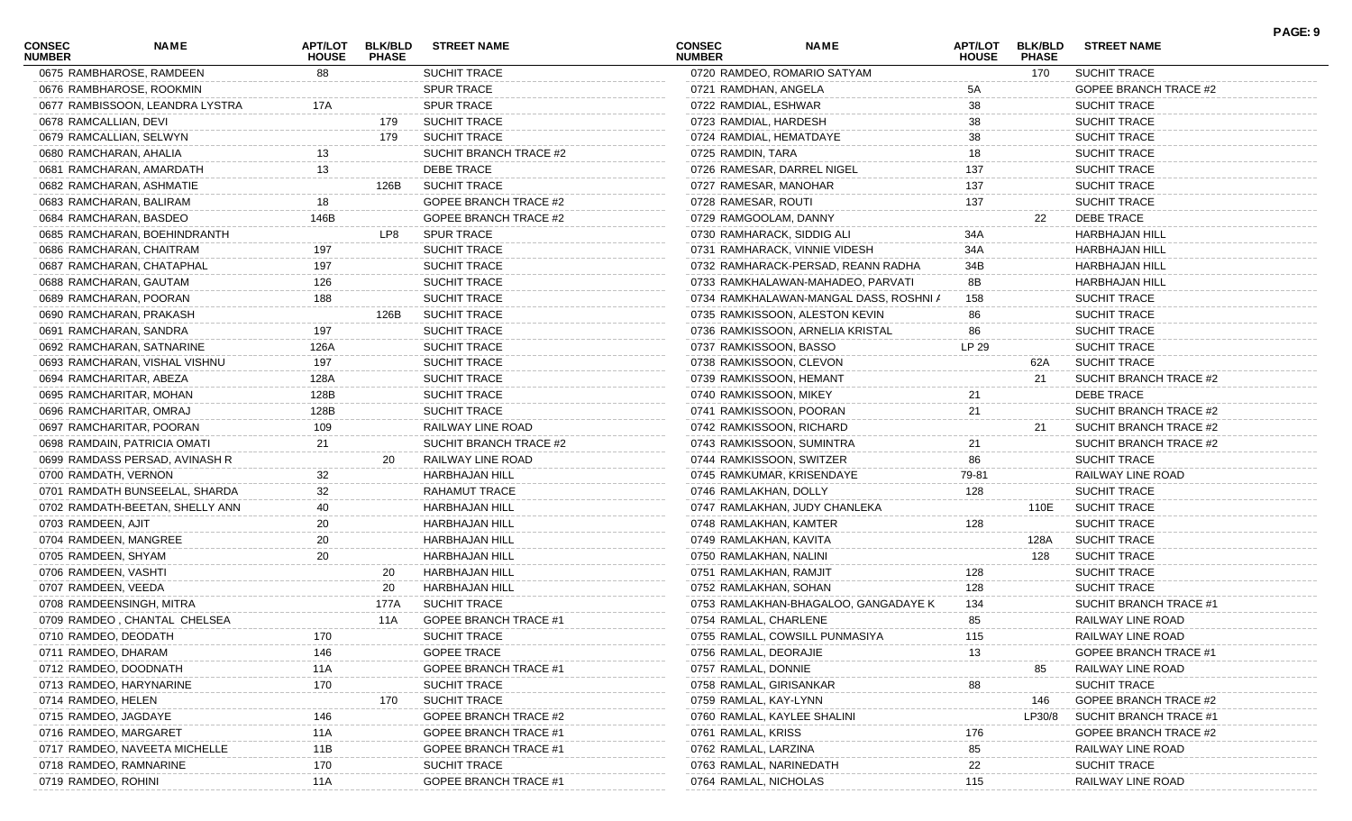| <b>CONSEC</b><br><b>NUMBER</b> | NAME                            | APT/LOT<br><b>HOUSE</b> | <b>BLK/BLD</b><br><b>PHASE</b> | <b>STREET NAME</b>           | <b>CONSEC</b><br><b>NUMBER</b> | <b>NAME</b>                            | APT/LOT<br><b>HOUSE</b> | <b>BLK/BLD</b><br><b>PHASE</b> | <b>STREET NAME</b>           | PAGE: 9 |
|--------------------------------|---------------------------------|-------------------------|--------------------------------|------------------------------|--------------------------------|----------------------------------------|-------------------------|--------------------------------|------------------------------|---------|
|                                | 0675 RAMBHAROSE, RAMDEEN        | 88                      |                                | SUCHIT TRACE                 |                                | 0720 RAMDEO, ROMARIO SATYAM            |                         | 170                            | <b>SUCHIT TRACE</b>          |         |
|                                | 0676 RAMBHAROSE, ROOKMIN        |                         |                                | <b>SPUR TRACE</b>            | 0721 RAMDHAN, ANGELA           |                                        | 5A                      |                                | GOPEE BRANCH TRACE #2        |         |
|                                | 0677 RAMBISSOON, LEANDRA LYSTRA | 17A                     |                                | <b>SPUR TRACE</b>            | 0722 RAMDIAL, ESHWAR           |                                        | 38                      |                                | <b>SUCHIT TRACE</b>          |         |
| 0678 RAMCALLIAN, DEVI          |                                 |                         | 179                            | <b>SUCHIT TRACE</b>          | 0723 RAMDIAL, HARDESH          |                                        | 38                      |                                | <b>SUCHIT TRACE</b>          |         |
| 0679 RAMCALLIAN, SELWYN        |                                 |                         | 179                            | <b>SUCHIT TRACE</b>          | 0724 RAMDIAL, HEMATDAYE        |                                        | 38                      |                                | <b>SUCHIT TRACE</b>          |         |
| 0680 RAMCHARAN, AHALIA         |                                 | 13                      |                                | SUCHIT BRANCH TRACE #2       | 0725 RAMDIN, TARA              |                                        | 18                      |                                | <b>SUCHIT TRACE</b>          |         |
|                                | 0681 RAMCHARAN, AMARDATH        | 13                      |                                | DEBE TRACE                   |                                | 0726 RAMESAR, DARREL NIGEL             | 137                     |                                | <b>SUCHIT TRACE</b>          |         |
|                                | 0682 RAMCHARAN, ASHMATIE        |                         | 126B                           | <b>SUCHIT TRACE</b>          | 0727 RAMESAR, MANOHAR          |                                        | 137                     |                                | <b>SUCHIT TRACE</b>          |         |
| 0683 RAMCHARAN, BALIRAM        |                                 | 18                      |                                | GOPEE BRANCH TRACE #2        | 0728 RAMESAR, ROUTI            |                                        | 137                     |                                | <b>SUCHIT TRACE</b>          |         |
| 0684 RAMCHARAN, BASDEO         |                                 | 146B                    |                                | GOPEE BRANCH TRACE #2        | 0729 RAMGOOLAM, DANNY          |                                        |                         | 22                             | DEBE TRACE                   |         |
|                                | 0685 RAMCHARAN, BOEHINDRANTH    |                         | LP8                            | <b>SPUR TRACE</b>            | 0730 RAMHARACK, SIDDIG ALI     |                                        | 34A                     |                                | <b>HARBHAJAN HILL</b>        |         |
|                                | 0686 RAMCHARAN, CHAITRAM        | 197                     |                                | <b>SUCHIT TRACE</b>          |                                | 0731 RAMHARACK, VINNIE VIDESH          | 34A                     |                                | <b>HARBHAJAN HILL</b>        |         |
|                                | 0687 RAMCHARAN, CHATAPHAL       | 197                     |                                | <b>SUCHIT TRACE</b>          |                                | 0732 RAMHARACK-PERSAD, REANN RADHA     | 34B                     |                                | <b>HARBHAJAN HILL</b>        |         |
| 0688 RAMCHARAN, GAUTAM         |                                 | 126                     |                                | <b>SUCHIT TRACE</b>          |                                | 0733 RAMKHALAWAN-MAHADEO, PARVATI      | 8Β                      |                                | <b>HARBHAJAN HILL</b>        |         |
| 0689 RAMCHARAN, POORAN         |                                 | 188                     |                                | <b>SUCHIT TRACE</b>          |                                | 0734 RAMKHALAWAN-MANGAL DASS, ROSHNI / | 158                     |                                | <b>SUCHIT TRACE</b>          |         |
|                                | 0690 RAMCHARAN, PRAKASH         |                         | 126B                           | <b>SUCHIT TRACE</b>          |                                | 0735 RAMKISSOON, ALESTON KEVIN         | 86                      |                                | <b>SUCHIT TRACE</b>          |         |
| 0691 RAMCHARAN, SANDRA         |                                 | 197                     |                                | <b>SUCHIT TRACE</b>          |                                | 0736 RAMKISSOON, ARNELIA KRISTAL       | 86                      |                                | <b>SUCHIT TRACE</b>          |         |
|                                | 0692 RAMCHARAN, SATNARINE       | 126A                    |                                | <b>SUCHIT TRACE</b>          | 0737 RAMKISSOON, BASSO         |                                        | LP 29                   |                                | <b>SUCHIT TRACE</b>          |         |
|                                | 0693 RAMCHARAN, VISHAL VISHNU   | 197                     |                                | <b>SUCHIT TRACE</b>          | 0738 RAMKISSOON, CLEVON        |                                        |                         | 62A                            | <b>SUCHIT TRACE</b>          |         |
| 0694 RAMCHARITAR, ABEZA        |                                 | 128A                    |                                | <b>SUCHIT TRACE</b>          | 0739 RAMKISSOON, HEMANT        |                                        |                         | 21                             | SUCHIT BRANCH TRACE #2       |         |
| 0695 RAMCHARITAR, MOHAN        |                                 | 128B                    |                                | <b>SUCHIT TRACE</b>          | 0740 RAMKISSOON, MIKEY         |                                        | 21                      |                                | DEBE TRACE                   |         |
| 0696 RAMCHARITAR, OMRAJ        |                                 | 128B                    |                                | <b>SUCHIT TRACE</b>          | 0741 RAMKISSOON, POORAN        |                                        | 21                      |                                | SUCHIT BRANCH TRACE #2       |         |
|                                | 0697 RAMCHARITAR, POORAN        | 109                     |                                | RAILWAY LINE ROAD            | 0742 RAMKISSOON, RICHARD       |                                        |                         | 21                             | SUCHIT BRANCH TRACE #2       |         |
|                                | 0698 RAMDAIN, PATRICIA OMATI    | 21                      |                                | SUCHIT BRANCH TRACE #2       |                                | 0743 RAMKISSOON, SUMINTRA              | 21                      |                                | SUCHIT BRANCH TRACE #2       |         |
|                                | 0699 RAMDASS PERSAD, AVINASH R  |                         | 20                             | RAILWAY LINE ROAD            | 0744 RAMKISSOON, SWITZER       |                                        | 86                      |                                | <b>SUCHIT TRACE</b>          |         |
| 0700 RAMDATH, VERNON           |                                 | 32                      |                                | <b>HARBHAJAN HILL</b>        |                                | 0745 RAMKUMAR, KRISENDAYE              | 79-81                   |                                | RAILWAY LINE ROAD            |         |
|                                | 0701 RAMDATH BUNSEELAL, SHARDA  | 32                      |                                | RAHAMUT TRACE                | 0746 RAMLAKHAN, DOLLY          |                                        | 128                     |                                | <b>SUCHIT TRACE</b>          |         |
|                                | 0702 RAMDATH-BEETAN, SHELLY ANN | 40                      |                                | <b>HARBHAJAN HILL</b>        |                                | 0747 RAMLAKHAN, JUDY CHANLEKA          |                         | 110E                           | <b>SUCHIT TRACE</b>          |         |
| 0703 RAMDEEN, AJIT             |                                 | 20                      |                                | <b>HARBHAJAN HILL</b>        | 0748 RAMLAKHAN, KAMTER         |                                        | 128                     |                                | <b>SUCHIT TRACE</b>          |         |
| 0704 RAMDEEN, MANGREE          |                                 | 20                      |                                | <b>HARBHAJAN HILL</b>        | 0749 RAMLAKHAN, KAVITA         |                                        |                         | 128A                           | <b>SUCHIT TRACE</b>          |         |
| 0705 RAMDEEN, SHYAM            |                                 | 20                      |                                | <b>HARBHAJAN HILL</b>        | 0750 RAMLAKHAN, NALINI         |                                        |                         | 128                            | <b>SUCHIT TRACE</b>          |         |
| 0706 RAMDEEN, VASHTI           |                                 |                         | 20                             | <b>HARBHAJAN HILL</b>        | 0751 RAMLAKHAN, RAMJIT         |                                        | 128                     |                                | <b>SUCHIT TRACE</b>          |         |
| 0707 RAMDEEN, VEEDA            |                                 |                         | 20                             | HARBHAJAN HILL               | 0752 RAMLAKHAN, SOHAN          |                                        | 128                     |                                | <b>SUCHIT TRACE</b>          |         |
|                                | 0708 RAMDEENSINGH, MITRA        |                         | 177A                           | <b>SUCHIT TRACE</b>          |                                | 0753 RAMLAKHAN-BHAGALOO, GANGADAYE K   | 134                     |                                | SUCHIT BRANCH TRACE #1       |         |
|                                | 0709 RAMDEO, CHANTAL CHELSEA    |                         | 11A                            | <b>GOPEE BRANCH TRACE #1</b> | 0754 RAMLAL, CHARLENE          |                                        | 85                      |                                | RAILWAY LINE ROAD            |         |
| 0710 RAMDEO, DEODATH           |                                 | 170                     |                                | SUCHIT TRACE                 |                                | 0755 RAMLAL, COWSILL PUNMASIYA         | 115                     |                                | RAILWAY LINE ROAD            |         |
| 0711 RAMDEO, DHARAM            |                                 | 146                     |                                | <b>GOPEE TRACE</b>           | 0756 RAMLAL, DEORAJIE          |                                        | 13                      |                                | <b>GOPEE BRANCH TRACE #</b>  |         |
| 0712 RAMDEO, DOODNATH          |                                 | 11A                     |                                | <b>GOPEE BRANCH TRACE #1</b> | 0757 RAMLAL, DONNIE            |                                        |                         | 85                             | RAILWAY LINE ROAD            |         |
| 0713 RAMDEO, HARYNARINE        |                                 | 170                     |                                | <b>SUCHIT TRACE</b>          | 0758 RAMLAL, GIRISANKAR        |                                        | 88                      |                                | <b>SUCHIT TRACE</b>          |         |
| 0714 RAMDEO, HELEN             |                                 |                         | 170                            | <b>SUCHIT TRACE</b>          | 0759 RAMLAL, KAY-LYNN          |                                        |                         | 146                            | <b>GOPEE BRANCH TRACE #2</b> |         |
| 0715 RAMDEO, JAGDAYE           |                                 | 146                     |                                | GOPEE BRANCH TRACE #2        | 0760 RAMLAL, KAYLEE SHALIN     |                                        |                         | LP30/8                         | SUCHIT BRANCH TRACE #1       |         |
| 0716 RAMDEO, MARGARET          |                                 | 11A                     |                                | GOPEE BRANCH TRACE #1        | 0761 RAMLAL, KRISS             |                                        | 176                     |                                | GOPEE BRANCH TRACE #2        |         |
|                                | 0717 RAMDEO, NAVEETA MICHELLE   | 11B                     |                                | <b>GOPEE BRANCH TRACE #1</b> | 0762 RAMLAL, LARZINA           |                                        | 85                      |                                | RAILWAY LINE ROAD            |         |
| 0718 RAMDEO, RAMNARINE         |                                 | 170                     |                                | SUCHIT TRACE                 | 0763 RAMLAL, NARINEDATH        |                                        | 22                      |                                | <b>SUCHIT TRACE</b>          |         |
| 0719 RAMDEO, ROHINI            |                                 | 11A                     |                                | <b>GOPEE BRANCH TRACE #1</b> | 0764 RAMLAL, NICHOLAS          |                                        | 115                     |                                | RAILWAY LINE ROAD            |         |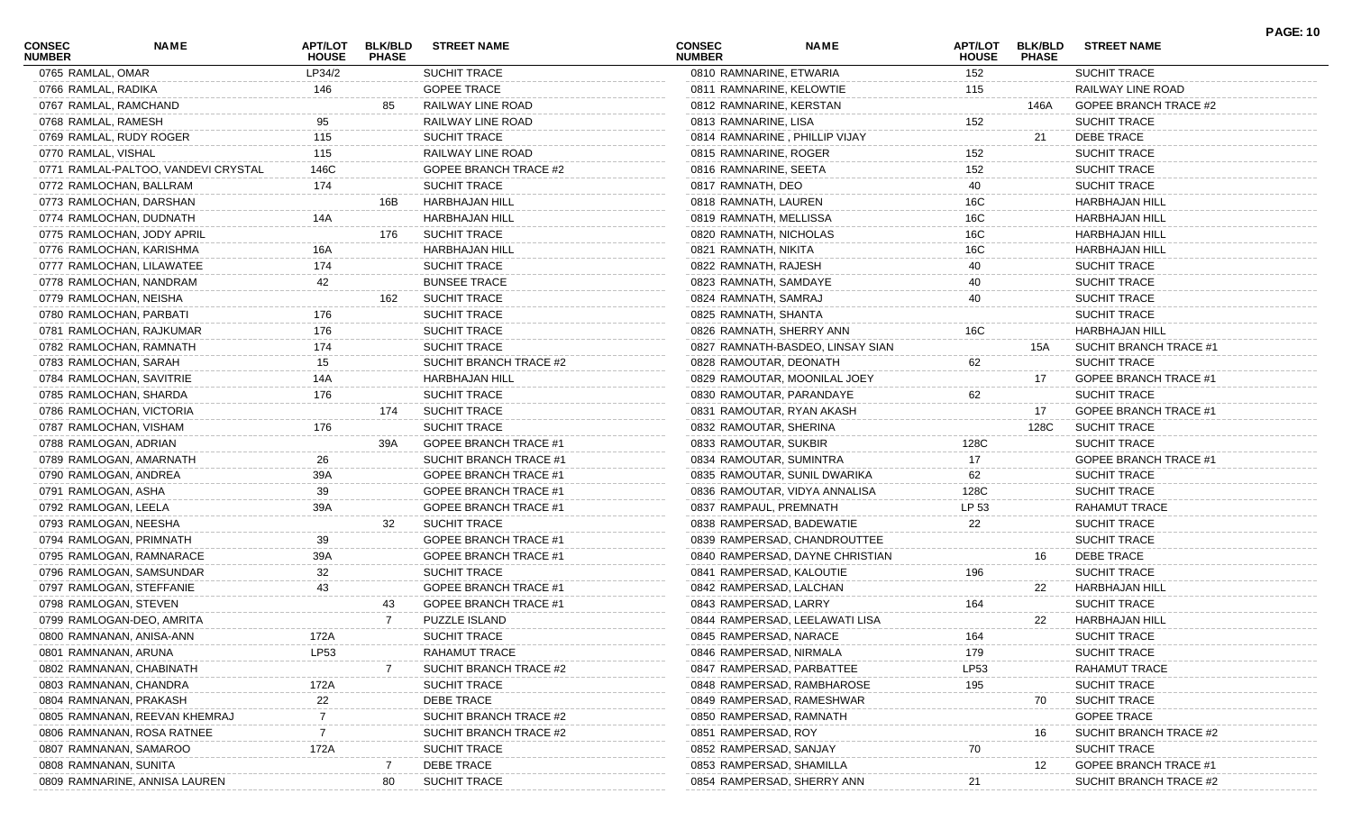| <b>CONSEC</b><br><b>NUMBER</b> | <b>NAME</b>                         | <b>APT/LOT</b><br><b>HOUSE</b> | <b>BLK/BLD</b><br><b>PHASE</b> | <b>STREET NAME</b>           | <b>CONSEC</b><br><b>NUMBER</b> | <b>NAME</b>                      | <b>APT/LOT</b><br><b>HOUSE</b> | <b>BLK/BLD</b><br><b>PHASE</b> | <b>STREET NAME</b>           | <b>PAGE: 10</b> |
|--------------------------------|-------------------------------------|--------------------------------|--------------------------------|------------------------------|--------------------------------|----------------------------------|--------------------------------|--------------------------------|------------------------------|-----------------|
| 0765 RAMLAL, OMAR              |                                     | LP34/2                         |                                | SUCHIT TRACE                 | 0810 RAMNARINE, ETWARIA        |                                  | 152                            |                                | SUCHIT TRACE                 |                 |
| 0766 RAMLAL, RADIKA            |                                     | 146                            |                                | <b>GOPEE TRACE</b>           | 0811 RAMNARINE, KELOWTIE       |                                  | 115                            |                                | RAILWAY LINE ROAD            |                 |
| 0767 RAMLAL, RAMCHAND          |                                     |                                | 85                             | RAILWAY LINE ROAD            | 0812 RAMNARINE, KERSTAN        |                                  |                                | 146A                           | <b>GOPEE BRANCH TRACE #2</b> |                 |
| 0768 RAMLAL, RAMESH            |                                     | 95                             |                                | RAILWAY LINE ROAD            | 0813 RAMNARINE, LISA           |                                  | 152                            |                                | <b>SUCHIT TRACE</b>          |                 |
|                                | 0769 RAMLAL, RUDY ROGER             | 115                            |                                | <b>SUCHIT TRACE</b>          |                                | 0814 RAMNARINE, PHILLIP VIJAY    |                                | 21                             | <b>DEBE TRACE</b>            |                 |
| 0770 RAMLAL, VISHAL            |                                     | 115                            |                                | RAILWAY LINE ROAD            | 0815 RAMNARINE, ROGER          |                                  | 152                            |                                | <b>SUCHIT TRACE</b>          |                 |
|                                | 0771 RAMLAL-PALTOO, VANDEVI CRYSTAL | 146C                           |                                | <b>GOPEE BRANCH TRACE #2</b> | 0816 RAMNARINE, SEETA          |                                  | 152                            |                                | <b>SUCHIT TRACE</b>          |                 |
|                                | 0772 RAMLOCHAN, BALLRAM             | 174                            |                                | SUCHIT TRACE                 | 0817 RAMNATH, DEO              |                                  | 40                             |                                | <b>SUCHIT TRACE</b>          |                 |
|                                | 0773 RAMLOCHAN, DARSHAN             |                                | 16B .                          | HARBHAJAN HILL               | 0818 RAMNATH, LAUREN           |                                  | 16C                            |                                | <b>HARBHAJAN HILL</b>        |                 |
|                                | 0774 RAMLOCHAN, DUDNATH             | 14A                            |                                | <b>HARBHAJAN HILL</b>        | 0819 RAMNATH, MELLISSA         |                                  | 16C                            |                                | <b>HARBHAJAN HILL</b>        |                 |
|                                | 0775 RAMLOCHAN, JODY APRIL          |                                | 176                            | <b>SUCHIT TRACE</b>          | 0820 RAMNATH, NICHOLAS         |                                  | 16C                            |                                | <b>HARBHAJAN HILL</b>        |                 |
|                                | 0776 RAMLOCHAN, KARISHMA            | 16A                            |                                | <b>HARBHAJAN HILL</b>        | 0821 RAMNATH, NIKITA           |                                  | 16C                            |                                | <b>HARBHAJAN HILL</b>        |                 |
|                                | 0777 RAMLOCHAN, LILAWATEE           | 174                            |                                | SUCHIT TRACE                 | 0822 RAMNATH, RAJESH           |                                  | 40                             |                                | <b>SUCHIT TRACE</b>          |                 |
|                                | 0778 RAMLOCHAN, NANDRAM             | 42                             |                                | <b>BUNSEE TRACE</b>          | 0823 RAMNATH, SAMDAYE          |                                  | 40                             |                                | <b>SUCHIT TRACE</b>          |                 |
| 0779 RAMLOCHAN, NEISHA         |                                     |                                | 162                            | <b>SUCHIT TRACE</b>          | 0824 RAMNATH, SAMRAJ           |                                  | 40                             |                                | <b>SUCHIT TRACE</b>          |                 |
|                                | 0780 RAMLOCHAN, PARBATI             | 176                            |                                | <b>SUCHIT TRACE</b>          | 0825 RAMNATH, SHANTA           |                                  |                                |                                | <b>SUCHIT TRACE</b>          |                 |
|                                | 0781 RAMLOCHAN, RAJKUMAR            | 176                            |                                | <b>SUCHIT TRACE</b>          | 0826 RAMNATH, SHERRY ANN       |                                  | 16C                            |                                | <b>HARBHAJAN HILL</b>        |                 |
|                                | 0782 RAMLOCHAN, RAMNATH             | 174                            |                                | SUCHIT TRACE                 |                                | 0827 RAMNATH-BASDEO, LINSAY SIAN |                                | 15A                            | SUCHIT BRANCH TRACE #1       |                 |
| 0783 RAMLOCHAN, SARAH          |                                     | 15                             |                                | SUCHIT BRANCH TRACE #2       | 0828 RAMOUTAR, DEONATH         |                                  | 62                             |                                | <b>SUCHIT TRACE</b>          |                 |
|                                | 0784 RAMLOCHAN, SAVITRIE            | 14A                            |                                | <b>HARBHAJAN HILL</b>        |                                | 0829 RAMOUTAR, MOONILAL JOEY     |                                | 17                             | <b>GOPEE BRANCH TRACE #1</b> |                 |
|                                | 0785 RAMLOCHAN, SHARDA              | 176                            |                                | SUCHIT TRACE                 |                                | 0830 RAMOUTAR, PARANDAYE         | 62                             |                                | <b>SUCHIT TRACE</b>          |                 |
|                                | 0786 RAMLOCHAN, VICTORIA            |                                | 174                            | <b>SUCHIT TRACE</b>          |                                | 0831 RAMOUTAR, RYAN AKASH        |                                | 17                             | <b>GOPEE BRANCH TRACE #1</b> |                 |
| 0787 RAMLOCHAN, VISHAM         |                                     | 176                            |                                | SUCHIT TRACE                 | 0832 RAMOUTAR, SHERINA         |                                  |                                | 128C                           | <b>SUCHIT TRACE</b>          |                 |
| 0788 RAMLOGAN, ADRIAN          |                                     |                                | 39A                            | <b>GOPEE BRANCH TRACE #1</b> | 0833 RAMOUTAR, SUKBIR          |                                  | 128C                           |                                | <b>SUCHIT TRACE</b>          |                 |
|                                | 0789 RAMLOGAN, AMARNATH             | 26                             |                                | SUCHIT BRANCH TRACE #1       | 0834 RAMOUTAR, SUMINTRA        |                                  | 17                             |                                | <b>GOPEE BRANCH TRACE #1</b> |                 |
| 0790 RAMLOGAN, ANDREA          |                                     | 39A                            |                                | GOPEE BRANCH TRACE #1        |                                | 0835 RAMOUTAR, SUNIL DWARIKA     | 62                             |                                | <b>SUCHIT TRACE</b>          |                 |
| 0791 RAMLOGAN, ASHA            |                                     | 39                             |                                | GOPEE BRANCH TRACE #1        |                                | 0836 RAMOUTAR, VIDYA ANNALISA    | 128C                           |                                | <b>SUCHIT TRACE</b>          |                 |
| 0792 RAMLOGAN, LEELA           |                                     | 39A                            |                                | <b>GOPEE BRANCH TRACE #1</b> | 0837 RAMPAUL, PREMNATH         |                                  | LP 53                          |                                | RAHAMUT TRACE                |                 |
| 0793 RAMLOGAN, NEESHA          |                                     |                                | 32                             | SUCHIT TRACE                 |                                | 0838 RAMPERSAD, BADEWATIE        | 22                             |                                | <b>SUCHIT TRACE</b>          |                 |
|                                | 0794 RAMLOGAN, PRIMNATH             | 39                             |                                | <b>GOPEE BRANCH TRACE #1</b> |                                | 0839 RAMPERSAD, CHANDROUTTEE     |                                |                                | <b>SUCHIT TRACE</b>          |                 |
|                                | 0795 RAMLOGAN, RAMNARACE            | 39A                            |                                | <b>GOPEE BRANCH TRACE #1</b> |                                | 0840 RAMPERSAD, DAYNE CHRISTIAN  |                                | 16                             | DEBE TRACE                   |                 |
|                                | 0796 RAMLOGAN, SAMSUNDAR            | 32                             |                                | SUCHIT TRACE                 | 0841 RAMPERSAD, KALOUTIE       |                                  | 196                            |                                | <b>SUCHIT TRACE</b>          |                 |
|                                | 0797 RAMLOGAN, STEFFANIE            | 43                             |                                | GOPEE BRANCH TRACE #1        | 0842 RAMPERSAD, LALCHAN        |                                  |                                | 22                             | HARBHAJAN HILL               |                 |
| 0798 RAMLOGAN, STEVEN          |                                     |                                | 43                             | <b>GOPEE BRANCH TRACE #1</b> | 0843 RAMPERSAD, LARRY          |                                  | 164                            |                                | <b>SUCHIT TRACE</b>          |                 |
|                                | 0799 RAMLOGAN-DEO, AMRITA           |                                | 7                              | PUZZLE ISLAND                |                                | 0844 RAMPERSAD, LEELAWATI LISA   |                                | 22                             | <b>HARBHAJAN HILL</b>        |                 |
|                                | 0800 RAMNANAN, ANISA-ANN            | 172A                           |                                | SUCHIT TRACE                 | 0845 RAMPERSAD, NARACE         |                                  | 164                            |                                | SUCHIT TRACE                 |                 |
| 0801 RAMNANAN, ARUNA           |                                     | LP53                           |                                | RAHAMUT TRACE                | 0846 RAMPERSAD, NIRMALA        |                                  | 179                            |                                | <b>SUCHIT TRACE</b>          |                 |
|                                | 0802 RAMNANAN, CHABINATH            |                                |                                | SUCHIT BRANCH TRACE #2       |                                | 0847 RAMPERSAD, PARBATTEE        | LP <sub>53</sub>               |                                | RAHAMUT TRACE                |                 |
|                                | 0803 RAMNANAN, CHANDRA              | 172A                           |                                | <b>SUCHIT TRACE</b>          |                                | 0848 RAMPERSAD, RAMBHAROSE       | 195                            |                                | <b>SUCHIT TRACE</b>          |                 |
|                                | 0804 RAMNANAN, PRAKASH              | 22                             |                                | <b>DEBE TRACE</b>            |                                | 0849 RAMPERSAD, RAMESHWAR        |                                | 70                             | <b>SUCHIT TRACE</b>          |                 |
|                                | 0805 RAMNANAN, REEVAN KHEMRAJ       |                                |                                | SUCHIT BRANCH TRACE #2       | 0850 RAMPERSAD, RAMNATH        |                                  |                                |                                | <b>GOPEE TRACE</b>           |                 |
|                                | 0806 RAMNANAN, ROSA RATNEE          |                                |                                | SUCHIT BRANCH TRACE #2       | 0851 RAMPERSAD, ROY            |                                  |                                | 16                             | SUCHIT BRANCH TRACE #2       |                 |
|                                | 0807 RAMNANAN, SAMAROO              | 172A                           |                                | SUCHIT TRACE                 | 0852 RAMPERSAD, SANJAY         |                                  | 70                             |                                | <b>SUCHIT TRACE</b>          |                 |
| 0808 RAMNANAN, SUNITA          |                                     |                                |                                | <b>DEBE TRACE</b>            | 0853 RAMPERSAD, SHAMILLA       |                                  |                                | 12                             | <b>GOPEE BRANCH TRACE #1</b> |                 |
|                                | 0809 RAMNARINE, ANNISA LAUREN       |                                | 80                             | SUCHIT TRACE                 |                                | 0854 RAMPERSAD, SHERRY ANN       | 21                             |                                | SUCHIT BRANCH TRACE #2       |                 |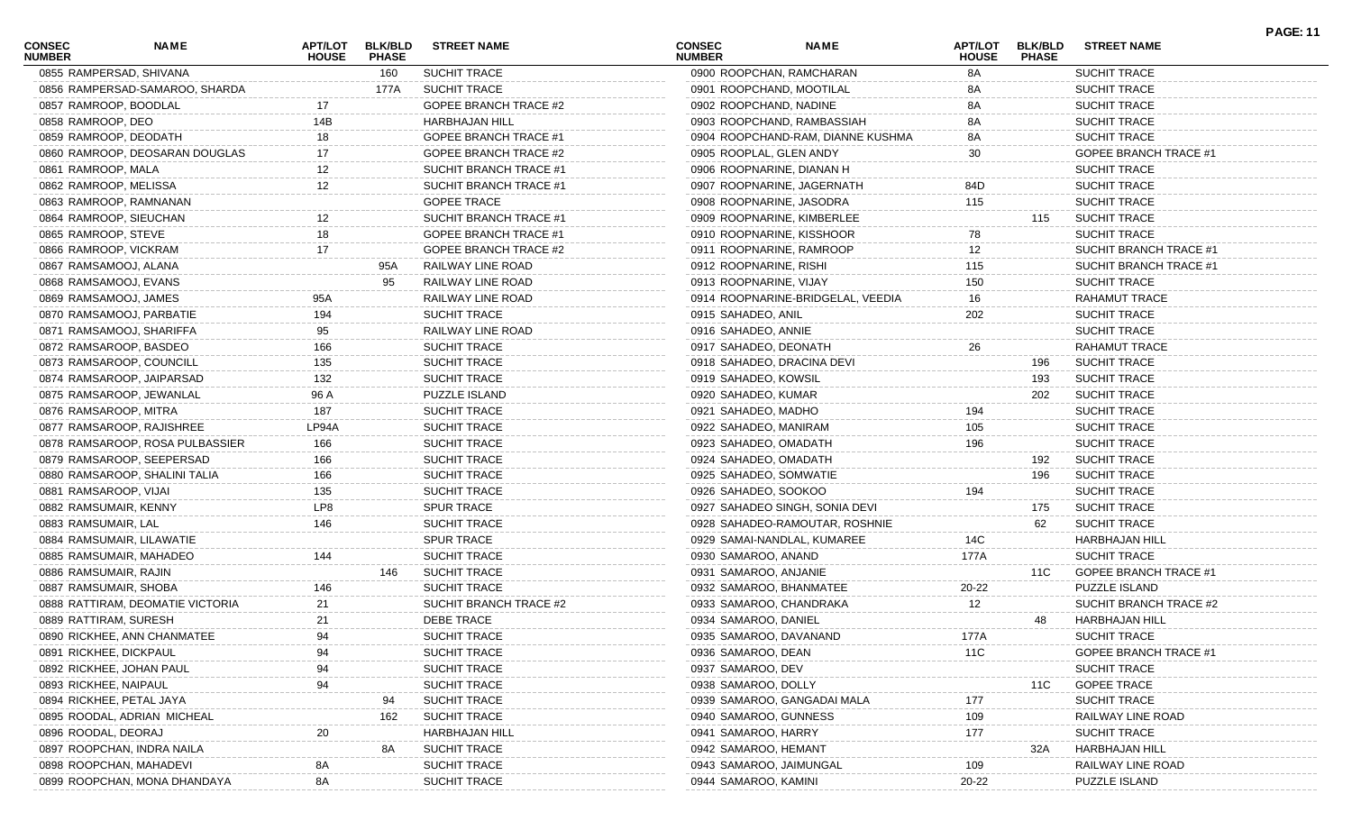| <b>CONSEC</b><br><b>NUMBER</b> | NAME                             | APT/LOT<br><b>HOUSE</b> | <b>BLK/BLD</b><br><b>PHASE</b> | <b>STREET NAME</b>           | <b>CONSEC</b><br><b>NUMBER</b> | <b>NAME</b>                       | APT/LOT<br><b>HOUSE</b> | <b>BLK/BLD</b><br><b>PHASE</b> | <b>STREET NAME</b>           | <b>PAGE: 11</b> |
|--------------------------------|----------------------------------|-------------------------|--------------------------------|------------------------------|--------------------------------|-----------------------------------|-------------------------|--------------------------------|------------------------------|-----------------|
| 0855 RAMPERSAD, SHIVANA        |                                  |                         | 160                            | SUCHIT TRACE                 |                                | 0900 ROOPCHAN, RAMCHARAN          | 8A                      |                                | <b>SUCHIT TRACE</b>          |                 |
|                                | 0856 RAMPERSAD-SAMAROO, SHARDA   |                         | 177A                           | <b>SUCHIT TRACE</b>          |                                | 0901 ROOPCHAND, MOOTILAL          | 8A                      |                                | <b>SUCHIT TRACE</b>          |                 |
| 0857 RAMROOP, BOODLAL          |                                  | 17                      |                                | <b>GOPEE BRANCH TRACE #2</b> | 0902 ROOPCHAND, NADINE         |                                   | 8A                      |                                | <b>SUCHIT TRACE</b>          |                 |
| 0858 RAMROOP, DEO              |                                  | 14B                     |                                | HARBHAJAN HILL               |                                | 0903 ROOPCHAND, RAMBASSIAH        | 8A                      |                                | <b>SUCHIT TRACE</b>          |                 |
| 0859 RAMROOP, DEODATH          |                                  | 18                      |                                | <b>GOPEE BRANCH TRACE #1</b> |                                | 0904 ROOPCHAND-RAM, DIANNE KUSHMA | 8A                      |                                | <b>SUCHIT TRACE</b>          |                 |
|                                | 0860 RAMROOP, DEOSARAN DOUGLAS   |                         |                                | GOPEE BRANCH TRACE #2        | 0905 ROOPLAL, GLEN ANDY        |                                   | 30                      |                                | GOPEE BRANCH TRACE #1        |                 |
| 0861 RAMROOP, MALA             |                                  | 12                      |                                | SUCHIT BRANCH TRACE #1       |                                | 0906 ROOPNARINE, DIANAN H         |                         |                                | <b>SUCHIT TRACE</b>          |                 |
| 0862 RAMROOP, MELISSA          |                                  | 12                      |                                | SUCHIT BRANCH TRACE #1       |                                | 0907 ROOPNARINE, JAGERNATH        | 84D                     |                                | <b>SUCHIT TRACE</b>          |                 |
|                                | 0863 RAMROOP, RAMNANAN           |                         |                                | <b>GOPEE TRACE</b>           |                                | 0908 ROOPNARINE, JASODRA          | 115                     |                                | <b>SUCHIT TRACE</b>          |                 |
| 0864 RAMROOP, SIEUCHAN         |                                  |                         |                                | SUCHIT BRANCH TRACE #1       |                                | 0909 ROOPNARINE, KIMBERLEE        |                         | 115                            | <b>SUCHIT TRACE</b>          |                 |
| 0865 RAMROOP, STEVE            |                                  | 18                      |                                | <b>GOPEE BRANCH TRACE #1</b> |                                | 0910 ROOPNARINE, KISSHOOR         | 78                      |                                | <b>SUCHIT TRACE</b>          |                 |
| 0866 RAMROOP, VICKRAM          |                                  | 17                      |                                | <b>GOPEE BRANCH TRACE #2</b> |                                | 0911 ROOPNARINE, RAMROOP          | 12                      |                                | SUCHIT BRANCH TRACE #1       |                 |
| 0867 RAMSAMOOJ, ALANA          |                                  |                         | 95A                            | RAILWAY LINE ROAD            | 0912 ROOPNARINE, RISHI         |                                   | 115                     |                                | SUCHIT BRANCH TRACE #1       |                 |
| 0868 RAMSAMOOJ, EVANS          |                                  |                         | 95                             | RAILWAY LINE ROAD            | 0913 ROOPNARINE, VIJAY         |                                   | 150                     |                                | <b>SUCHIT TRACE</b>          |                 |
| 0869 RAMSAMOOJ, JAMES          |                                  | 95A                     |                                | RAILWAY LINE ROAD            |                                | 0914 ROOPNARINE-BRIDGELAL, VEEDIA | 16                      |                                | <b>RAHAMUT TRACE</b>         |                 |
|                                | 0870 RAMSAMOOJ, PARBATIE         | 194                     |                                | <b>SUCHIT TRACE</b>          | 0915 SAHADEO, ANIL             |                                   | 202                     |                                | <b>SUCHIT TRACE</b>          |                 |
|                                | 0871 RAMSAMOOJ, SHARIFFA         | 95                      |                                | RAILWAY LINE ROAD            | 0916 SAHADEO, ANNIE            |                                   |                         |                                | <b>SUCHIT TRACE</b>          |                 |
| 0872 RAMSAROOP, BASDEO         |                                  | 166                     |                                | <b>SUCHIT TRACE</b>          | 0917 SAHADEO, DEONATH          |                                   | 26                      |                                | <b>RAHAMUT TRACE</b>         |                 |
|                                | 0873 RAMSAROOP, COUNCILL         | 135                     |                                | SUCHIT TRACE                 |                                | 0918 SAHADEO, DRACINA DEVI        |                         | 196                            | <b>SUCHIT TRACE</b>          |                 |
|                                | 0874 RAMSAROOP, JAIPARSAD        | 132                     |                                | <b>SUCHIT TRACE</b>          | 0919 SAHADEO, KOWSIL           |                                   |                         | 193                            | <b>SUCHIT TRACE</b>          |                 |
|                                | 0875 RAMSAROOP, JEWANLAL         | 96 A                    |                                | PUZZLE ISLAND                | 0920 SAHADEO, KUMAR            |                                   |                         | 202                            | <b>SUCHIT TRACE</b>          |                 |
| 0876 RAMSAROOP, MITRA          |                                  | 187                     |                                | SUCHIT TRACE                 | 0921 SAHADEO, MADHO            |                                   | 194                     |                                | <b>SUCHIT TRACE</b>          |                 |
|                                | 0877 RAMSAROOP, RAJISHREE        | LP94A                   |                                | <b>SUCHIT TRACE</b>          | 0922 SAHADEO, MANIRAM          |                                   | 105                     |                                | <b>SUCHIT TRACE</b>          |                 |
|                                | 0878 RAMSAROOP, ROSA PULBASSIER  | 166                     |                                | <b>SUCHIT TRACE</b>          | 0923 SAHADEO, OMADATH          |                                   | 196                     |                                | <b>SUCHIT TRACE</b>          |                 |
|                                | 0879 RAMSAROOP, SEEPERSAD        | 166                     |                                | <b>SUCHIT TRACE</b>          | 0924 SAHADEO, OMADATH          |                                   |                         | 192                            | <b>SUCHIT TRACE</b>          |                 |
|                                | 0880 RAMSAROOP, SHALINI TALIA    | 166                     |                                | <b>SUCHIT TRACE</b>          | 0925 SAHADEO, SOMWATIE         |                                   |                         | 196                            | <b>SUCHIT TRACE</b>          |                 |
| 0881 RAMSAROOP, VIJAI          |                                  | 135                     |                                | SUCHIT TRACE                 | 0926 SAHADEO, SOOKOO           |                                   | 194                     |                                | <b>SUCHIT TRACE</b>          |                 |
| 0882 RAMSUMAIR, KENNY          |                                  | LP8                     |                                | <b>SPUR TRACE</b>            |                                | 0927 SAHADEO SINGH, SONIA DEVI    |                         | 175                            | <b>SUCHIT TRACE</b>          |                 |
| 0883 RAMSUMAIR, LAL            |                                  | 146                     |                                | <b>SUCHIT TRACE</b>          |                                | 0928 SAHADEO-RAMOUTAR, ROSHNIE    |                         | 62                             | <b>SUCHIT TRACE</b>          |                 |
|                                | 0884 RAMSUMAIR, LILAWATIE        |                         |                                | <b>SPUR TRACE</b>            |                                | 0929 SAMAI-NANDLAL, KUMAREE       | 14C                     |                                | <b>HARBHAJAN HILL</b>        |                 |
|                                | 0885 RAMSUMAIR, MAHADEO          | 144                     |                                | SUCHIT TRACE                 | 0930 SAMAROO, ANAND            |                                   | 177A                    |                                | <b>SUCHIT TRACE</b>          |                 |
| 0886 RAMSUMAIR, RAJIN          |                                  |                         | 146                            | <b>SUCHIT TRACE</b>          | 0931 SAMAROO, ANJANIE          |                                   |                         | 11C                            | <b>GOPEE BRANCH TRACE #1</b> |                 |
| 0887 RAMSUMAIR, SHOBA          |                                  | 146                     |                                | SUCHIT TRACE                 |                                | 0932 SAMAROO, BHANMATEE           | 20-22                   |                                | PUZZLE ISLAND                |                 |
|                                | 0888 RATTIRAM, DEOMATIE VICTORIA | 21                      |                                | SUCHIT BRANCH TRACE #2       |                                | 0933 SAMAROO, CHANDRAKA           | 12                      |                                | SUCHIT BRANCH TRACE #2       |                 |
| 0889 RATTIRAM, SURESH          |                                  | 21                      |                                | DEBE TRACE                   | 0934 SAMAROO, DANIEL           |                                   |                         | 48                             | HARBHAJAN HILL               |                 |
|                                | 0890 RICKHEE, ANN CHANMATEE      | 94                      |                                | SUCHIT TRACE                 | 0935 SAMAROO, DAVANAND         |                                   | 177A                    |                                | SUCHIT TRACE                 |                 |
| 0891 RICKHEE, DICKPAUL         |                                  | 94                      |                                | SUCHIT TRACE                 | 0936 SAMAROO, DEAN             |                                   | 11C                     |                                | <b>GOPEE BRANCH TRACE #1</b> |                 |
| 0892 RICKHEE, JOHAN PAUL       |                                  | 94                      |                                | SUCHIT TRACE                 | 0937 SAMAROO, DEV              |                                   |                         |                                | <b>SUCHIT TRACE</b>          |                 |
| 0893 RICKHEE, NAIPAUL          |                                  | 94                      |                                | SUCHIT TRACE                 | 0938 SAMAROO, DOLLY            |                                   |                         | 11C                            | <b>GOPEE TRACE</b>           |                 |
| 0894 RICKHEE, PETAL JAYA       |                                  |                         | 94                             | <b>SUCHIT TRACE</b>          |                                | 0939 SAMAROO, GANGADAI MALA       | 177                     |                                | <b>SUCHIT TRACE</b>          |                 |
|                                | 0895 ROODAL, ADRIAN MICHEAL      |                         | 162                            | <b>SUCHIT TRACE</b>          | 0940 SAMAROO, GUNNESS          |                                   | 109                     |                                | RAILWAY LINE ROAD            |                 |
| 0896 ROODAL, DEORAJ            |                                  | 20                      |                                | HARBHAJAN HILL               | 0941 SAMAROO, HARRY            |                                   | 177                     |                                | <b>SUCHIT TRACE</b>          |                 |
|                                | 0897 ROOPCHAN, INDRA NAILA       |                         | 8A                             | <b>SUCHIT TRACE</b>          | 0942 SAMAROO, HEMANT           |                                   |                         | 32A                            | <b>HARBHAJAN HILL</b>        |                 |
|                                | 0898 ROOPCHAN, MAHADEVI          | 8Α                      |                                | SUCHIT TRACE                 | 0943 SAMAROO, JAIMUNGAL        |                                   | 109                     |                                | RAILWAY LINE ROAD            |                 |
|                                | 0899 ROOPCHAN, MONA DHANDAYA     | 8A                      |                                | SUCHIT TRACE                 | 0944 SAMAROO, KAMINI           |                                   | 20-22                   |                                | PUZZLE ISLAND                |                 |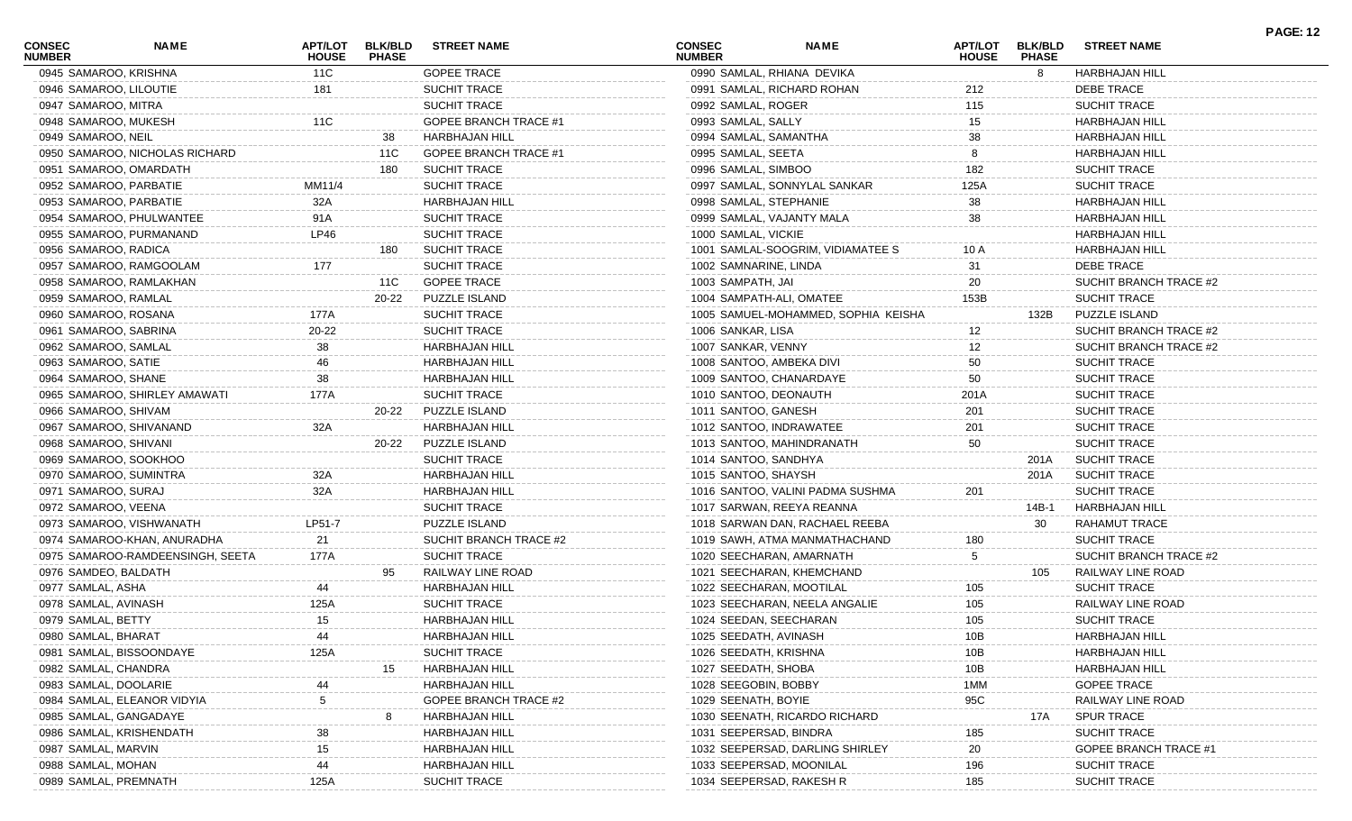| <b>CONSEC</b><br><b>NUMBER</b> | <b>NAME</b>                      | APT/LOT<br><b>HOUSE</b> | <b>BLK/BLD</b><br><b>PHASE</b> | <b>STREET NAME</b>           | <b>CONSEC</b><br><b>NUMBER</b> | <b>NAME</b>                         | <b>APT/LOT</b><br><b>HOUSE</b> | <b>BLK/BLD</b><br><b>PHASE</b> | <b>STREET NAME</b>          | <b>PAGE: 12</b> |
|--------------------------------|----------------------------------|-------------------------|--------------------------------|------------------------------|--------------------------------|-------------------------------------|--------------------------------|--------------------------------|-----------------------------|-----------------|
|                                | 0945 SAMAROO, KRISHNA            | 11C                     |                                | <b>GOPEE TRACE</b>           |                                | 0990 SAMLAL, RHIANA DEVIKA          |                                | 8                              | HARBHAJAN HILL              |                 |
|                                | 0946 SAMAROO, LILOUTIE           | 181                     |                                | SUCHIT TRACE                 |                                | 0991 SAMLAL, RICHARD ROHAN          | 212                            |                                | <b>DEBE TRACE</b>           |                 |
| 0947 SAMAROO, MITRA            |                                  |                         |                                | SUCHIT TRACE                 | 0992 SAMLAL, ROGER             |                                     | 115                            |                                | SUCHIT TRACE                |                 |
|                                | 0948 SAMAROO, MUKESH             | 11C                     |                                | <b>GOPEE BRANCH TRACE #1</b> | 0993 SAMLAL, SALLY             |                                     | 15                             |                                | <b>HARBHAJAN HILL</b>       |                 |
| 0949 SAMAROO, NEIL             |                                  |                         | 38                             | HARBHAJAN HILL               | 0994 SAMLAL, SAMANTHA          |                                     | 38                             |                                | <b>HARBHAJAN HILL</b>       |                 |
|                                | 0950 SAMAROO, NICHOLAS RICHARD   |                         | 11C                            | <b>GOPEE BRANCH TRACE #1</b> | 0995 SAMLAL, SEETA             |                                     | 8                              |                                | <b>HARBHAJAN HILL</b>       |                 |
|                                | 0951 SAMAROO, OMARDATH           |                         | 180                            | <b>SUCHIT TRACE</b>          | 0996 SAMLAL, SIMBOO            |                                     | 182                            |                                | SUCHIT TRACE                |                 |
|                                | 0952 SAMAROO, PARBATIE           | MM11/4                  |                                | SUCHIT TRACE                 |                                | 0997 SAMLAL, SONNYLAL SANKAR        | 125A                           |                                | SUCHIT TRACE                |                 |
|                                | 0953 SAMAROO, PARBATIE           | 32A                     |                                | <b>HARBHAJAN HILL</b>        | 0998 SAMLAL, STEPHANIE         |                                     | 38                             |                                | <b>HARBHAJAN HILL</b>       |                 |
|                                | 0954 SAMAROO, PHULWANTEE         | 91A                     |                                | SUCHIT TRACE                 |                                | 0999 SAMLAL, VAJANTY MALA           | 38                             |                                | <b>HARBHAJAN HILL</b>       |                 |
|                                | 0955 SAMAROO, PURMANAND          | LP46                    |                                | <b>SUCHIT TRACE</b>          | 1000 SAMLAL, VICKIE            |                                     |                                |                                | HARBHAJAN HILL              |                 |
| 0956 SAMAROO, RADICA           |                                  |                         | 180                            | <b>SUCHIT TRACE</b>          |                                | 1001 SAMLAL-SOOGRIM, VIDIAMATEE S   | 10 A                           |                                | HARBHAJAN HILL              |                 |
|                                | 0957 SAMAROO, RAMGOOLAM          | 177                     |                                | <b>SUCHIT TRACE</b>          | 1002 SAMNARINE, LINDA          |                                     | 31                             |                                | <b>DEBE TRACE</b>           |                 |
|                                | 0958 SAMAROO, RAMLAKHAN          |                         | 11C                            | <b>GOPEE TRACE</b>           | 1003 SAMPATH, JAI              |                                     | 20                             |                                | SUCHIT BRANCH TRACE #2      |                 |
| 0959 SAMAROO, RAMLAL           |                                  |                         | 20-22                          | PUZZLE ISLAND                |                                | 1004 SAMPATH-ALI, OMATEE            | 153B                           |                                | SUCHIT TRACE                |                 |
|                                | 0960 SAMAROO, ROSANA             | 177A                    |                                | <b>SUCHIT TRACE</b>          |                                | 1005 SAMUEL-MOHAMMED, SOPHIA KEISHA |                                | 132B                           | <b>PUZZLE ISLAND</b>        |                 |
|                                | 0961 SAMAROO, SABRINA            | 20-22                   |                                | SUCHIT TRACE                 | 1006 SANKAR, LISA              |                                     | 12                             |                                | SUCHIT BRANCH TRACE #2      |                 |
| 0962 SAMAROO, SAMLAL           |                                  | 38                      |                                | <b>HARBHAJAN HILL</b>        | 1007 SANKAR, VENNY             |                                     | $12 \overline{ }$              |                                | SUCHIT BRANCH TRACE #2      |                 |
| 0963 SAMAROO, SATIE            |                                  | 46                      |                                | <b>HARBHAJAN HILL</b>        | 1008 SANTOO, AMBEKA DIVI       |                                     | 50                             |                                | <b>SUCHIT TRACE</b>         |                 |
| 0964 SAMAROO, SHANE            |                                  | 38                      |                                | <b>HARBHAJAN HILL</b>        |                                | 1009 SANTOO, CHANARDAYE             | 50                             |                                | <b>SUCHIT TRACE</b>         |                 |
|                                | 0965 SAMAROO, SHIRLEY AMAWATI    | 177A                    |                                | <b>SUCHIT TRACE</b>          | 1010 SANTOO, DEONAUTH          |                                     | 201A                           |                                | <b>SUCHIT TRACE</b>         |                 |
| 0966 SAMAROO, SHIVAM           |                                  |                         | 20-22                          | PUZZLE ISLAND                | 1011 SANTOO, GANESH            |                                     | 201                            |                                | <b>SUCHIT TRACE</b>         |                 |
|                                | 0967 SAMAROO, SHIVANAND          | 32A                     |                                | <b>HARBHAJAN HILL</b>        |                                | 1012 SANTOO, INDRAWATEE             | 201                            |                                | <b>SUCHIT TRACE</b>         |                 |
| 0968 SAMAROO, SHIVANI          |                                  |                         | 20-22                          | PUZZLE ISLAND                |                                | 1013 SANTOO, MAHINDRANATH           | 50                             |                                | <b>SUCHIT TRACE</b>         |                 |
|                                | 0969 SAMAROO, SOOKHOO            |                         |                                | SUCHIT TRACE                 | 1014 SANTOO, SANDHYA           |                                     |                                | 201A                           | <b>SUCHIT TRACE</b>         |                 |
|                                | 0970 SAMAROO, SUMINTRA           | 32A                     |                                | <b>HARBHAJAN HILL</b>        | 1015 SANTOO, SHAYSH            |                                     |                                | 201A                           | <b>SUCHIT TRACE</b>         |                 |
| 0971 SAMAROO, SURAJ            |                                  | 32A                     |                                | <b>HARBHAJAN HILL</b>        |                                | 1016 SANTOO, VALINI PADMA SUSHMA    | 201                            |                                | SUCHIT TRACE                |                 |
| 0972 SAMAROO, VEENA            |                                  |                         |                                | <b>SUCHIT TRACE</b>          |                                | 1017 SARWAN, REEYA REANNA           |                                | 14B-1                          | HARBHAJAN HILL              |                 |
|                                | 0973 SAMAROO, VISHWANATH         | LP51-7                  |                                | PUZZLE ISLAND                |                                | 1018 SARWAN DAN, RACHAEL REEBA      |                                | -30                            | RAHAMUT TRACE               |                 |
|                                | 0974 SAMAROO-KHAN, ANURADHA      | 21                      |                                | SUCHIT BRANCH TRACE #2       |                                | 1019 SAWH, ATMA MANMATHACHAND       | 180                            |                                | <b>SUCHIT TRACE</b>         |                 |
|                                | 0975 SAMAROO-RAMDEENSINGH, SEETA | 177A                    |                                | SUCHIT TRACE                 |                                | 1020 SEECHARAN, AMARNATH            | 5                              |                                | SUCHIT BRANCH TRACE #2      |                 |
| 0976 SAMDEO, BALDATH           |                                  |                         | 95                             | RAILWAY LINE ROAD            |                                | 1021 SEECHARAN, KHEMCHAND           |                                | 105                            | RAILWAY LINE ROAD           |                 |
| 0977 SAMLAL, ASHA              |                                  | 44                      |                                | <b>HARBHAJAN HILL</b>        |                                | 1022 SEECHARAN, MOOTILAL            | 105                            |                                | SUCHIT TRACE                |                 |
| 0978 SAMLAL, AVINASH           |                                  | 125A                    |                                | <b>SUCHIT TRACE</b>          |                                | 1023 SEECHARAN, NEELA ANGALIE       | 105                            |                                | RAILWAY LINE ROAD           |                 |
| 0979 SAMLAL, BETTY             |                                  | 15                      |                                | HARBHAJAN HILL               | 1024 SEEDAN, SEECHARAN         |                                     | 105                            |                                | SUCHIT TRACE                |                 |
| 0980 SAMLAL, BHARAT            |                                  |                         |                                | HARBHAJAN HILL               | 1025 SEEDATH, AVINASH          |                                     |                                |                                |                             |                 |
|                                |                                  | 44                      |                                |                              |                                |                                     | 10B                            |                                | HARBHAJAN HILL              |                 |
|                                | 0981 SAMLAL, BISSOONDAYE         | 125A                    |                                | SUCHIT TRACE                 | 1026 SEEDATH, KRISHNA          |                                     | 10B                            |                                | <b>HARBHAJAN HILL</b>       |                 |
| 0982 SAMLAL, CHANDRA           |                                  |                         | 15                             | HARBHAJAN HILL               | 1027 SEEDATH, SHOBA            |                                     | 10B                            |                                | <b>HARBHAJAN HILL</b>       |                 |
| 0983 SAMLAL, DOOLARIE          |                                  |                         |                                | <b>HARBHAJAN HILL</b>        | 1028 SEEGOBIN, BOBBY           |                                     | 1MM                            |                                | <b>GOPEE TRACE</b>          |                 |
|                                | 0984 SAMLAL, ELEANOR VIDYIA      |                         |                                | GOPEE BRANCH TRACE #2        | 1029 SEENATH, BOYIE            |                                     | 95C                            |                                | RAILWAY LINE ROAD           |                 |
|                                | 0985 SAMLAL, GANGADAYE           |                         |                                | HARBHAJAN HILL               |                                | 1030 SEENATH, RICARDO RICHARD       |                                | 17A                            | <b>SPUR TRACE</b>           |                 |
|                                | 0986 SAMLAL, KRISHENDATH         | 38                      |                                | <b>HARBHAJAN HILL</b>        | 1031 SEEPERSAD, BINDRA         |                                     | 185                            |                                | <b>SUCHIT TRACE</b>         |                 |
| 0987 SAMLAL, MARVIN            |                                  | 15                      |                                | <b>HARBHAJAN HILL</b>        |                                | 1032 SEEPERSAD, DARLING SHIRLEY     | 20                             |                                | <b>GOPEE BRANCH TRACE #</b> |                 |
| 0988 SAMLAL, MOHAN             |                                  |                         |                                | HARBHAJAN HILL               |                                | 1033 SEEPERSAD, MOONILAL            | 196                            |                                | SUCHIT TRACE                |                 |
|                                | 0989 SAMLAL, PREMNATH            | 125A                    |                                | SUCHIT TRACE                 |                                | 1034 SEEPERSAD, RAKESH R            | 185                            |                                | SUCHIT TRACE                |                 |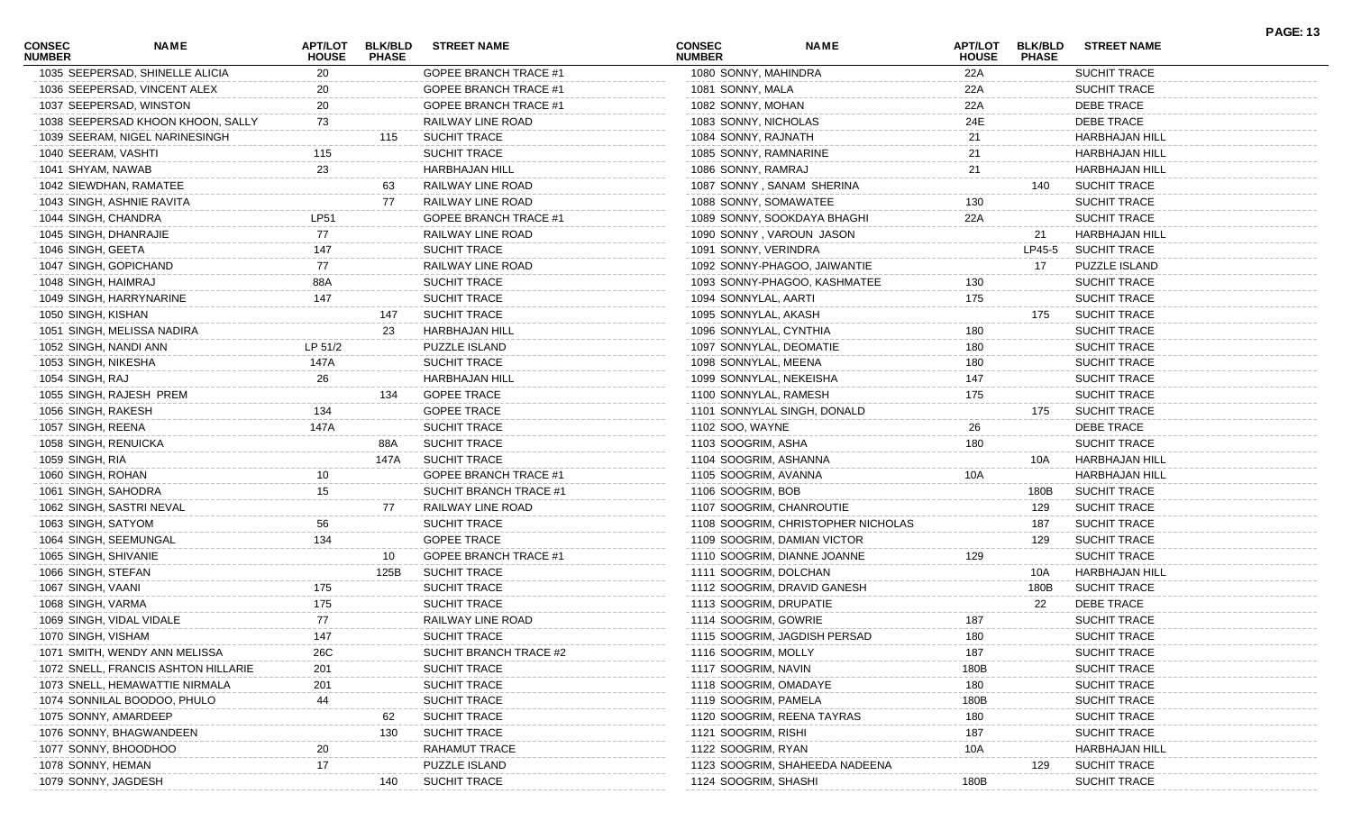| <b>CONSEC</b><br><b>NUMBER</b> | <b>NAME</b>                         | <b>APT/LOT</b><br><b>HOUSE</b> | <b>PHASE</b> | BLK/BLD STREET NAME          | <b>CONSEC</b><br><b>NUMBER</b> | <b>NAME</b>                        | <b>APT/LOT</b><br><b>HOUSE</b> | <b>BLK/BLD</b><br><b>PHASE</b> | <b>STREET NAME</b>    |  |
|--------------------------------|-------------------------------------|--------------------------------|--------------|------------------------------|--------------------------------|------------------------------------|--------------------------------|--------------------------------|-----------------------|--|
|                                | 1035 SEEPERSAD, SHINELLE ALICIA     | 20                             |              | <b>GOPEE BRANCH TRACE #1</b> | 1080 SONNY, MAHINDRA           |                                    | 22A                            |                                | SUCHIT TRACE          |  |
|                                | 1036 SEEPERSAD, VINCENT ALEX        | 20                             |              | <b>GOPEE BRANCH TRACE #1</b> | 1081 SONNY, MALA               |                                    | 22A                            |                                | SUCHIT TRACE          |  |
|                                | 1037 SEEPERSAD, WINSTON             | 20                             |              | <b>GOPEE BRANCH TRACE #1</b> | 1082 SONNY, MOHAN              |                                    | 22A                            |                                | DEBE TRACE            |  |
|                                | 1038 SEEPERSAD KHOON KHOON, SALLY   | 73                             |              | RAILWAY LINE ROAD            | 1083 SONNY, NICHOLAS           |                                    | 24E                            |                                | DEBE TRACE            |  |
|                                | 1039 SEERAM, NIGEL NARINESINGH      |                                | 115          | <b>SUCHIT TRACE</b>          | 1084 SONNY, RAJNATH            |                                    | 21                             |                                | <b>HARBHAJAN HILL</b> |  |
| 1040 SEERAM, VASHTI            |                                     | 115                            |              | <b>SUCHIT TRACE</b>          |                                | 1085 SONNY, RAMNARINE              | 21                             |                                | <b>HARBHAJAN HILL</b> |  |
| 1041 SHYAM, NAWAB              |                                     | 23                             |              | HARBHAJAN HILL               | 1086 SONNY, RAMRAJ             |                                    | 21                             |                                | <b>HARBHAJAN HILL</b> |  |
|                                | 1042 SIEWDHAN, RAMATEE              |                                | 63           | RAILWAY LINE ROAD            |                                | 1087 SONNY, SANAM SHERINA          |                                | 140                            | <b>SUCHIT TRACE</b>   |  |
|                                | 1043 SINGH, ASHNIE RAVITA           |                                | 77           | RAILWAY LINE ROAD            |                                | 1088 SONNY, SOMAWATEE              | 130                            |                                | <b>SUCHIT TRACE</b>   |  |
|                                | 1044 SINGH, CHANDRA                 | <b>LP51</b>                    |              | <b>GOPEE BRANCH TRACE #1</b> |                                | 1089 SONNY, SOOKDAYA BHAGHI        | 22A                            |                                | <b>SUCHIT TRACE</b>   |  |
|                                | 1045 SINGH, DHANRAJIE               | 77                             |              | RAILWAY LINE ROAD            |                                | 1090 SONNY, VAROUN JASON           |                                | 21                             | <b>HARBHAJAN HILL</b> |  |
| 1046 SINGH, GEETA              |                                     | 147                            |              | <b>SUCHIT TRACE</b>          | 1091 SONNY, VERINDRA           |                                    |                                | LP45-5                         | <b>SUCHIT TRACE</b>   |  |
|                                | 1047 SINGH, GOPICHAND               | 77                             |              | RAILWAY LINE ROAD            |                                | 1092 SONNY-PHAGOO, JAIWANTIE       |                                | 17                             | PUZZLE ISLAND         |  |
| 1048 SINGH, HAIMRAJ            |                                     | 88A                            |              | <b>SUCHIT TRACE</b>          |                                | 1093 SONNY-PHAGOO, KASHMATEE       | 130                            |                                | <b>SUCHIT TRACE</b>   |  |
|                                | 1049 SINGH, HARRYNARINE             | 147                            |              | <b>SUCHIT TRACE</b>          | 1094 SONNYLAL, AARTI           |                                    | 175                            |                                | SUCHIT TRACE          |  |
| 1050 SINGH, KISHAN             |                                     |                                | 147          | <b>SUCHIT TRACE</b>          | 1095 SONNYLAL, AKASH           |                                    |                                | 175                            | <b>SUCHIT TRACE</b>   |  |
|                                | 1051 SINGH, MELISSA NADIRA          |                                | 23           | <b>HARBHAJAN HILL</b>        |                                | 1096 SONNYLAL, CYNTHIA             | 180                            |                                | SUCHIT TRACE          |  |
|                                | 1052 SINGH, NANDI ANN               | LP 51/2                        |              | PUZZLE ISLAND                |                                | 1097 SONNYLAL, DEOMATIE            | 180                            |                                | SUCHIT TRACE          |  |
| 1053 SINGH, NIKESHA            |                                     | 147A                           |              | <b>SUCHIT TRACE</b>          | 1098 SONNYLAL, MEENA           |                                    | 180                            |                                | SUCHIT TRACE          |  |
| 1054 SINGH, RAJ                |                                     | 26                             |              | HARBHAJAN HILL               |                                | 1099 SONNYLAL, NEKEISHA            | 147                            |                                | <b>SUCHIT TRACE</b>   |  |
|                                | 1055 SINGH, RAJESH PREM             |                                | 134          | <b>GOPEE TRACE</b>           |                                | 1100 SONNYLAL, RAMESH              | 175                            |                                | SUCHIT TRACE          |  |
| 1056 SINGH, RAKESH             |                                     | 134                            |              | <b>GOPEE TRACE</b>           |                                | 1101 SONNYLAL SINGH, DONALD        |                                | 175                            | <b>SUCHIT TRACE</b>   |  |
| 1057 SINGH, REENA              |                                     | 147A                           |              | <b>SUCHIT TRACE</b>          | 1102 SOO, WAYNE                |                                    | 26                             |                                | DEBE TRACE            |  |
|                                | 1058 SINGH, RENUICKA                |                                | 88A          | <b>SUCHIT TRACE</b>          | 1103 SOOGRIM, ASHA             |                                    | 180                            |                                | SUCHIT TRACE          |  |
| 1059 SINGH, RIA                |                                     |                                | 147A         | <b>SUCHIT TRACE</b>          |                                | 1104 SOOGRIM, ASHANNA              |                                | 10A                            | <b>HARBHAJAN HILL</b> |  |
| 1060 SINGH, ROHAN              |                                     |                                |              | <b>GOPEE BRANCH TRACE #1</b> | 1105 SOOGRIM, AVANNA           |                                    | 10A                            |                                | <b>HARBHAJAN HILL</b> |  |
|                                | 1061 SINGH, SAHODRA                 | 15                             |              | SUCHIT BRANCH TRACE #1       | 1106 SOOGRIM, BOB              |                                    |                                | 180B                           | <b>SUCHIT TRACE</b>   |  |
|                                | 1062 SINGH, SASTRI NEVAL            |                                | 77           | RAILWAY LINE ROAD            |                                | 1107 SOOGRIM, CHANROUTIE           |                                | 129                            | <b>SUCHIT TRACE</b>   |  |
| 1063 SINGH, SATYOM             |                                     | 56                             |              | <b>SUCHIT TRACE</b>          |                                | 1108 SOOGRIM, CHRISTOPHER NICHOLAS |                                | 187                            | <b>SUCHIT TRACE</b>   |  |
|                                | 1064 SINGH, SEEMUNGAL               | 134                            |              | <b>GOPEE TRACE</b>           |                                | 1109 SOOGRIM, DAMIAN VICTOR        |                                | 129                            | <b>SUCHIT TRACE</b>   |  |
| 1065 SINGH, SHIVANIE           |                                     |                                | 10           | <b>GOPEE BRANCH TRACE #1</b> |                                | 1110 SOOGRIM, DIANNE JOANNE        | 129                            |                                | SUCHIT TRACE          |  |
| 1066 SINGH, STEFAN             |                                     |                                | 125B         | <b>SUCHIT TRACE</b>          |                                | 1111 SOOGRIM, DOLCHAN              |                                | 10A                            | HARBHAJAN HILL        |  |
| 1067 SINGH, VAANI              |                                     | 175                            |              | <b>SUCHIT TRACE</b>          |                                | 1112 SOOGRIM, DRAVID GANESH        |                                | 180B                           | <b>SUCHIT TRACE</b>   |  |
| 1068 SINGH, VARMA              |                                     | 175                            |              | <b>SUCHIT TRACE</b>          |                                | 1113 SOOGRIM, DRUPATIE             |                                | 22                             | DEBE TRACE            |  |
|                                | 1069 SINGH, VIDAL VIDALE            | 77                             |              | RAILWAY LINE ROAD            | 1114 SOOGRIM, GOWRIE           |                                    | 187                            |                                | SUCHIT TRACE          |  |
| 1070 SINGH, VISHAM             |                                     | 147                            |              | SUCHIT TRACE                 |                                | 1115 SOOGRIM, JAGDISH PERSAD       | 180                            |                                | SUCHIT TRACE          |  |
|                                | 1071 SMITH, WENDY ANN MELISSA       | 26C                            |              | SUCHIT BRANCH TRACE #2       | 1116 SOOGRIM, MOLLY            |                                    | 187                            |                                | <b>SUCHIT TRACE</b>   |  |
|                                | 1072 SNELL, FRANCIS ASHTON HILLARIE | 201                            |              | SUCHIT TRACE                 | 1117 SOOGRIM, NAVIN            |                                    | 180B                           |                                | <b>SUCHIT TRACE</b>   |  |
|                                | 1073 SNELL, HEMAWATTIE NIRMALA      | 201                            |              | SUCHIT TRACE                 |                                | 1118 SOOGRIM, OMADAYE              | 180                            |                                | <b>SUCHIT TRACE</b>   |  |
|                                | 1074 SONNILAL BOODOO, PHULO         | 44                             |              | <b>SUCHIT TRACE</b>          | 1119 SOOGRIM, PAMELA           |                                    | 180B                           |                                | <b>SUCHIT TRACE</b>   |  |
|                                | 1075 SONNY, AMARDEEP                |                                |              | <b>SUCHIT TRACE</b>          |                                | 1120 SOOGRIM, REENA TAYRAS         | 180                            |                                | <b>SUCHIT TRACE</b>   |  |
|                                | 1076 SONNY, BHAGWANDEEN             |                                | 130          | <b>SUCHIT TRACE</b>          | 1121 SOOGRIM, RISHI            |                                    | 187                            |                                | <b>SUCHIT TRACE</b>   |  |
|                                | 1077 SONNY, BHOODHOO                |                                |              | <b>RAHAMUT TRACE</b>         | 1122 SOOGRIM, RYAN             |                                    | 10A                            |                                | <b>HARBHAJAN HILL</b> |  |
| 1078 SONNY, HEMAN              |                                     | 17                             |              | PUZZLE ISLAND                |                                | 1123 SOOGRIM, SHAHEEDA NADEENA     |                                | 129                            | <b>SUCHIT TRACE</b>   |  |
|                                | 1079 SONNY, JAGDESH                 |                                | 140          | <b>SUCHIT TRACE</b>          | 1124 SOOGRIM, SHASHI           |                                    | 180B                           |                                | SUCHIT TRACE          |  |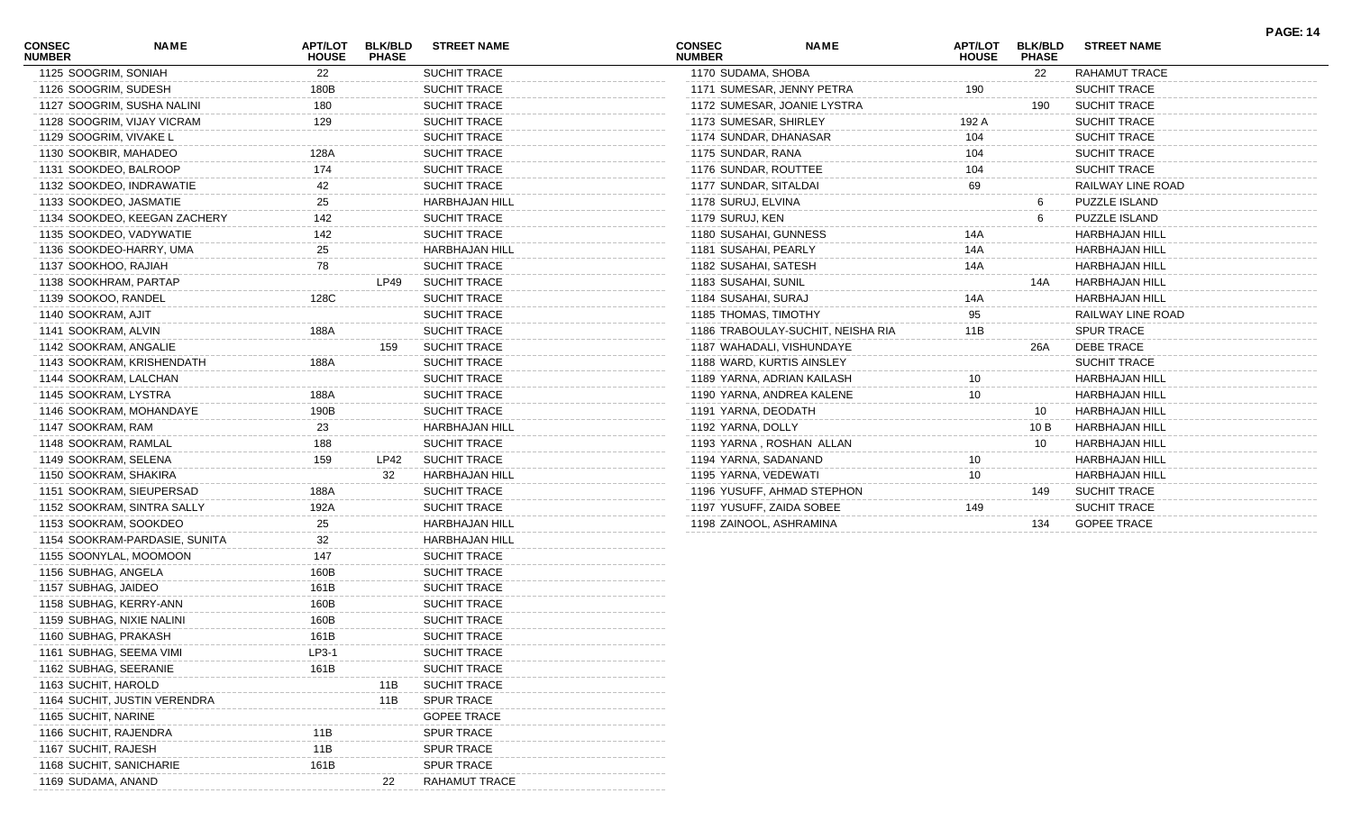| <b>CONSEC</b><br><b>NUMBER</b> | <b>NAME</b>                   | <b>APT/LOT</b><br><b>HOUSE</b> | <b>BLK/BLD</b><br><b>PHASE</b> | <b>STREET NAME</b>    | <b>CONSEC</b><br><b>NUMBER</b> | <b>NAME</b>                       | <b>APT/LOT</b><br><b>HOUSE</b> | <b>BLK/BLD</b><br><b>PHASE</b> | <b>STREET NAME</b>    | <b>PAGE: 14</b> |
|--------------------------------|-------------------------------|--------------------------------|--------------------------------|-----------------------|--------------------------------|-----------------------------------|--------------------------------|--------------------------------|-----------------------|-----------------|
| 1125 SOOGRIM, SONIAH           |                               | 22                             |                                | SUCHIT TRACE          | 1170 SUDAMA, SHOBA             |                                   |                                | 22                             | RAHAMUT TRACE         |                 |
| 1126 SOOGRIM, SUDESH           |                               | 180B                           |                                | SUCHIT TRACE          | 1171 SUMESAR, JENNY PETRA      |                                   | 190                            |                                | SUCHIT TRACE          |                 |
|                                | 1127 SOOGRIM, SUSHA NALINI    | 180                            |                                | SUCHIT TRACE          |                                | 1172 SUMESAR, JOANIE LYSTRA       |                                | 190                            | <b>SUCHIT TRACE</b>   |                 |
|                                | 1128 SOOGRIM, VIJAY VICRAM    | 129                            |                                | SUCHIT TRACE          | 1173 SUMESAR, SHIRLEY          |                                   | 192 A                          |                                | <b>SUCHIT TRACE</b>   |                 |
| 1129 SOOGRIM, VIVAKE L         |                               |                                |                                | <b>SUCHIT TRACE</b>   | 1174 SUNDAR, DHANASAR          |                                   | 104                            |                                | <b>SUCHIT TRACE</b>   |                 |
| 1130 SOOKBIR, MAHADEO          |                               | 128A                           |                                | <b>SUCHIT TRACE</b>   | 1175 SUNDAR, RANA              |                                   | 104                            |                                | <b>SUCHIT TRACE</b>   |                 |
| 1131 SOOKDEO, BALROOP          |                               | 174                            |                                | SUCHIT TRACE          | 1176 SUNDAR, ROUTTEE           |                                   | 104                            |                                | <b>SUCHIT TRACE</b>   |                 |
| 1132 SOOKDEO, INDRAWATIE       |                               | 42                             |                                | SUCHIT TRACE          | 1177 SUNDAR, SITALDAI          |                                   | 69                             |                                | RAILWAY LINE ROAD     |                 |
| 1133 SOOKDEO, JASMATIE         |                               | 25                             |                                | <b>HARBHAJAN HILL</b> | 1178 SURUJ, ELVINA             |                                   |                                | 6                              | PUZZLE ISLAND         |                 |
|                                | 1134 SOOKDEO, KEEGAN ZACHERY  | 142                            |                                | SUCHIT TRACE          | 1179 SURUJ, KEN                |                                   |                                | 6                              | PUZZLE ISLAND         |                 |
| 1135 SOOKDEO, VADYWATIE        |                               | 142                            |                                | SUCHIT TRACE          | 1180 SUSAHAI, GUNNESS          |                                   | 14A                            |                                | <b>HARBHAJAN HILL</b> |                 |
| 1136 SOOKDEO-HARRY, UMA        |                               | 25                             |                                | <b>HARBHAJAN HILL</b> | 1181 SUSAHAI, PEARLY           |                                   | 14A                            |                                | <b>HARBHAJAN HILL</b> |                 |
| 1137 SOOKHOO, RAJIAH           |                               | 78                             |                                | SUCHIT TRACE          | 1182 SUSAHAI, SATESH           |                                   | 14A                            |                                | <b>HARBHAJAN HILL</b> |                 |
| 1138 SOOKHRAM, PARTAP          |                               |                                | LP49                           | <b>SUCHIT TRACE</b>   | 1183 SUSAHAI, SUNIL            |                                   |                                | 14A                            | HARBHAJAN HILL        |                 |
| 1139 SOOKOO, RANDEL            |                               | 128C                           |                                | SUCHIT TRACE          | 1184 SUSAHAI, SURAJ            |                                   | 14A                            |                                | <b>HARBHAJAN HILL</b> |                 |
| 1140 SOOKRAM, AJIT             |                               |                                |                                | SUCHIT TRACE          | 1185 THOMAS, TIMOTHY           |                                   | 95                             |                                | RAILWAY LINE ROAD     |                 |
| 1141 SOOKRAM, ALVIN            |                               | 188A                           |                                | SUCHIT TRACE          |                                | 1186 TRABOULAY-SUCHIT, NEISHA RIA | 11B                            |                                | <b>SPUR TRACE</b>     |                 |
| 1142 SOOKRAM, ANGALIE          |                               |                                | 159                            | <b>SUCHIT TRACE</b>   | 1187 WAHADALI, VISHUNDAYE      |                                   |                                | 26A                            | <b>DEBE TRACE</b>     |                 |
|                                | 1143 SOOKRAM, KRISHENDATH     | 188A                           |                                | SUCHIT TRACE          | 1188 WARD, KURTIS AINSLEY      |                                   |                                |                                | <b>SUCHIT TRACE</b>   |                 |
| 1144 SOOKRAM, LALCHAN          |                               |                                |                                | SUCHIT TRACE          | 1189 YARNA, ADRIAN KAILASH     |                                   | 10                             |                                | <b>HARBHAJAN HILL</b> |                 |
| 1145 SOOKRAM, LYSTRA           |                               | 188A                           |                                | SUCHIT TRACE          | 1190 YARNA, ANDREA KALENE      |                                   | 10                             |                                | <b>HARBHAJAN HILL</b> |                 |
| 1146 SOOKRAM, MOHANDAYE        |                               | 190B                           |                                | <b>SUCHIT TRACE</b>   | 1191 YARNA, DEODATH            |                                   |                                | 10                             | <b>HARBHAJAN HILL</b> |                 |
| 1147 SOOKRAM, RAM              |                               | 23                             |                                | <b>HARBHAJAN HILL</b> | 1192 YARNA, DOLLY              |                                   |                                | 10 B                           | <b>HARBHAJAN HILL</b> |                 |
| 1148 SOOKRAM, RAMLAL           |                               | 188                            |                                | SUCHIT TRACE          | 1193 YARNA, ROSHAN ALLAN       |                                   |                                | 10                             | <b>HARBHAJAN HILL</b> |                 |
| 1149 SOOKRAM, SELENA           |                               | 159                            | LP42                           | <b>SUCHIT TRACE</b>   | 1194 YARNA, SADANAND           |                                   | 10                             |                                | <b>HARBHAJAN HILL</b> |                 |
| 1150 SOOKRAM, SHAKIRA          |                               |                                | 32                             | HARBHAJAN HILL        | 1195 YARNA, VEDEWATI           |                                   | $10\,$                         |                                | <b>HARBHAJAN HILL</b> |                 |
| 1151 SOOKRAM, SIEUPERSAD       |                               | 188A                           |                                | SUCHIT TRACE          |                                | 1196 YUSUFF, AHMAD STEPHON        |                                | 149                            | <b>SUCHIT TRACE</b>   |                 |
|                                | 1152 SOOKRAM, SINTRA SALLY    | 192A                           |                                | <b>SUCHIT TRACE</b>   | 1197 YUSUFF, ZAIDA SOBEE       |                                   | 149                            |                                | <b>SUCHIT TRACE</b>   |                 |
| 1153 SOOKRAM, SOOKDEO          |                               | 25                             |                                | <b>HARBHAJAN HILL</b> | 1198 ZAINOOL, ASHRAMINA        |                                   |                                | 134                            | <b>GOPEE TRACE</b>    |                 |
|                                | 1154 SOOKRAM-PARDASIE, SUNITA | 32                             |                                | <b>HARBHAJAN HILL</b> |                                |                                   |                                |                                |                       |                 |
| 1155 SOONYLAL, MOOMOON         |                               | 147                            |                                | SUCHIT TRACE          |                                |                                   |                                |                                |                       |                 |
| 1156 SUBHAG, ANGELA            |                               | 160B                           |                                | SUCHIT TRACE          |                                |                                   |                                |                                |                       |                 |
| 1157 SUBHAG, JAIDEO            |                               | 161B                           |                                | SUCHIT TRACE          |                                |                                   |                                |                                |                       |                 |
| 1158 SUBHAG, KERRY-ANN         |                               | 160B                           |                                | <b>SUCHIT TRACE</b>   |                                |                                   |                                |                                |                       |                 |
| 1159 SUBHAG, NIXIE NALINI      |                               | 160B                           |                                | <b>SUCHIT TRACE</b>   |                                |                                   |                                |                                |                       |                 |
| 1160 SUBHAG, PRAKASH           |                               | 161B                           |                                | SUCHIT TRACE          |                                |                                   |                                |                                |                       |                 |
| 1161 SUBHAG, SEEMA VIMI        |                               | LP3-1                          |                                | SUCHIT TRACE          |                                |                                   |                                |                                |                       |                 |
| 1162 SUBHAG, SEERANIE          |                               | 161B                           |                                | SUCHIT TRACE          |                                |                                   |                                |                                |                       |                 |
| 1163 SUCHIT, HAROLD            |                               |                                | 11B                            | <b>SUCHIT TRACE</b>   |                                |                                   |                                |                                |                       |                 |
|                                | 1164 SUCHIT, JUSTIN VERENDRA  |                                | 11B                            | <b>SPUR TRACE</b>     |                                |                                   |                                |                                |                       |                 |
| 1165 SUCHIT, NARINE            |                               |                                |                                | <b>GOPEE TRACE</b>    |                                |                                   |                                |                                |                       |                 |
| 1166 SUCHIT, RAJENDRA          |                               |                                |                                | <b>SPUR TRACE</b>     |                                |                                   |                                |                                |                       |                 |
| 1167 SUCHIT, RAJESH            |                               | 11B                            |                                | <b>SPUR TRACE</b>     |                                |                                   |                                |                                |                       |                 |
| 1168 SUCHIT, SANICHARIE        |                               | 161B                           |                                | <b>SPUR TRACE</b>     |                                |                                   |                                |                                |                       |                 |
| 1169 SUDAMA, ANAND             |                               |                                | 22                             | <b>RAHAMUT TRACE</b>  |                                |                                   |                                |                                |                       |                 |